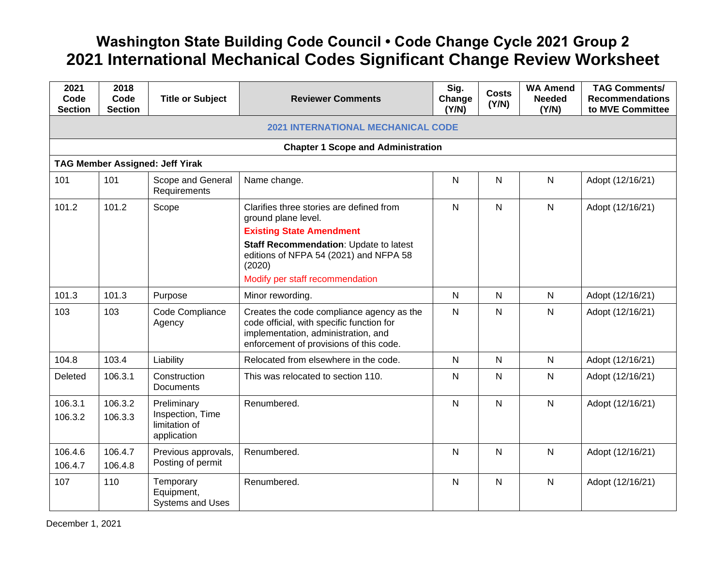## **Washington State Building Code Council • Code Change Cycle 2021 Group 2 2021 International Mechanical Codes Significant Change Review Worksheet**

| 2021<br>Code<br><b>Section</b>            | 2018<br>Code<br><b>Section</b> | <b>Title or Subject</b>                                         | <b>Reviewer Comments</b>                                                                                                                                                                                                            | Sig.<br>Change<br>(Y/N) | <b>Costs</b><br>(Y/N) | <b>WA Amend</b><br><b>Needed</b><br>(Y/N) | <b>TAG Comments/</b><br><b>Recommendations</b><br>to MVE Committee |  |  |  |
|-------------------------------------------|--------------------------------|-----------------------------------------------------------------|-------------------------------------------------------------------------------------------------------------------------------------------------------------------------------------------------------------------------------------|-------------------------|-----------------------|-------------------------------------------|--------------------------------------------------------------------|--|--|--|
| <b>2021 INTERNATIONAL MECHANICAL CODE</b> |                                |                                                                 |                                                                                                                                                                                                                                     |                         |                       |                                           |                                                                    |  |  |  |
|                                           |                                |                                                                 | <b>Chapter 1 Scope and Administration</b>                                                                                                                                                                                           |                         |                       |                                           |                                                                    |  |  |  |
|                                           |                                | <b>TAG Member Assigned: Jeff Yirak</b>                          |                                                                                                                                                                                                                                     |                         |                       |                                           |                                                                    |  |  |  |
| 101                                       | 101                            | Scope and General<br>Requirements                               | Name change.                                                                                                                                                                                                                        | $\mathsf{N}$            | $\mathsf{N}$          | $\mathsf{N}$                              | Adopt (12/16/21)                                                   |  |  |  |
| 101.2                                     | 101.2                          | Scope                                                           | Clarifies three stories are defined from<br>ground plane level.<br><b>Existing State Amendment</b><br>Staff Recommendation: Update to latest<br>editions of NFPA 54 (2021) and NFPA 58<br>(2020)<br>Modify per staff recommendation | $\mathsf{N}$            | $\mathsf{N}$          | $\mathsf{N}$                              | Adopt (12/16/21)                                                   |  |  |  |
| 101.3                                     | 101.3                          | Purpose                                                         | Minor rewording.                                                                                                                                                                                                                    | $\mathsf{N}$            | $\mathsf{N}$          | $\mathsf{N}$                              | Adopt (12/16/21)                                                   |  |  |  |
| 103                                       | 103                            | Code Compliance<br>Agency                                       | Creates the code compliance agency as the<br>code official, with specific function for<br>implementation, administration, and<br>enforcement of provisions of this code.                                                            | $\mathsf{N}$            | $\mathsf{N}$          | N                                         | Adopt (12/16/21)                                                   |  |  |  |
| 104.8                                     | 103.4                          | Liability                                                       | Relocated from elsewhere in the code.                                                                                                                                                                                               | $\mathsf{N}$            | $\mathsf{N}$          | $\mathsf{N}$                              | Adopt (12/16/21)                                                   |  |  |  |
| Deleted                                   | 106.3.1                        | Construction<br><b>Documents</b>                                | This was relocated to section 110.                                                                                                                                                                                                  | $\mathsf{N}$            | $\mathsf{N}$          | $\mathsf{N}$                              | Adopt (12/16/21)                                                   |  |  |  |
| 106.3.1<br>106.3.2                        | 106.3.2<br>106.3.3             | Preliminary<br>Inspection, Time<br>limitation of<br>application | Renumbered.                                                                                                                                                                                                                         | $\mathsf{N}$            | $\mathsf{N}$          | $\mathsf{N}$                              | Adopt (12/16/21)                                                   |  |  |  |
| 106.4.6<br>106.4.7                        | 106.4.7<br>106.4.8             | Previous approvals,<br>Posting of permit                        | Renumbered.                                                                                                                                                                                                                         | $\mathsf{N}$            | N                     | N                                         | Adopt (12/16/21)                                                   |  |  |  |
| 107                                       | 110                            | Temporary<br>Equipment,<br><b>Systems and Uses</b>              | Renumbered.                                                                                                                                                                                                                         | $\mathsf{N}$            | ${\sf N}$             | $\mathsf{N}$                              | Adopt (12/16/21)                                                   |  |  |  |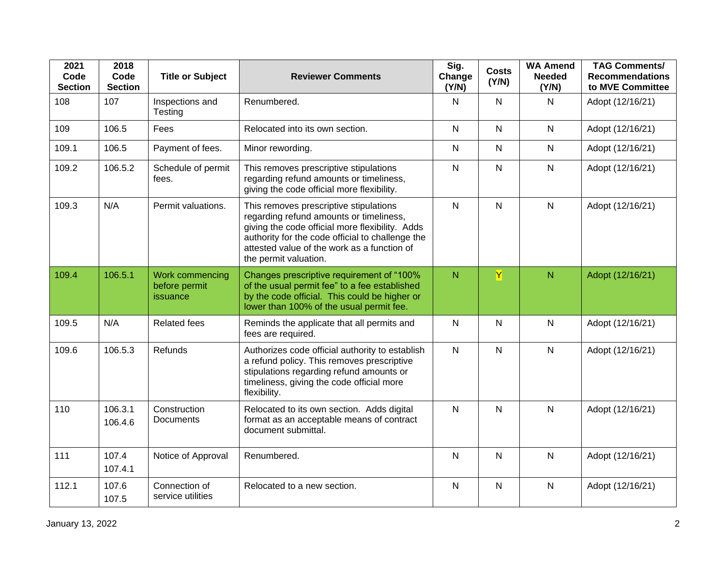| 2021<br>Code<br><b>Section</b> | 2018<br>Code<br><b>Section</b> | <b>Title or Subject</b>                      | <b>Reviewer Comments</b>                                                                                                                                                                                                                                         | Sig.<br>Change<br>(Y/N) | <b>Costs</b><br>(Y/N) | <b>WA Amend</b><br><b>Needed</b><br>(Y/N) | <b>TAG Comments/</b><br><b>Recommendations</b><br>to MVE Committee |
|--------------------------------|--------------------------------|----------------------------------------------|------------------------------------------------------------------------------------------------------------------------------------------------------------------------------------------------------------------------------------------------------------------|-------------------------|-----------------------|-------------------------------------------|--------------------------------------------------------------------|
| 108                            | 107                            | Inspections and<br>Testing                   | Renumbered.                                                                                                                                                                                                                                                      | $\mathsf{N}$            | $\mathsf{N}$          | $\mathsf{N}$                              | Adopt (12/16/21)                                                   |
| 109                            | 106.5                          | Fees                                         | Relocated into its own section.                                                                                                                                                                                                                                  | $\mathsf{N}$            | ${\sf N}$             | $\mathsf{N}$                              | Adopt (12/16/21)                                                   |
| 109.1                          | 106.5                          | Payment of fees.                             | Minor rewording.                                                                                                                                                                                                                                                 | $\mathsf{N}$            | $\mathsf{N}$          | $\mathsf{N}$                              | Adopt (12/16/21)                                                   |
| 109.2                          | 106.5.2                        | Schedule of permit<br>fees.                  | This removes prescriptive stipulations<br>regarding refund amounts or timeliness,<br>giving the code official more flexibility.                                                                                                                                  | $\mathsf{N}$            | $\mathsf{N}$          | $\mathsf{N}$                              | Adopt (12/16/21)                                                   |
| 109.3                          | N/A                            | Permit valuations.                           | This removes prescriptive stipulations<br>regarding refund amounts or timeliness,<br>giving the code official more flexibility. Adds<br>authority for the code official to challenge the<br>attested value of the work as a function of<br>the permit valuation. | $\mathsf{N}$            | ${\sf N}$             | $\mathsf{N}$                              | Adopt (12/16/21)                                                   |
| 109.4                          | 106.5.1                        | Work commencing<br>before permit<br>issuance | Changes prescriptive requirement of "100%<br>of the usual permit fee" to a fee established<br>by the code official. This could be higher or<br>lower than 100% of the usual permit fee.                                                                          | N                       | Y                     | $\overline{N}$                            | Adopt (12/16/21)                                                   |
| 109.5                          | N/A                            | <b>Related fees</b>                          | Reminds the applicate that all permits and<br>fees are required.                                                                                                                                                                                                 | $\mathsf{N}$            | ${\sf N}$             | $\mathsf{N}$                              | Adopt (12/16/21)                                                   |
| 109.6                          | 106.5.3                        | <b>Refunds</b>                               | Authorizes code official authority to establish<br>a refund policy. This removes prescriptive<br>stipulations regarding refund amounts or<br>timeliness, giving the code official more<br>flexibility.                                                           | $\mathsf{N}$            | $\mathsf{N}$          | $\mathsf{N}$                              | Adopt (12/16/21)                                                   |
| 110                            | 106.3.1<br>106.4.6             | Construction<br><b>Documents</b>             | Relocated to its own section. Adds digital<br>format as an acceptable means of contract<br>document submittal.                                                                                                                                                   | $\mathsf{N}$            | $\mathsf{N}$          | $\mathsf{N}$                              | Adopt (12/16/21)                                                   |
| 111                            | 107.4<br>107.4.1               | Notice of Approval                           | Renumbered.                                                                                                                                                                                                                                                      | $\mathsf{N}$            | $\mathsf{N}$          | $\mathsf{N}$                              | Adopt (12/16/21)                                                   |
| 112.1                          | 107.6<br>107.5                 | Connection of<br>service utilities           | Relocated to a new section.                                                                                                                                                                                                                                      | $\mathsf{N}$            | $\mathsf{N}$          | $\mathsf{N}$                              | Adopt (12/16/21)                                                   |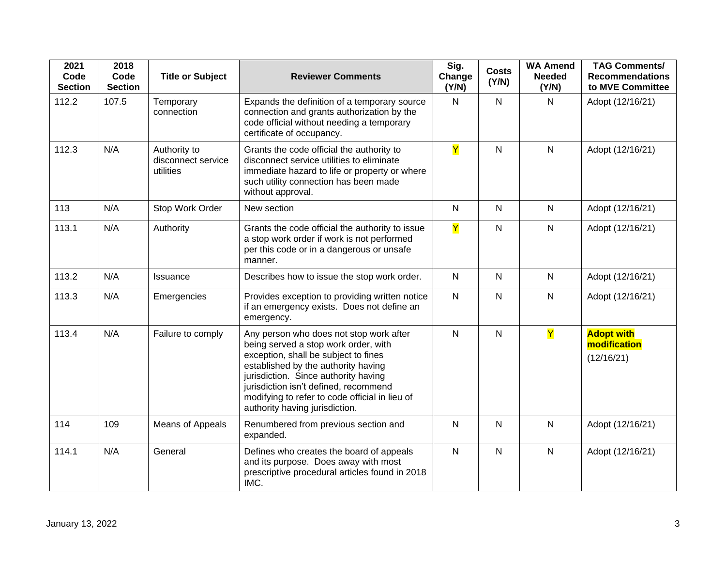| 2021<br>Code<br><b>Section</b> | 2018<br>Code<br><b>Section</b> | <b>Title or Subject</b>                         | <b>Reviewer Comments</b>                                                                                                                                                                                                                                                                                                            | Sig.<br>Change<br>(Y/N) | <b>Costs</b><br>(Y/N) | <b>WA Amend</b><br><b>Needed</b><br>(Y/N) | <b>TAG Comments/</b><br><b>Recommendations</b><br>to MVE Committee |
|--------------------------------|--------------------------------|-------------------------------------------------|-------------------------------------------------------------------------------------------------------------------------------------------------------------------------------------------------------------------------------------------------------------------------------------------------------------------------------------|-------------------------|-----------------------|-------------------------------------------|--------------------------------------------------------------------|
| 112.2                          | 107.5                          | Temporary<br>connection                         | Expands the definition of a temporary source<br>connection and grants authorization by the<br>code official without needing a temporary<br>certificate of occupancy.                                                                                                                                                                | $\mathsf{N}$            | $\mathsf{N}$          | $\mathsf{N}$                              | Adopt (12/16/21)                                                   |
| 112.3                          | N/A                            | Authority to<br>disconnect service<br>utilities | Grants the code official the authority to<br>disconnect service utilities to eliminate<br>immediate hazard to life or property or where<br>such utility connection has been made<br>without approval.                                                                                                                               | $\overline{\mathsf{Y}}$ | $\overline{N}$        | $\mathsf{N}$                              | Adopt (12/16/21)                                                   |
| 113                            | N/A                            | Stop Work Order                                 | New section                                                                                                                                                                                                                                                                                                                         | $\mathsf{N}$            | $\mathsf{N}$          | $\mathsf{N}$                              | Adopt (12/16/21)                                                   |
| 113.1                          | N/A                            | Authority                                       | Grants the code official the authority to issue<br>a stop work order if work is not performed<br>per this code or in a dangerous or unsafe<br>manner.                                                                                                                                                                               | $\overline{\mathsf{Y}}$ | $\mathsf{N}$          | $\mathsf{N}$                              | Adopt (12/16/21)                                                   |
| 113.2                          | N/A                            | Issuance                                        | Describes how to issue the stop work order.                                                                                                                                                                                                                                                                                         | $\mathsf{N}$            | N                     | $\mathsf{N}$                              | Adopt (12/16/21)                                                   |
| 113.3                          | N/A                            | Emergencies                                     | Provides exception to providing written notice<br>if an emergency exists. Does not define an<br>emergency.                                                                                                                                                                                                                          | ${\sf N}$               | $\mathsf{N}$          | $\mathsf{N}$                              | Adopt (12/16/21)                                                   |
| 113.4                          | N/A                            | Failure to comply                               | Any person who does not stop work after<br>being served a stop work order, with<br>exception, shall be subject to fines<br>established by the authority having<br>jurisdiction. Since authority having<br>jurisdiction isn't defined, recommend<br>modifying to refer to code official in lieu of<br>authority having jurisdiction. | $\mathsf{N}$            | $\mathsf{N}$          | Y                                         | <b>Adopt with</b><br>modification<br>(12/16/21)                    |
| 114                            | 109                            | Means of Appeals                                | Renumbered from previous section and<br>expanded.                                                                                                                                                                                                                                                                                   | $\mathsf{N}$            | $\mathsf{N}$          | $\mathsf{N}$                              | Adopt (12/16/21)                                                   |
| 114.1                          | N/A                            | General                                         | Defines who creates the board of appeals<br>and its purpose. Does away with most<br>prescriptive procedural articles found in 2018<br>IMC.                                                                                                                                                                                          | $\mathsf{N}$            | ${\sf N}$             | $\mathsf{N}$                              | Adopt (12/16/21)                                                   |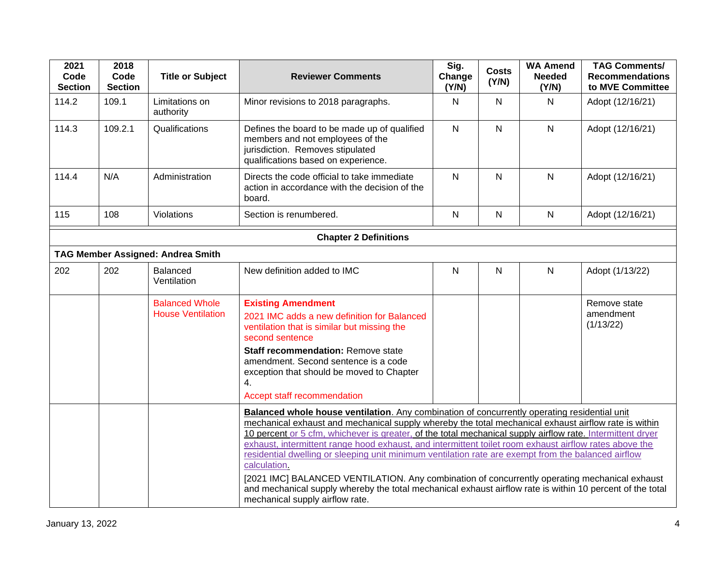| 2021<br>Code<br><b>Section</b> | 2018<br>Code<br><b>Section</b> | <b>Title or Subject</b>                           | <b>Reviewer Comments</b>                                                                                                                                                                                                                                                                                                                                                                                                                                                                                                                                                                                                                                                                                                                                                                             | Sig.<br>Change<br>(Y/N) | <b>Costs</b><br>(Y/N) | <b>WA Amend</b><br><b>Needed</b><br>(Y/N) | <b>TAG Comments/</b><br><b>Recommendations</b><br>to MVE Committee |  |  |
|--------------------------------|--------------------------------|---------------------------------------------------|------------------------------------------------------------------------------------------------------------------------------------------------------------------------------------------------------------------------------------------------------------------------------------------------------------------------------------------------------------------------------------------------------------------------------------------------------------------------------------------------------------------------------------------------------------------------------------------------------------------------------------------------------------------------------------------------------------------------------------------------------------------------------------------------------|-------------------------|-----------------------|-------------------------------------------|--------------------------------------------------------------------|--|--|
| 114.2                          | 109.1                          | Limitations on<br>authority                       | Minor revisions to 2018 paragraphs.                                                                                                                                                                                                                                                                                                                                                                                                                                                                                                                                                                                                                                                                                                                                                                  | $\mathsf{N}$            | N                     | $\mathsf{N}$                              | Adopt (12/16/21)                                                   |  |  |
| 114.3                          | 109.2.1                        | Qualifications                                    | Defines the board to be made up of qualified<br>members and not employees of the<br>jurisdiction. Removes stipulated<br>qualifications based on experience.                                                                                                                                                                                                                                                                                                                                                                                                                                                                                                                                                                                                                                          | $\mathsf{N}$            | $\mathsf{N}$          | $\mathsf{N}$                              | Adopt (12/16/21)                                                   |  |  |
| 114.4                          | N/A                            | Administration                                    | Directs the code official to take immediate<br>action in accordance with the decision of the<br>board.                                                                                                                                                                                                                                                                                                                                                                                                                                                                                                                                                                                                                                                                                               | $\mathsf{N}$            | ${\sf N}$             | $\mathsf{N}$                              | Adopt (12/16/21)                                                   |  |  |
| 115                            | 108                            | Violations                                        | Section is renumbered.                                                                                                                                                                                                                                                                                                                                                                                                                                                                                                                                                                                                                                                                                                                                                                               | $\mathsf{N}$            | $\mathsf{N}$          | $\mathsf{N}$                              | Adopt (12/16/21)                                                   |  |  |
|                                | <b>Chapter 2 Definitions</b>   |                                                   |                                                                                                                                                                                                                                                                                                                                                                                                                                                                                                                                                                                                                                                                                                                                                                                                      |                         |                       |                                           |                                                                    |  |  |
|                                |                                | <b>TAG Member Assigned: Andrea Smith</b>          |                                                                                                                                                                                                                                                                                                                                                                                                                                                                                                                                                                                                                                                                                                                                                                                                      |                         |                       |                                           |                                                                    |  |  |
| 202                            | 202                            | Balanced<br>Ventilation                           | New definition added to IMC                                                                                                                                                                                                                                                                                                                                                                                                                                                                                                                                                                                                                                                                                                                                                                          | $\mathsf{N}$            | N                     | $\mathsf{N}$                              | Adopt (1/13/22)                                                    |  |  |
|                                |                                | <b>Balanced Whole</b><br><b>House Ventilation</b> | <b>Existing Amendment</b><br>2021 IMC adds a new definition for Balanced<br>ventilation that is similar but missing the<br>second sentence<br>Staff recommendation: Remove state<br>amendment. Second sentence is a code<br>exception that should be moved to Chapter<br>4.<br>Accept staff recommendation                                                                                                                                                                                                                                                                                                                                                                                                                                                                                           |                         |                       |                                           | Remove state<br>amendment<br>(1/13/22)                             |  |  |
|                                |                                |                                                   | Balanced whole house ventilation. Any combination of concurrently operating residential unit<br>mechanical exhaust and mechanical supply whereby the total mechanical exhaust airflow rate is within<br>10 percent or 5 cfm, whichever is greater, of the total mechanical supply airflow rate. Intermittent dryer<br>exhaust, intermittent range hood exhaust, and intermittent toilet room exhaust airflow rates above the<br>residential dwelling or sleeping unit minimum ventilation rate are exempt from the balanced airflow<br>calculation.<br>[2021 IMC] BALANCED VENTILATION. Any combination of concurrently operating mechanical exhaust<br>and mechanical supply whereby the total mechanical exhaust airflow rate is within 10 percent of the total<br>mechanical supply airflow rate. |                         |                       |                                           |                                                                    |  |  |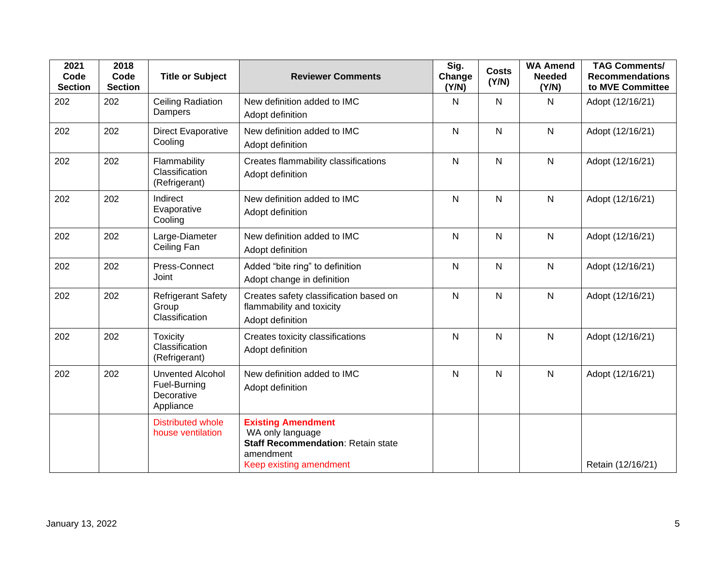| 2021<br>Code<br><b>Section</b> | 2018<br>Code<br><b>Section</b> | <b>Title or Subject</b>                                            | <b>Reviewer Comments</b>                                                                                                    | Sig.<br>Change<br>(Y/N) | <b>Costs</b><br>(Y/N) | <b>WA Amend</b><br><b>Needed</b><br>(Y/N) | <b>TAG Comments/</b><br><b>Recommendations</b><br>to MVE Committee |
|--------------------------------|--------------------------------|--------------------------------------------------------------------|-----------------------------------------------------------------------------------------------------------------------------|-------------------------|-----------------------|-------------------------------------------|--------------------------------------------------------------------|
| 202                            | 202                            | Ceiling Radiation<br>Dampers                                       | New definition added to IMC<br>Adopt definition                                                                             | $\mathsf{N}$            | $\mathsf{N}$          | N                                         | Adopt (12/16/21)                                                   |
| 202                            | 202                            | Direct Evaporative<br>Cooling                                      | New definition added to IMC<br>Adopt definition                                                                             | $\overline{N}$          | N                     | N                                         | Adopt (12/16/21)                                                   |
| 202                            | 202                            | Flammability<br>Classification<br>(Refrigerant)                    | Creates flammability classifications<br>Adopt definition                                                                    | $\mathsf{N}$            | $\mathsf{N}$          | N                                         | Adopt (12/16/21)                                                   |
| 202                            | 202                            | Indirect<br>Evaporative<br>Cooling                                 | New definition added to IMC<br>Adopt definition                                                                             | $\mathsf{N}$            | $\mathsf{N}$          | N                                         | Adopt (12/16/21)                                                   |
| 202                            | 202                            | Large-Diameter<br>Ceiling Fan                                      | New definition added to IMC<br>Adopt definition                                                                             | $\mathsf{N}$            | N                     | N                                         | Adopt (12/16/21)                                                   |
| 202                            | 202                            | Press-Connect<br>Joint                                             | Added "bite ring" to definition<br>Adopt change in definition                                                               | $\mathsf{N}$            | $\mathsf{N}$          | N                                         | Adopt (12/16/21)                                                   |
| 202                            | 202                            | <b>Refrigerant Safety</b><br>Group<br>Classification               | Creates safety classification based on<br>flammability and toxicity<br>Adopt definition                                     | $\overline{N}$          | $\mathsf{N}$          | N                                         | Adopt (12/16/21)                                                   |
| 202                            | 202                            | <b>Toxicity</b><br>Classification<br>(Refrigerant)                 | Creates toxicity classifications<br>Adopt definition                                                                        | $\mathsf{N}$            | $\mathsf{N}$          | N                                         | Adopt (12/16/21)                                                   |
| 202                            | 202                            | <b>Unvented Alcohol</b><br>Fuel-Burning<br>Decorative<br>Appliance | New definition added to IMC<br>Adopt definition                                                                             | $\mathsf{N}$            | $\mathsf{N}$          | N                                         | Adopt (12/16/21)                                                   |
|                                |                                | <b>Distributed whole</b><br>house ventilation                      | <b>Existing Amendment</b><br>WA only language<br>Staff Recommendation: Retain state<br>amendment<br>Keep existing amendment |                         |                       |                                           | Retain (12/16/21)                                                  |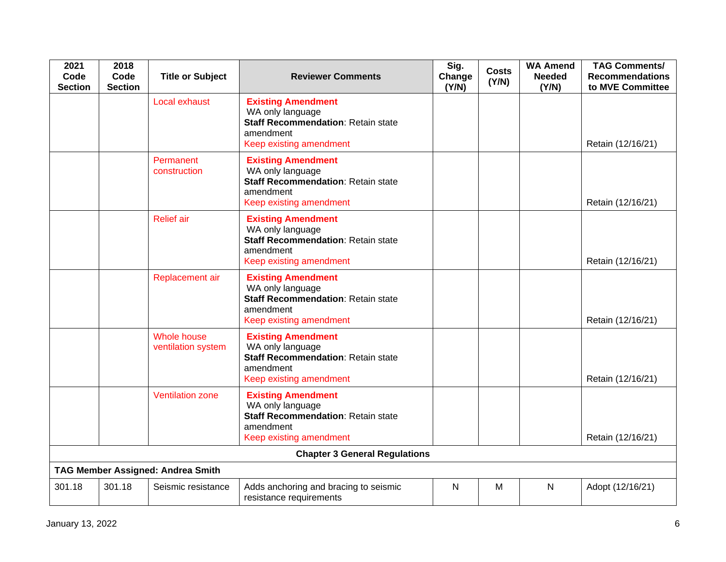| 2021<br>Code<br><b>Section</b> | 2018<br>Code<br><b>Section</b>       | <b>Title or Subject</b>                  | <b>Reviewer Comments</b>                                                                                                           | Sig.<br>Change<br>(Y/N) | <b>Costs</b><br>(Y/N) | <b>WA Amend</b><br><b>Needed</b><br>(Y/N) | <b>TAG Comments/</b><br><b>Recommendations</b><br>to MVE Committee |  |  |
|--------------------------------|--------------------------------------|------------------------------------------|------------------------------------------------------------------------------------------------------------------------------------|-------------------------|-----------------------|-------------------------------------------|--------------------------------------------------------------------|--|--|
|                                |                                      | Local exhaust                            | <b>Existing Amendment</b><br>WA only language<br>Staff Recommendation: Retain state<br>amendment<br>Keep existing amendment        |                         |                       |                                           | Retain (12/16/21)                                                  |  |  |
|                                |                                      | Permanent<br>construction                | <b>Existing Amendment</b><br>WA only language<br><b>Staff Recommendation: Retain state</b><br>amendment<br>Keep existing amendment |                         |                       |                                           | Retain (12/16/21)                                                  |  |  |
|                                |                                      | <b>Relief</b> air                        | <b>Existing Amendment</b><br>WA only language<br><b>Staff Recommendation: Retain state</b><br>amendment<br>Keep existing amendment |                         |                       |                                           | Retain (12/16/21)                                                  |  |  |
|                                |                                      | Replacement air                          | <b>Existing Amendment</b><br>WA only language<br><b>Staff Recommendation: Retain state</b><br>amendment<br>Keep existing amendment |                         |                       |                                           | Retain (12/16/21)                                                  |  |  |
|                                |                                      | <b>Whole house</b><br>ventilation system | <b>Existing Amendment</b><br>WA only language<br><b>Staff Recommendation: Retain state</b><br>amendment<br>Keep existing amendment |                         |                       |                                           | Retain (12/16/21)                                                  |  |  |
|                                |                                      | <b>Ventilation zone</b>                  | <b>Existing Amendment</b><br>WA only language<br><b>Staff Recommendation: Retain state</b><br>amendment<br>Keep existing amendment |                         |                       |                                           | Retain (12/16/21)                                                  |  |  |
|                                | <b>Chapter 3 General Regulations</b> |                                          |                                                                                                                                    |                         |                       |                                           |                                                                    |  |  |
|                                | TAG Member Assigned: Andrea Smith    |                                          |                                                                                                                                    |                         |                       |                                           |                                                                    |  |  |
| 301.18                         | 301.18                               | Seismic resistance                       | Adds anchoring and bracing to seismic<br>resistance requirements                                                                   | N                       | M                     | N                                         | Adopt (12/16/21)                                                   |  |  |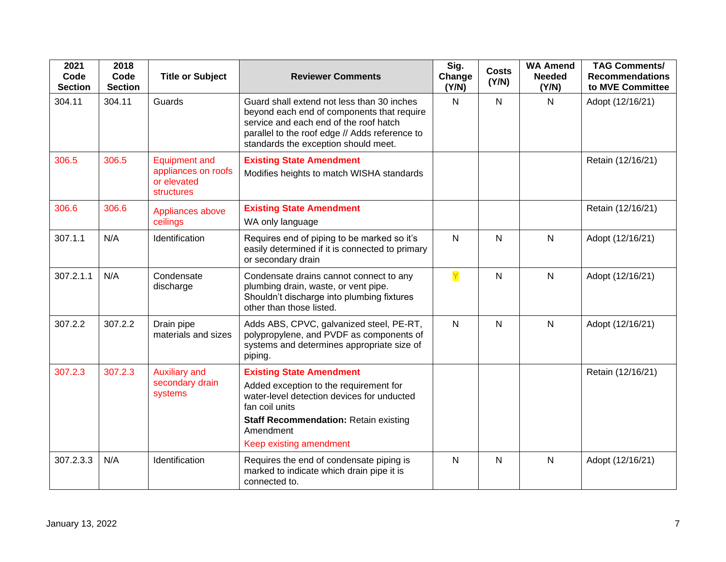| 2021<br>Code<br><b>Section</b> | 2018<br>Code<br><b>Section</b> | <b>Title or Subject</b>                                                  | <b>Reviewer Comments</b>                                                                                                                                                                                                          | Sig.<br>Change<br>(Y/N) | <b>Costs</b><br>(Y/N) | <b>WA Amend</b><br><b>Needed</b><br>(Y/N) | <b>TAG Comments/</b><br><b>Recommendations</b><br>to MVE Committee |
|--------------------------------|--------------------------------|--------------------------------------------------------------------------|-----------------------------------------------------------------------------------------------------------------------------------------------------------------------------------------------------------------------------------|-------------------------|-----------------------|-------------------------------------------|--------------------------------------------------------------------|
| 304.11                         | 304.11                         | Guards                                                                   | Guard shall extend not less than 30 inches<br>beyond each end of components that require<br>service and each end of the roof hatch<br>parallel to the roof edge // Adds reference to<br>standards the exception should meet.      | N                       | $\mathsf{N}$          | $\mathsf{N}$                              | Adopt (12/16/21)                                                   |
| 306.5                          | 306.5                          | <b>Equipment and</b><br>appliances on roofs<br>or elevated<br>structures | <b>Existing State Amendment</b><br>Modifies heights to match WISHA standards                                                                                                                                                      |                         |                       |                                           | Retain (12/16/21)                                                  |
| 306.6                          | 306.6                          | Appliances above<br>ceilings                                             | <b>Existing State Amendment</b><br>WA only language                                                                                                                                                                               |                         |                       |                                           | Retain (12/16/21)                                                  |
| 307.1.1                        | N/A                            | Identification                                                           | Requires end of piping to be marked so it's<br>easily determined if it is connected to primary<br>or secondary drain                                                                                                              | $\mathsf{N}$            | N                     | $\mathsf{N}$                              | Adopt (12/16/21)                                                   |
| 307.2.1.1                      | N/A                            | Condensate<br>discharge                                                  | Condensate drains cannot connect to any<br>plumbing drain, waste, or vent pipe.<br>Shouldn't discharge into plumbing fixtures<br>other than those listed.                                                                         | Y                       | $\mathsf{N}$          | $\mathsf{N}$                              | Adopt (12/16/21)                                                   |
| 307.2.2                        | 307.2.2                        | Drain pipe<br>materials and sizes                                        | Adds ABS, CPVC, galvanized steel, PE-RT,<br>polypropylene, and PVDF as components of<br>systems and determines appropriate size of<br>piping.                                                                                     | $\mathsf{N}$            | $\mathsf{N}$          | $\mathsf{N}$                              | Adopt (12/16/21)                                                   |
| 307.2.3                        | 307.2.3                        | <b>Auxiliary and</b><br>secondary drain<br>systems                       | <b>Existing State Amendment</b><br>Added exception to the requirement for<br>water-level detection devices for unducted<br>fan coil units<br><b>Staff Recommendation: Retain existing</b><br>Amendment<br>Keep existing amendment |                         |                       |                                           | Retain (12/16/21)                                                  |
| 307.2.3.3                      | N/A                            | Identification                                                           | Requires the end of condensate piping is<br>marked to indicate which drain pipe it is<br>connected to.                                                                                                                            | $\mathsf{N}$            | N                     | $\mathsf{N}$                              | Adopt (12/16/21)                                                   |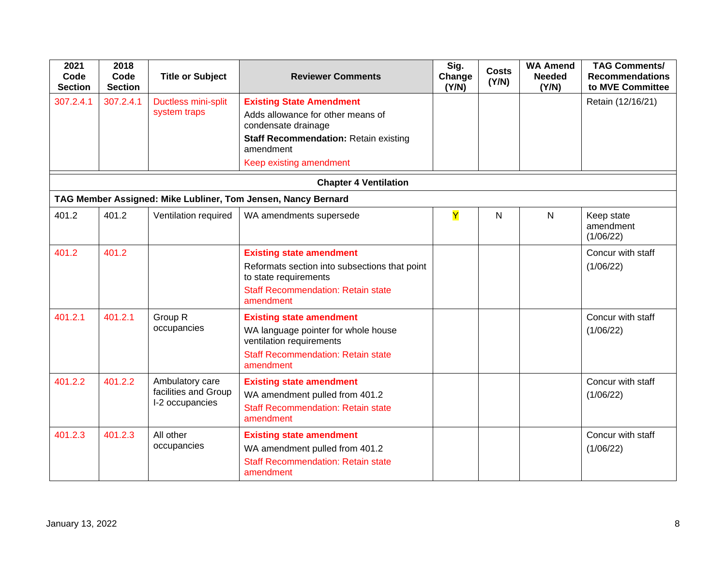| 2021<br>Code<br><b>Section</b> | 2018<br>Code<br><b>Section</b> | <b>Title or Subject</b>                                    | <b>Reviewer Comments</b>                                                                                                                                            | Sig.<br>Change<br>(Y/N) | <b>Costs</b><br>(Y/N) | <b>WA Amend</b><br><b>Needed</b><br>(Y/N) | <b>TAG Comments/</b><br><b>Recommendations</b><br>to MVE Committee |
|--------------------------------|--------------------------------|------------------------------------------------------------|---------------------------------------------------------------------------------------------------------------------------------------------------------------------|-------------------------|-----------------------|-------------------------------------------|--------------------------------------------------------------------|
| 307.2.4.1                      | 307.2.4.1                      | Ductless mini-split<br>system traps                        | <b>Existing State Amendment</b><br>Adds allowance for other means of<br>condensate drainage                                                                         |                         |                       |                                           | Retain (12/16/21)                                                  |
|                                |                                |                                                            | <b>Staff Recommendation: Retain existing</b><br>amendment                                                                                                           |                         |                       |                                           |                                                                    |
|                                |                                |                                                            | Keep existing amendment                                                                                                                                             |                         |                       |                                           |                                                                    |
|                                |                                |                                                            | <b>Chapter 4 Ventilation</b>                                                                                                                                        |                         |                       |                                           |                                                                    |
|                                |                                |                                                            | TAG Member Assigned: Mike Lubliner, Tom Jensen, Nancy Bernard                                                                                                       |                         |                       |                                           |                                                                    |
| 401.2                          | 401.2                          | Ventilation required                                       | WA amendments supersede                                                                                                                                             | Y                       | $\mathsf{N}$          | N                                         | Keep state<br>amendment<br>(1/06/22)                               |
| 401.2                          | 401.2                          |                                                            | <b>Existing state amendment</b><br>Reformats section into subsections that point<br>to state requirements<br><b>Staff Recommendation: Retain state</b><br>amendment |                         |                       |                                           | Concur with staff<br>(1/06/22)                                     |
| 401.2.1                        | 401.2.1                        | Group R<br>occupancies                                     | <b>Existing state amendment</b><br>WA language pointer for whole house<br>ventilation requirements<br><b>Staff Recommendation: Retain state</b><br>amendment        |                         |                       |                                           | Concur with staff<br>(1/06/22)                                     |
| 401.2.2                        | 401.2.2                        | Ambulatory care<br>facilities and Group<br>I-2 occupancies | <b>Existing state amendment</b><br>WA amendment pulled from 401.2<br><b>Staff Recommendation: Retain state</b><br>amendment                                         |                         |                       |                                           | Concur with staff<br>(1/06/22)                                     |
| 401.2.3                        | 401.2.3                        | All other<br>occupancies                                   | <b>Existing state amendment</b><br>WA amendment pulled from 401.2<br><b>Staff Recommendation: Retain state</b><br>amendment                                         |                         |                       |                                           | Concur with staff<br>(1/06/22)                                     |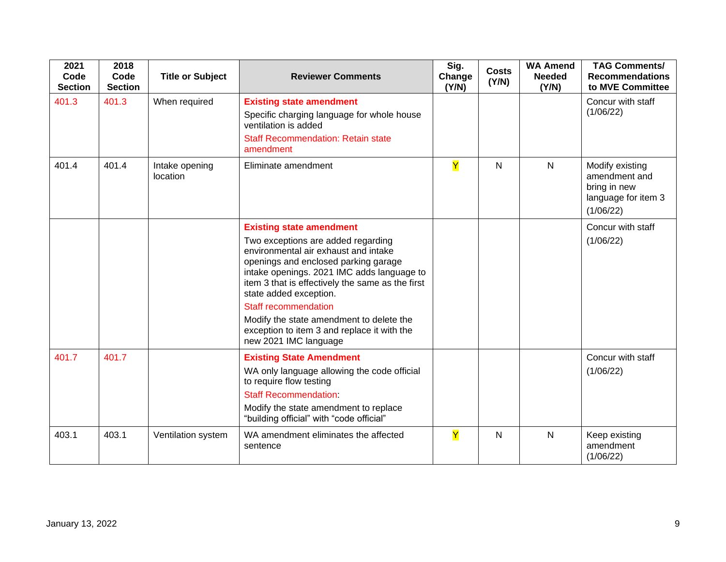| 2021<br>Code<br><b>Section</b> | 2018<br>Code<br><b>Section</b> | <b>Title or Subject</b>    | <b>Reviewer Comments</b>                                                                                                                                                                                                                                                                                                                                                                                                             | Sig.<br>Change<br>(Y/N) | <b>Costs</b><br>(Y/N) | <b>WA Amend</b><br><b>Needed</b><br>(Y/N) | <b>TAG Comments/</b><br><b>Recommendations</b><br>to MVE Committee                   |
|--------------------------------|--------------------------------|----------------------------|--------------------------------------------------------------------------------------------------------------------------------------------------------------------------------------------------------------------------------------------------------------------------------------------------------------------------------------------------------------------------------------------------------------------------------------|-------------------------|-----------------------|-------------------------------------------|--------------------------------------------------------------------------------------|
| 401.3                          | 401.3                          | When required              | <b>Existing state amendment</b><br>Specific charging language for whole house<br>ventilation is added<br><b>Staff Recommendation: Retain state</b><br>amendment                                                                                                                                                                                                                                                                      |                         |                       |                                           | Concur with staff<br>(1/06/22)                                                       |
| 401.4                          | 401.4                          | Intake opening<br>location | Eliminate amendment                                                                                                                                                                                                                                                                                                                                                                                                                  | $\overline{\mathsf{Y}}$ | $\mathsf{N}$          | $\mathsf{N}$                              | Modify existing<br>amendment and<br>bring in new<br>language for item 3<br>(1/06/22) |
|                                |                                |                            | <b>Existing state amendment</b><br>Two exceptions are added regarding<br>environmental air exhaust and intake<br>openings and enclosed parking garage<br>intake openings. 2021 IMC adds language to<br>item 3 that is effectively the same as the first<br>state added exception.<br><b>Staff recommendation</b><br>Modify the state amendment to delete the<br>exception to item 3 and replace it with the<br>new 2021 IMC language |                         |                       |                                           | Concur with staff<br>(1/06/22)                                                       |
| 401.7                          | 401.7                          |                            | <b>Existing State Amendment</b><br>WA only language allowing the code official<br>to require flow testing<br><b>Staff Recommendation:</b><br>Modify the state amendment to replace<br>"building official" with "code official"                                                                                                                                                                                                       |                         |                       |                                           | Concur with staff<br>(1/06/22)                                                       |
| 403.1                          | 403.1                          | Ventilation system         | WA amendment eliminates the affected<br>sentence                                                                                                                                                                                                                                                                                                                                                                                     | $\mathbf Y$             | N                     | N                                         | Keep existing<br>amendment<br>(1/06/22)                                              |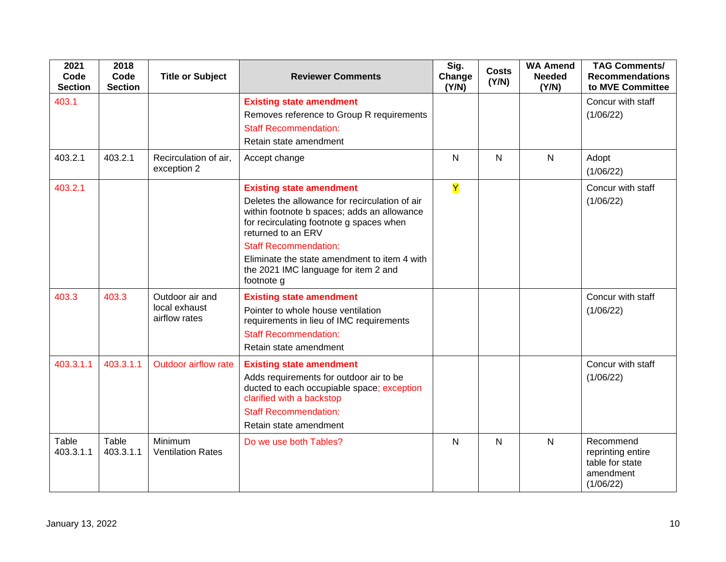| 2021<br>Code<br><b>Section</b> | 2018<br>Code<br><b>Section</b> | <b>Title or Subject</b>                           | <b>Reviewer Comments</b>                                                                                                                                                                                                                                                                                                                 | Sig.<br>Change<br>(Y/N) | <b>Costs</b><br>(Y/N) | <b>WA Amend</b><br><b>Needed</b><br>(Y/N) | <b>TAG Comments/</b><br><b>Recommendations</b><br>to MVE Committee          |
|--------------------------------|--------------------------------|---------------------------------------------------|------------------------------------------------------------------------------------------------------------------------------------------------------------------------------------------------------------------------------------------------------------------------------------------------------------------------------------------|-------------------------|-----------------------|-------------------------------------------|-----------------------------------------------------------------------------|
| 403.1                          |                                |                                                   | <b>Existing state amendment</b><br>Removes reference to Group R requirements<br><b>Staff Recommendation:</b><br>Retain state amendment                                                                                                                                                                                                   |                         |                       |                                           | Concur with staff<br>(1/06/22)                                              |
| 403.2.1                        | 403.2.1                        | Recirculation of air,<br>exception 2              | Accept change                                                                                                                                                                                                                                                                                                                            | $\overline{N}$          | $\mathsf{N}$          | $\mathsf{N}$                              | Adopt<br>(1/06/22)                                                          |
| 403.2.1                        |                                |                                                   | <b>Existing state amendment</b><br>Deletes the allowance for recirculation of air<br>within footnote b spaces; adds an allowance<br>for recirculating footnote g spaces when<br>returned to an ERV<br><b>Staff Recommendation:</b><br>Eliminate the state amendment to item 4 with<br>the 2021 IMC language for item 2 and<br>footnote g | Y                       |                       |                                           | Concur with staff<br>(1/06/22)                                              |
| 403.3                          | 403.3                          | Outdoor air and<br>local exhaust<br>airflow rates | <b>Existing state amendment</b><br>Pointer to whole house ventilation<br>requirements in lieu of IMC requirements<br><b>Staff Recommendation:</b><br>Retain state amendment                                                                                                                                                              |                         |                       |                                           | Concur with staff<br>(1/06/22)                                              |
| 403.3.1.1                      | 403.3.1.1                      | Outdoor airflow rate                              | <b>Existing state amendment</b><br>Adds requirements for outdoor air to be<br>ducted to each occupiable space; exception<br>clarified with a backstop<br><b>Staff Recommendation:</b><br>Retain state amendment                                                                                                                          |                         |                       |                                           | Concur with staff<br>(1/06/22)                                              |
| Table<br>403.3.1.1             | Table<br>403.3.1.1             | Minimum<br><b>Ventilation Rates</b>               | Do we use both Tables?                                                                                                                                                                                                                                                                                                                   | $\mathsf{N}$            | $\mathsf{N}$          | $\mathsf{N}$                              | Recommend<br>reprinting entire<br>table for state<br>amendment<br>(1/06/22) |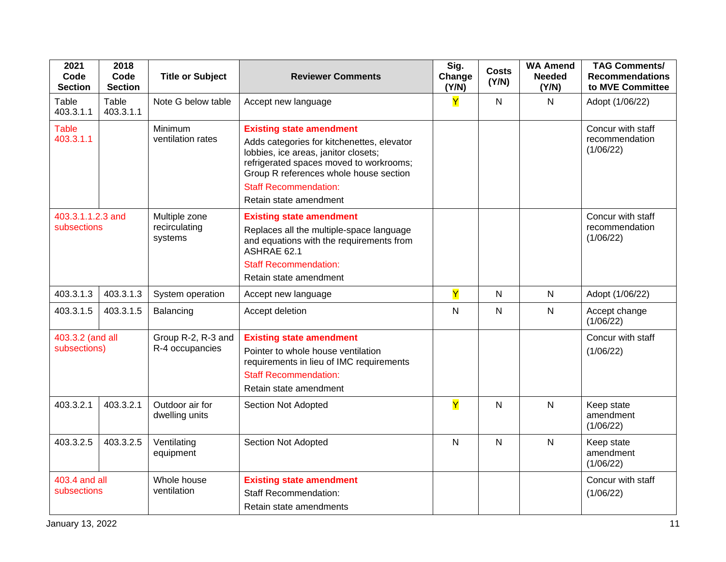| 2021<br>Code<br><b>Section</b>   | 2018<br>Code<br><b>Section</b> | <b>Title or Subject</b>                   | <b>Reviewer Comments</b>                                                                                                                                                                                                                                             | Sig.<br>Change<br>(Y/N) | <b>Costs</b><br>(Y/N) | <b>WA Amend</b><br><b>Needed</b><br>(Y/N) | <b>TAG Comments/</b><br><b>Recommendations</b><br>to MVE Committee |
|----------------------------------|--------------------------------|-------------------------------------------|----------------------------------------------------------------------------------------------------------------------------------------------------------------------------------------------------------------------------------------------------------------------|-------------------------|-----------------------|-------------------------------------------|--------------------------------------------------------------------|
| Table<br>403.3.1.1               | Table<br>403.3.1.1             | Note G below table                        | Accept new language                                                                                                                                                                                                                                                  | Ÿ                       | $\mathsf{N}$          | $\mathsf{N}$                              | Adopt (1/06/22)                                                    |
| <b>Table</b><br>403.3.1.1        |                                | Minimum<br>ventilation rates              | <b>Existing state amendment</b><br>Adds categories for kitchenettes, elevator<br>lobbies, ice areas, janitor closets;<br>refrigerated spaces moved to workrooms;<br>Group R references whole house section<br><b>Staff Recommendation:</b><br>Retain state amendment |                         |                       |                                           | Concur with staff<br>recommendation<br>(1/06/22)                   |
| 403.3.1.1.2.3 and<br>subsections |                                | Multiple zone<br>recirculating<br>systems | <b>Existing state amendment</b><br>Replaces all the multiple-space language<br>and equations with the requirements from<br>ASHRAE 62.1<br><b>Staff Recommendation:</b><br>Retain state amendment                                                                     |                         |                       |                                           | Concur with staff<br>recommendation<br>(1/06/22)                   |
| 403.3.1.3                        | 403.3.1.3                      | System operation                          | Accept new language                                                                                                                                                                                                                                                  | Y                       | N                     | $\mathsf{N}$                              | Adopt (1/06/22)                                                    |
| 403.3.1.5                        | 403.3.1.5                      | Balancing                                 | Accept deletion                                                                                                                                                                                                                                                      | $\mathsf{N}$            | $\mathsf{N}$          | $\mathsf{N}$                              | Accept change<br>(1/06/22)                                         |
| 403.3.2 (and all<br>subsections) |                                | Group R-2, R-3 and<br>R-4 occupancies     | <b>Existing state amendment</b><br>Pointer to whole house ventilation<br>requirements in lieu of IMC requirements<br><b>Staff Recommendation:</b><br>Retain state amendment                                                                                          |                         |                       |                                           | Concur with staff<br>(1/06/22)                                     |
| 403.3.2.1                        | 403.3.2.1                      | Outdoor air for<br>dwelling units         | Section Not Adopted                                                                                                                                                                                                                                                  | Ÿ                       | $\mathsf{N}$          | $\mathsf{N}$                              | Keep state<br>amendment<br>(1/06/22)                               |
| 403.3.2.5                        | 403.3.2.5                      | Ventilating<br>equipment                  | Section Not Adopted                                                                                                                                                                                                                                                  | $\mathsf{N}$            | N                     | $\mathsf{N}$                              | Keep state<br>amendment<br>(1/06/22)                               |
| 403.4 and all<br>subsections     |                                | Whole house<br>ventilation                | <b>Existing state amendment</b><br><b>Staff Recommendation:</b><br>Retain state amendments                                                                                                                                                                           |                         |                       |                                           | Concur with staff<br>(1/06/22)                                     |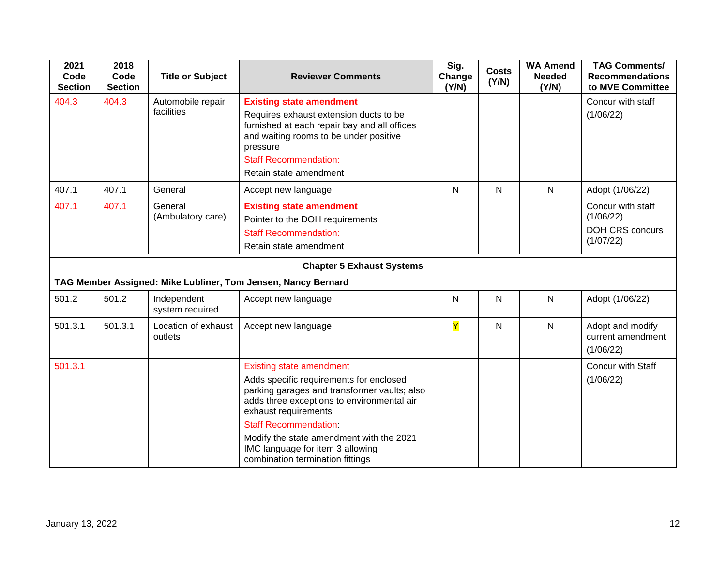| 2021<br>Code<br><b>Section</b> | 2018<br>Code<br><b>Section</b> | <b>Title or Subject</b>         | <b>Reviewer Comments</b>                                                                                                                                                                                                                                                                                                                             | Sig.<br>Change<br>(Y/N) | <b>Costs</b><br>(Y/N) | <b>WA Amend</b><br><b>Needed</b><br>(Y/N) | <b>TAG Comments/</b><br><b>Recommendations</b><br>to MVE Committee    |
|--------------------------------|--------------------------------|---------------------------------|------------------------------------------------------------------------------------------------------------------------------------------------------------------------------------------------------------------------------------------------------------------------------------------------------------------------------------------------------|-------------------------|-----------------------|-------------------------------------------|-----------------------------------------------------------------------|
| 404.3                          | 404.3                          | Automobile repair<br>facilities | <b>Existing state amendment</b><br>Requires exhaust extension ducts to be<br>furnished at each repair bay and all offices<br>and waiting rooms to be under positive<br>pressure<br><b>Staff Recommendation:</b><br>Retain state amendment                                                                                                            |                         |                       |                                           | Concur with staff<br>(1/06/22)                                        |
| 407.1                          | 407.1                          | General                         | Accept new language                                                                                                                                                                                                                                                                                                                                  | $\mathsf{N}$            | $\mathsf{N}$          | $\mathsf{N}$                              | Adopt (1/06/22)                                                       |
| 407.1                          | 407.1                          | General<br>(Ambulatory care)    | <b>Existing state amendment</b><br>Pointer to the DOH requirements<br><b>Staff Recommendation:</b><br>Retain state amendment                                                                                                                                                                                                                         |                         |                       |                                           | Concur with staff<br>(1/06/22)<br><b>DOH CRS concurs</b><br>(1/07/22) |
|                                |                                |                                 | <b>Chapter 5 Exhaust Systems</b>                                                                                                                                                                                                                                                                                                                     |                         |                       |                                           |                                                                       |
|                                |                                |                                 | TAG Member Assigned: Mike Lubliner, Tom Jensen, Nancy Bernard                                                                                                                                                                                                                                                                                        |                         |                       |                                           |                                                                       |
| 501.2                          | 501.2                          | Independent<br>system required  | Accept new language                                                                                                                                                                                                                                                                                                                                  | N                       | N                     | N                                         | Adopt (1/06/22)                                                       |
| 501.3.1                        | 501.3.1                        | Location of exhaust<br>outlets  | Accept new language                                                                                                                                                                                                                                                                                                                                  | $\overline{Y}$          | $\mathsf{N}$          | $\mathsf{N}$                              | Adopt and modify<br>current amendment<br>(1/06/22)                    |
| 501.3.1                        |                                |                                 | <b>Existing state amendment</b><br>Adds specific requirements for enclosed<br>parking garages and transformer vaults; also<br>adds three exceptions to environmental air<br>exhaust requirements<br><b>Staff Recommendation:</b><br>Modify the state amendment with the 2021<br>IMC language for item 3 allowing<br>combination termination fittings |                         |                       |                                           | Concur with Staff<br>(1/06/22)                                        |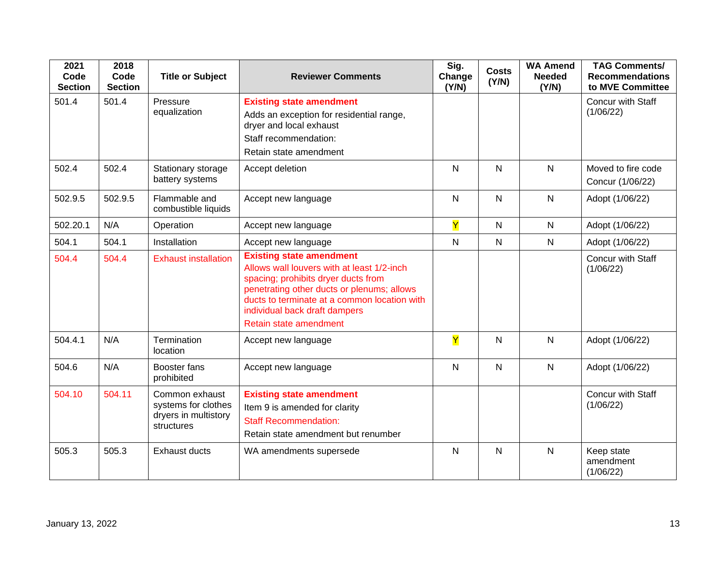| 2021<br>Code<br><b>Section</b> | 2018<br>Code<br><b>Section</b> | <b>Title or Subject</b>                                                     | <b>Reviewer Comments</b>                                                                                                                                                                                                                                                      | Sig.<br>Change<br>(Y/N) | <b>Costs</b><br>(Y/N) | <b>WA Amend</b><br><b>Needed</b><br>(Y/N) | <b>TAG Comments/</b><br><b>Recommendations</b><br>to MVE Committee |
|--------------------------------|--------------------------------|-----------------------------------------------------------------------------|-------------------------------------------------------------------------------------------------------------------------------------------------------------------------------------------------------------------------------------------------------------------------------|-------------------------|-----------------------|-------------------------------------------|--------------------------------------------------------------------|
| 501.4                          | 501.4                          | Pressure<br>equalization                                                    | <b>Existing state amendment</b><br>Adds an exception for residential range,<br>dryer and local exhaust<br>Staff recommendation:<br>Retain state amendment                                                                                                                     |                         |                       |                                           | Concur with Staff<br>(1/06/22)                                     |
| 502.4                          | 502.4                          | Stationary storage<br>battery systems                                       | Accept deletion                                                                                                                                                                                                                                                               | N                       | $\mathsf{N}$          | N                                         | Moved to fire code<br>Concur (1/06/22)                             |
| 502.9.5                        | 502.9.5                        | Flammable and<br>combustible liquids                                        | Accept new language                                                                                                                                                                                                                                                           | N                       | N                     | N                                         | Adopt (1/06/22)                                                    |
| 502.20.1                       | N/A                            | Operation                                                                   | Accept new language                                                                                                                                                                                                                                                           | Y                       | $\mathsf{N}$          | N                                         | Adopt (1/06/22)                                                    |
| 504.1                          | 504.1                          | Installation                                                                | Accept new language                                                                                                                                                                                                                                                           | ${\sf N}$               | ${\sf N}$             | ${\sf N}$                                 | Adopt (1/06/22)                                                    |
| 504.4                          | 504.4                          | <b>Exhaust installation</b>                                                 | <b>Existing state amendment</b><br>Allows wall louvers with at least 1/2-inch<br>spacing; prohibits dryer ducts from<br>penetrating other ducts or plenums; allows<br>ducts to terminate at a common location with<br>individual back draft dampers<br>Retain state amendment |                         |                       |                                           | Concur with Staff<br>(1/06/22)                                     |
| 504.4.1                        | N/A                            | Termination<br>location                                                     | Accept new language                                                                                                                                                                                                                                                           | $\overline{\mathsf{Y}}$ | $\mathsf{N}$          | $\mathsf{N}$                              | Adopt (1/06/22)                                                    |
| 504.6                          | N/A                            | Booster fans<br>prohibited                                                  | Accept new language                                                                                                                                                                                                                                                           | N                       | $\mathsf{N}$          | $\mathsf{N}$                              | Adopt (1/06/22)                                                    |
| 504.10                         | 504.11                         | Common exhaust<br>systems for clothes<br>dryers in multistory<br>structures | <b>Existing state amendment</b><br>Item 9 is amended for clarity<br><b>Staff Recommendation:</b><br>Retain state amendment but renumber                                                                                                                                       |                         |                       |                                           | Concur with Staff<br>(1/06/22)                                     |
| 505.3                          | 505.3                          | <b>Exhaust ducts</b>                                                        | WA amendments supersede                                                                                                                                                                                                                                                       | N                       | $\mathsf{N}$          | N                                         | Keep state<br>amendment<br>(1/06/22)                               |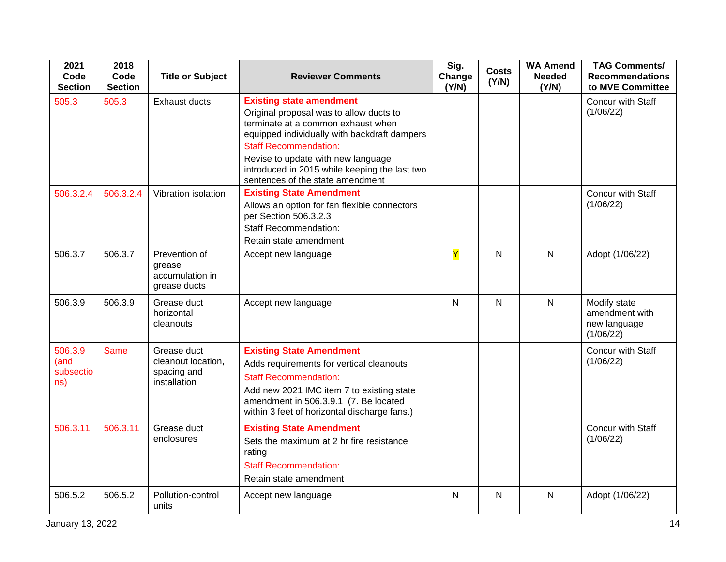| 2021<br>Code<br><b>Section</b>      | 2018<br>Code<br><b>Section</b> | <b>Title or Subject</b>                                          | <b>Reviewer Comments</b>                                                                                                                                                                                                                                                                                                    | Sig.<br>Change<br>(Y/N) | <b>Costs</b><br>(Y/N) | <b>WA Amend</b><br><b>Needed</b><br>(Y/N) | <b>TAG Comments/</b><br><b>Recommendations</b><br>to MVE Committee |
|-------------------------------------|--------------------------------|------------------------------------------------------------------|-----------------------------------------------------------------------------------------------------------------------------------------------------------------------------------------------------------------------------------------------------------------------------------------------------------------------------|-------------------------|-----------------------|-------------------------------------------|--------------------------------------------------------------------|
| 505.3                               | 505.3                          | <b>Exhaust ducts</b>                                             | <b>Existing state amendment</b><br>Original proposal was to allow ducts to<br>terminate at a common exhaust when<br>equipped individually with backdraft dampers<br><b>Staff Recommendation:</b><br>Revise to update with new language<br>introduced in 2015 while keeping the last two<br>sentences of the state amendment |                         |                       |                                           | Concur with Staff<br>(1/06/22)                                     |
| 506.3.2.4                           | 506.3.2.4                      | Vibration isolation                                              | <b>Existing State Amendment</b><br>Allows an option for fan flexible connectors<br>per Section 506.3.2.3<br><b>Staff Recommendation:</b><br>Retain state amendment                                                                                                                                                          |                         |                       |                                           | Concur with Staff<br>(1/06/22)                                     |
| 506.3.7                             | 506.3.7                        | Prevention of<br>grease<br>accumulation in<br>grease ducts       | Accept new language                                                                                                                                                                                                                                                                                                         | Y                       | $\mathsf{N}$          | $\mathsf{N}$                              | Adopt (1/06/22)                                                    |
| 506.3.9                             | 506.3.9                        | Grease duct<br>horizontal<br>cleanouts                           | Accept new language                                                                                                                                                                                                                                                                                                         | $\overline{N}$          | $\mathsf{N}$          | $\mathsf{N}$                              | Modify state<br>amendment with<br>new language<br>(1/06/22)        |
| 506.3.9<br>(and<br>subsectio<br>ns) | <b>Same</b>                    | Grease duct<br>cleanout location,<br>spacing and<br>installation | <b>Existing State Amendment</b><br>Adds requirements for vertical cleanouts<br><b>Staff Recommendation:</b><br>Add new 2021 IMC item 7 to existing state<br>amendment in 506.3.9.1 (7. Be located<br>within 3 feet of horizontal discharge fans.)                                                                           |                         |                       |                                           | <b>Concur with Staff</b><br>(1/06/22)                              |
| 506.3.11                            | 506.3.11                       | Grease duct<br>enclosures                                        | <b>Existing State Amendment</b><br>Sets the maximum at 2 hr fire resistance<br>rating<br><b>Staff Recommendation:</b><br>Retain state amendment                                                                                                                                                                             |                         |                       |                                           | Concur with Staff<br>(1/06/22)                                     |
| 506.5.2                             | 506.5.2                        | Pollution-control<br>units                                       | Accept new language                                                                                                                                                                                                                                                                                                         | $\mathsf{N}$            | $\mathsf{N}$          | $\mathsf{N}$                              | Adopt (1/06/22)                                                    |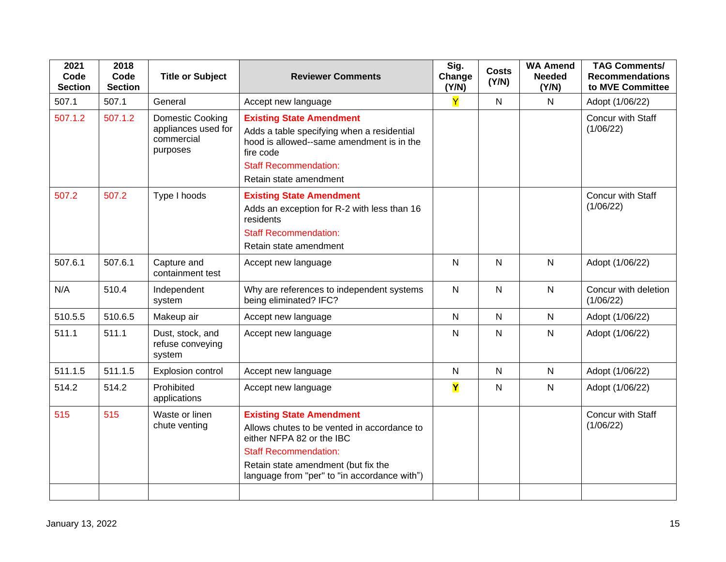| 2021<br>Code<br><b>Section</b> | 2018<br>Code<br><b>Section</b> | <b>Title or Subject</b>                                           | <b>Reviewer Comments</b>                                                                                                                                                                                                           | Sig.<br>Change<br>(Y/N) | <b>Costs</b><br>(Y/N) | <b>WA Amend</b><br><b>Needed</b><br>(Y/N) | <b>TAG Comments/</b><br><b>Recommendations</b><br>to MVE Committee |
|--------------------------------|--------------------------------|-------------------------------------------------------------------|------------------------------------------------------------------------------------------------------------------------------------------------------------------------------------------------------------------------------------|-------------------------|-----------------------|-------------------------------------------|--------------------------------------------------------------------|
| 507.1                          | 507.1                          | General                                                           | Accept new language                                                                                                                                                                                                                | Y                       | ${\sf N}$             | $\mathsf{N}$                              | Adopt (1/06/22)                                                    |
| 507.1.2                        | 507.1.2                        | Domestic Cooking<br>appliances used for<br>commercial<br>purposes | <b>Existing State Amendment</b><br>Adds a table specifying when a residential<br>hood is allowed--same amendment is in the<br>fire code<br><b>Staff Recommendation:</b><br>Retain state amendment                                  |                         |                       |                                           | Concur with Staff<br>(1/06/22)                                     |
| 507.2                          | 507.2                          | Type I hoods                                                      | <b>Existing State Amendment</b><br>Adds an exception for R-2 with less than 16<br>residents<br><b>Staff Recommendation:</b><br>Retain state amendment                                                                              |                         |                       |                                           | Concur with Staff<br>(1/06/22)                                     |
| 507.6.1                        | 507.6.1                        | Capture and<br>containment test                                   | Accept new language                                                                                                                                                                                                                | $\mathsf{N}$            | ${\sf N}$             | $\mathsf{N}$                              | Adopt (1/06/22)                                                    |
| N/A                            | 510.4                          | Independent<br>system                                             | Why are references to independent systems<br>being eliminated? IFC?                                                                                                                                                                | $\mathsf{N}$            | $\mathsf{N}$          | $\mathsf{N}$                              | Concur with deletion<br>(1/06/22)                                  |
| 510.5.5                        | 510.6.5                        | Makeup air                                                        | Accept new language                                                                                                                                                                                                                | $\mathsf{N}$            | $\mathsf{N}$          | $\mathsf{N}$                              | Adopt (1/06/22)                                                    |
| 511.1                          | 511.1                          | Dust, stock, and<br>refuse conveying<br>system                    | Accept new language                                                                                                                                                                                                                | N                       | N                     | $\mathsf{N}$                              | Adopt (1/06/22)                                                    |
| 511.1.5                        | 511.1.5                        | Explosion control                                                 | Accept new language                                                                                                                                                                                                                | $\mathsf{N}$            | $\mathsf{N}$          | $\mathsf{N}$                              | Adopt (1/06/22)                                                    |
| 514.2                          | 514.2                          | Prohibited<br>applications                                        | Accept new language                                                                                                                                                                                                                | Y                       | $\mathsf{N}$          | $\mathsf{N}$                              | Adopt (1/06/22)                                                    |
| 515                            | 515                            | Waste or linen<br>chute venting                                   | <b>Existing State Amendment</b><br>Allows chutes to be vented in accordance to<br>either NFPA 82 or the IBC<br><b>Staff Recommendation:</b><br>Retain state amendment (but fix the<br>language from "per" to "in accordance with") |                         |                       |                                           | Concur with Staff<br>(1/06/22)                                     |
|                                |                                |                                                                   |                                                                                                                                                                                                                                    |                         |                       |                                           |                                                                    |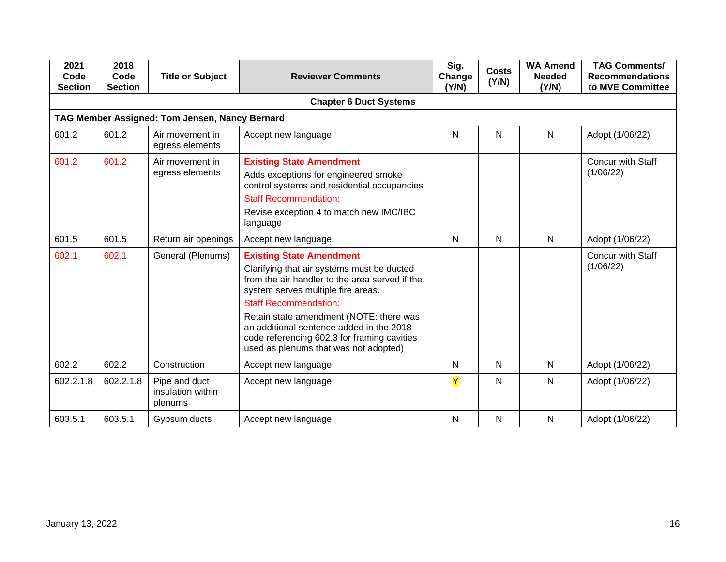| 2021<br>Code<br><b>Section</b> | 2018<br>Code<br><b>Section</b> | <b>Title or Subject</b>                        | <b>Reviewer Comments</b>                                                                                                                                                                                                                                                                                                                                                             | Sig.<br>Change<br>(Y/N) | <b>Costs</b><br>(Y/N) | <b>WA Amend</b><br><b>Needed</b><br>(Y/N) | <b>TAG Comments/</b><br><b>Recommendations</b><br>to MVE Committee |
|--------------------------------|--------------------------------|------------------------------------------------|--------------------------------------------------------------------------------------------------------------------------------------------------------------------------------------------------------------------------------------------------------------------------------------------------------------------------------------------------------------------------------------|-------------------------|-----------------------|-------------------------------------------|--------------------------------------------------------------------|
|                                |                                |                                                | <b>Chapter 6 Duct Systems</b>                                                                                                                                                                                                                                                                                                                                                        |                         |                       |                                           |                                                                    |
|                                |                                | TAG Member Assigned: Tom Jensen, Nancy Bernard |                                                                                                                                                                                                                                                                                                                                                                                      |                         |                       |                                           |                                                                    |
| 601.2                          | 601.2                          | Air movement in<br>egress elements             | Accept new language                                                                                                                                                                                                                                                                                                                                                                  | ${\sf N}$               | N                     | $\mathsf{N}$                              | Adopt (1/06/22)                                                    |
| 601.2                          | 601.2                          | Air movement in<br>egress elements             | <b>Existing State Amendment</b><br>Adds exceptions for engineered smoke<br>control systems and residential occupancies<br><b>Staff Recommendation:</b><br>Revise exception 4 to match new IMC/IBC<br>language                                                                                                                                                                        |                         |                       |                                           | <b>Concur with Staff</b><br>(1/06/22)                              |
| 601.5                          | 601.5                          | Return air openings                            | Accept new language                                                                                                                                                                                                                                                                                                                                                                  | N                       | N                     | $\mathsf{N}$                              | Adopt (1/06/22)                                                    |
| 602.1                          | 602.1                          | General (Plenums)                              | <b>Existing State Amendment</b><br>Clarifying that air systems must be ducted<br>from the air handler to the area served if the<br>system serves multiple fire areas.<br><b>Staff Recommendation:</b><br>Retain state amendment (NOTE: there was<br>an additional sentence added in the 2018<br>code referencing 602.3 for framing cavities<br>used as plenums that was not adopted) |                         |                       |                                           | <b>Concur with Staff</b><br>(1/06/22)                              |
| 602.2                          | 602.2                          | Construction                                   | Accept new language                                                                                                                                                                                                                                                                                                                                                                  | N                       | N                     | $\mathsf{N}$                              | Adopt (1/06/22)                                                    |
| 602.2.1.8                      | 602.2.1.8                      | Pipe and duct<br>insulation within<br>plenums  | Accept new language                                                                                                                                                                                                                                                                                                                                                                  | Y                       | N                     | N                                         | Adopt (1/06/22)                                                    |
| 603.5.1                        | 603.5.1                        | Gypsum ducts                                   | Accept new language                                                                                                                                                                                                                                                                                                                                                                  | N                       | N                     | $\mathsf{N}$                              | Adopt (1/06/22)                                                    |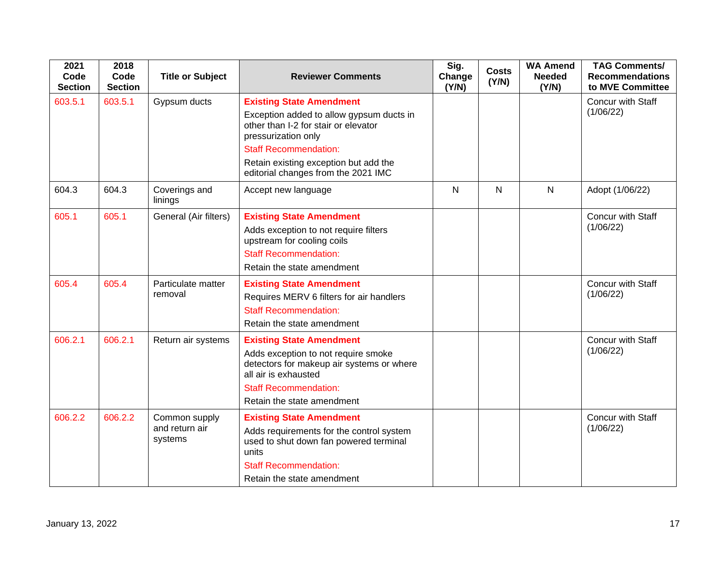| 2021<br>Code<br><b>Section</b> | 2018<br>Code<br><b>Section</b> | <b>Title or Subject</b>                    | <b>Reviewer Comments</b>                                                                                                                                                                                                                                   | Sig.<br>Change<br>(Y/N) | <b>Costs</b><br>(Y/N) | <b>WA Amend</b><br><b>Needed</b><br>(Y/N) | <b>TAG Comments/</b><br><b>Recommendations</b><br>to MVE Committee |
|--------------------------------|--------------------------------|--------------------------------------------|------------------------------------------------------------------------------------------------------------------------------------------------------------------------------------------------------------------------------------------------------------|-------------------------|-----------------------|-------------------------------------------|--------------------------------------------------------------------|
| 603.5.1                        | 603.5.1                        | Gypsum ducts                               | <b>Existing State Amendment</b><br>Exception added to allow gypsum ducts in<br>other than I-2 for stair or elevator<br>pressurization only<br><b>Staff Recommendation:</b><br>Retain existing exception but add the<br>editorial changes from the 2021 IMC |                         |                       |                                           | Concur with Staff<br>(1/06/22)                                     |
| 604.3                          | 604.3                          | Coverings and<br>linings                   | Accept new language                                                                                                                                                                                                                                        | N                       | N                     | $\overline{N}$                            | Adopt (1/06/22)                                                    |
| 605.1                          | 605.1                          | General (Air filters)                      | <b>Existing State Amendment</b><br>Adds exception to not require filters<br>upstream for cooling coils<br><b>Staff Recommendation:</b><br>Retain the state amendment                                                                                       |                         |                       |                                           | Concur with Staff<br>(1/06/22)                                     |
| 605.4                          | 605.4                          | Particulate matter<br>removal              | <b>Existing State Amendment</b><br>Requires MERV 6 filters for air handlers<br><b>Staff Recommendation:</b><br>Retain the state amendment                                                                                                                  |                         |                       |                                           | Concur with Staff<br>(1/06/22)                                     |
| 606.2.1                        | 606.2.1                        | Return air systems                         | <b>Existing State Amendment</b><br>Adds exception to not require smoke<br>detectors for makeup air systems or where<br>all air is exhausted<br><b>Staff Recommendation:</b><br>Retain the state amendment                                                  |                         |                       |                                           | Concur with Staff<br>(1/06/22)                                     |
| 606.2.2                        | 606.2.2                        | Common supply<br>and return air<br>systems | <b>Existing State Amendment</b><br>Adds requirements for the control system<br>used to shut down fan powered terminal<br>units<br><b>Staff Recommendation:</b><br>Retain the state amendment                                                               |                         |                       |                                           | Concur with Staff<br>(1/06/22)                                     |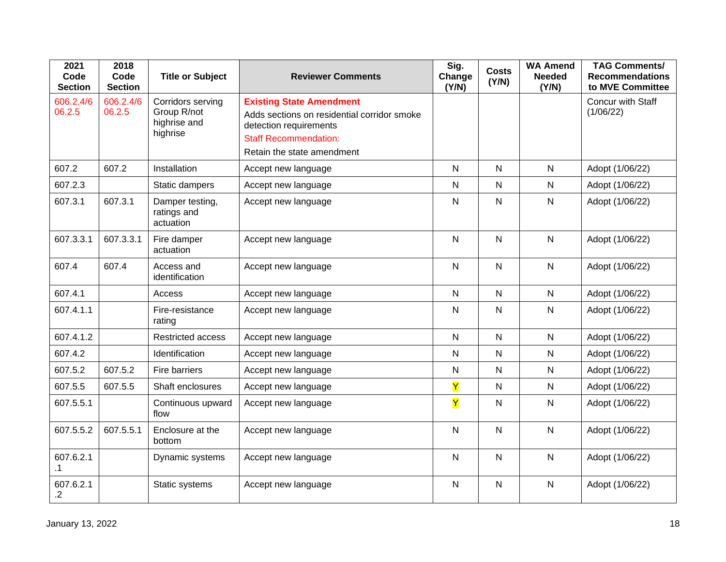| 2021<br>Code<br><b>Section</b> | 2018<br>Code<br><b>Section</b> | <b>Title or Subject</b>                                      | <b>Reviewer Comments</b>                                                                                                                                               | Sig.<br>Change<br>(Y/N) | <b>Costs</b><br>(Y/N) | <b>WA Amend</b><br><b>Needed</b><br>(Y/N) | <b>TAG Comments/</b><br><b>Recommendations</b><br>to MVE Committee |
|--------------------------------|--------------------------------|--------------------------------------------------------------|------------------------------------------------------------------------------------------------------------------------------------------------------------------------|-------------------------|-----------------------|-------------------------------------------|--------------------------------------------------------------------|
| 606.2.4/6<br>06.2.5            | 606.2.4/6<br>06.2.5            | Corridors serving<br>Group R/not<br>highrise and<br>highrise | <b>Existing State Amendment</b><br>Adds sections on residential corridor smoke<br>detection requirements<br><b>Staff Recommendation:</b><br>Retain the state amendment |                         |                       |                                           | Concur with Staff<br>(1/06/22)                                     |
| 607.2                          | 607.2                          | Installation                                                 | Accept new language                                                                                                                                                    | $\mathsf{N}$            | $\mathsf{N}$          | $\mathsf{N}$                              | Adopt (1/06/22)                                                    |
| 607.2.3                        |                                | Static dampers                                               | Accept new language                                                                                                                                                    | $\mathsf{N}$            | N                     | $\mathsf{N}$                              | Adopt (1/06/22)                                                    |
| 607.3.1                        | 607.3.1                        | Damper testing,<br>ratings and<br>actuation                  | Accept new language                                                                                                                                                    | $\mathsf{N}$            | $\mathsf{N}$          | $\mathsf{N}$                              | Adopt (1/06/22)                                                    |
| 607.3.3.1                      | 607.3.3.1                      | Fire damper<br>actuation                                     | Accept new language                                                                                                                                                    | $\mathsf{N}$            | $\mathsf{N}$          | $\mathsf{N}$                              | Adopt (1/06/22)                                                    |
| 607.4                          | 607.4                          | Access and<br>identification                                 | Accept new language                                                                                                                                                    | $\mathsf{N}$            | $\mathsf{N}$          | $\mathsf{N}$                              | Adopt (1/06/22)                                                    |
| 607.4.1                        |                                | Access                                                       | Accept new language                                                                                                                                                    | $\mathsf{N}$            | $\mathsf{N}$          | $\mathsf{N}$                              | Adopt (1/06/22)                                                    |
| 607.4.1.1                      |                                | Fire-resistance<br>rating                                    | Accept new language                                                                                                                                                    | $\mathsf{N}$            | $\mathsf{N}$          | $\mathsf{N}$                              | Adopt (1/06/22)                                                    |
| 607.4.1.2                      |                                | <b>Restricted access</b>                                     | Accept new language                                                                                                                                                    | $\mathsf{N}$            | $\mathsf{N}$          | $\mathsf{N}$                              | Adopt (1/06/22)                                                    |
| 607.4.2                        |                                | Identification                                               | Accept new language                                                                                                                                                    | $\mathsf{N}$            | $\mathsf{N}$          | $\mathsf{N}$                              | Adopt (1/06/22)                                                    |
| 607.5.2                        | 607.5.2                        | Fire barriers                                                | Accept new language                                                                                                                                                    | $\mathsf{N}$            | ${\sf N}$             | $\mathsf{N}$                              | Adopt (1/06/22)                                                    |
| 607.5.5                        | 607.5.5                        | Shaft enclosures                                             | Accept new language                                                                                                                                                    | Y                       | $\mathsf{N}$          | $\mathsf{N}$                              | Adopt (1/06/22)                                                    |
| 607.5.5.1                      |                                | Continuous upward<br>flow                                    | Accept new language                                                                                                                                                    | Y                       | ${\sf N}$             | $\mathsf{N}$                              | Adopt (1/06/22)                                                    |
| 607.5.5.2                      | 607.5.5.1                      | Enclosure at the<br>bottom                                   | Accept new language                                                                                                                                                    | $\mathsf{N}$            | $\mathsf{N}$          | $\mathsf{N}$                              | Adopt (1/06/22)                                                    |
| 607.6.2.1<br>.1                |                                | Dynamic systems                                              | Accept new language                                                                                                                                                    | $\mathsf{N}$            | $\mathsf{N}$          | $\mathsf{N}$                              | Adopt (1/06/22)                                                    |
| 607.6.2.1<br>$\overline{2}$    |                                | Static systems                                               | Accept new language                                                                                                                                                    | $\mathsf{N}$            | ${\sf N}$             | $\mathsf{N}$                              | Adopt (1/06/22)                                                    |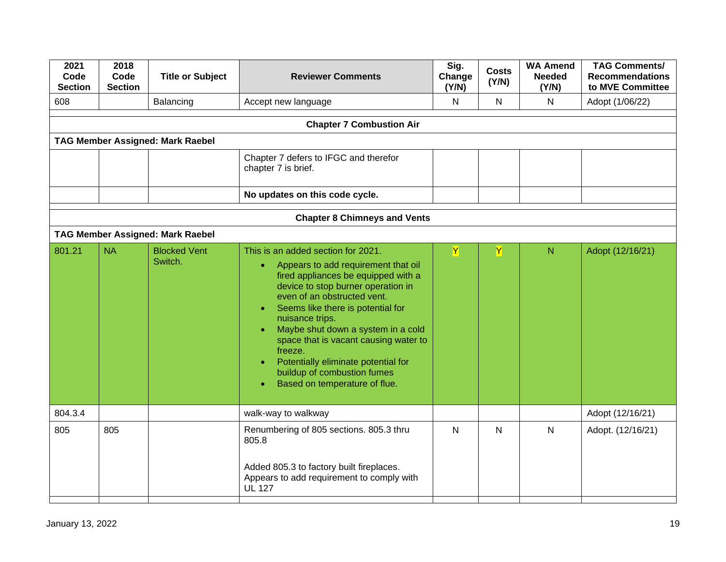| Code<br><b>Section</b> | <b>Title or Subject</b>        | <b>Reviewer Comments</b>                                                                                                                                                                                                                                                                                                                                                                                                                                                              | Sig.<br>Change<br>(Y/N) | <b>Costs</b><br>(Y/N) | <b>WA Amend</b><br><b>Needed</b><br>(Y/N) | <b>TAG Comments/</b><br><b>Recommendations</b><br>to MVE Committee |
|------------------------|--------------------------------|---------------------------------------------------------------------------------------------------------------------------------------------------------------------------------------------------------------------------------------------------------------------------------------------------------------------------------------------------------------------------------------------------------------------------------------------------------------------------------------|-------------------------|-----------------------|-------------------------------------------|--------------------------------------------------------------------|
|                        | Balancing                      | Accept new language                                                                                                                                                                                                                                                                                                                                                                                                                                                                   | N                       | $\mathsf{N}$          | $\mathsf{N}$                              | Adopt (1/06/22)                                                    |
|                        |                                | <b>Chapter 7 Combustion Air</b>                                                                                                                                                                                                                                                                                                                                                                                                                                                       |                         |                       |                                           |                                                                    |
|                        |                                |                                                                                                                                                                                                                                                                                                                                                                                                                                                                                       |                         |                       |                                           |                                                                    |
|                        |                                | Chapter 7 defers to IFGC and therefor<br>chapter 7 is brief.                                                                                                                                                                                                                                                                                                                                                                                                                          |                         |                       |                                           |                                                                    |
|                        |                                | No updates on this code cycle.                                                                                                                                                                                                                                                                                                                                                                                                                                                        |                         |                       |                                           |                                                                    |
|                        |                                | <b>Chapter 8 Chimneys and Vents</b>                                                                                                                                                                                                                                                                                                                                                                                                                                                   |                         |                       |                                           |                                                                    |
|                        |                                |                                                                                                                                                                                                                                                                                                                                                                                                                                                                                       |                         |                       |                                           |                                                                    |
| <b>NA</b>              | <b>Blocked Vent</b><br>Switch. | This is an added section for 2021.<br>Appears to add requirement that oil<br>$\bullet$<br>fired appliances be equipped with a<br>device to stop burner operation in<br>even of an obstructed vent.<br>Seems like there is potential for<br>$\bullet$<br>nuisance trips.<br>Maybe shut down a system in a cold<br>space that is vacant causing water to<br>freeze.<br>Potentially eliminate potential for<br>$\bullet$<br>buildup of combustion fumes<br>Based on temperature of flue. | Y.                      | Y                     | $\mathsf{N}$                              | Adopt (12/16/21)                                                   |
|                        |                                | walk-way to walkway                                                                                                                                                                                                                                                                                                                                                                                                                                                                   |                         |                       |                                           | Adopt (12/16/21)                                                   |
| 805                    |                                | Renumbering of 805 sections. 805.3 thru<br>805.8<br>Added 805.3 to factory built fireplaces.<br>Appears to add requirement to comply with<br><b>UL 127</b>                                                                                                                                                                                                                                                                                                                            | N                       | $\mathsf{N}$          | $\mathsf{N}$                              | Adopt. (12/16/21)                                                  |
|                        |                                | <b>TAG Member Assigned: Mark Raebel</b><br><b>TAG Member Assigned: Mark Raebel</b>                                                                                                                                                                                                                                                                                                                                                                                                    |                         |                       |                                           |                                                                    |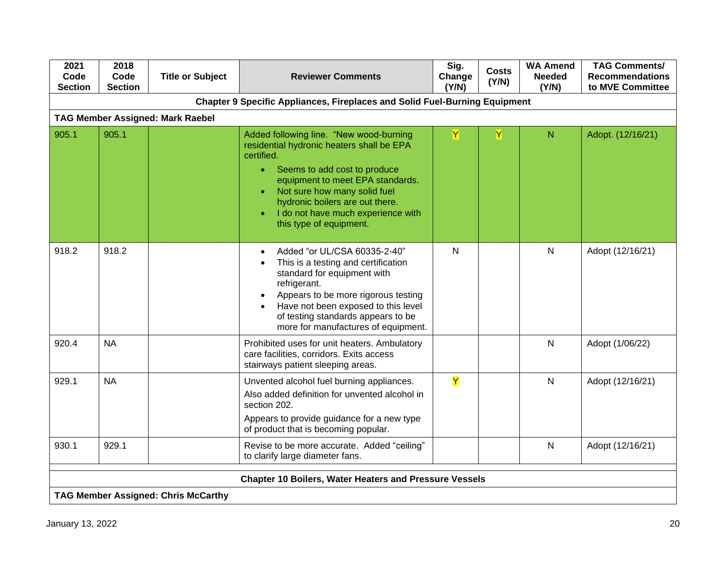| 2021<br>Code<br><b>Section</b> | 2018<br>Code<br><b>Section</b>                                | <b>Title or Subject</b>                    | <b>Reviewer Comments</b>                                                                                                                                                                                                                                                                                                             | Sig.<br>Change<br>(Y/N) | <b>Costs</b><br>(Y/N) | <b>WA Amend</b><br><b>Needed</b><br>(Y/N) | <b>TAG Comments/</b><br><b>Recommendations</b><br>to MVE Committee |  |  |
|--------------------------------|---------------------------------------------------------------|--------------------------------------------|--------------------------------------------------------------------------------------------------------------------------------------------------------------------------------------------------------------------------------------------------------------------------------------------------------------------------------------|-------------------------|-----------------------|-------------------------------------------|--------------------------------------------------------------------|--|--|
|                                |                                                               |                                            | <b>Chapter 9 Specific Appliances, Fireplaces and Solid Fuel-Burning Equipment</b>                                                                                                                                                                                                                                                    |                         |                       |                                           |                                                                    |  |  |
|                                |                                                               | <b>TAG Member Assigned: Mark Raebel</b>    |                                                                                                                                                                                                                                                                                                                                      |                         |                       |                                           |                                                                    |  |  |
| 905.1                          | 905.1                                                         |                                            | Added following line. "New wood-burning<br>residential hydronic heaters shall be EPA<br>certified.<br>Seems to add cost to produce<br>$\bullet$<br>equipment to meet EPA standards.<br>Not sure how many solid fuel<br>$\bullet$<br>hydronic boilers are out there.<br>I do not have much experience with<br>this type of equipment. | Y                       | Y                     | N                                         | Adopt. (12/16/21)                                                  |  |  |
| 918.2                          | 918.2                                                         |                                            | Added "or UL/CSA 60335-2-40"<br>$\bullet$<br>This is a testing and certification<br>$\bullet$<br>standard for equipment with<br>refrigerant.<br>Appears to be more rigorous testing<br>Have not been exposed to this level<br>$\bullet$<br>of testing standards appears to be<br>more for manufactures of equipment.                 | N                       |                       | N                                         | Adopt (12/16/21)                                                   |  |  |
| 920.4                          | <b>NA</b>                                                     |                                            | Prohibited uses for unit heaters. Ambulatory<br>care facilities, corridors. Exits access<br>stairways patient sleeping areas.                                                                                                                                                                                                        |                         |                       | $\mathsf{N}$                              | Adopt (1/06/22)                                                    |  |  |
| 929.1                          | <b>NA</b>                                                     |                                            | Unvented alcohol fuel burning appliances.<br>Also added definition for unvented alcohol in<br>section 202.<br>Appears to provide guidance for a new type<br>of product that is becoming popular.                                                                                                                                     | $\overline{\mathsf{Y}}$ |                       | N                                         | Adopt (12/16/21)                                                   |  |  |
| 930.1                          | 929.1                                                         |                                            | Revise to be more accurate. Added "ceiling"<br>to clarify large diameter fans.                                                                                                                                                                                                                                                       |                         |                       | $\mathsf{N}$                              | Adopt (12/16/21)                                                   |  |  |
|                                | <b>Chapter 10 Boilers, Water Heaters and Pressure Vessels</b> |                                            |                                                                                                                                                                                                                                                                                                                                      |                         |                       |                                           |                                                                    |  |  |
|                                |                                                               | <b>TAG Member Assigned: Chris McCarthy</b> |                                                                                                                                                                                                                                                                                                                                      |                         |                       |                                           |                                                                    |  |  |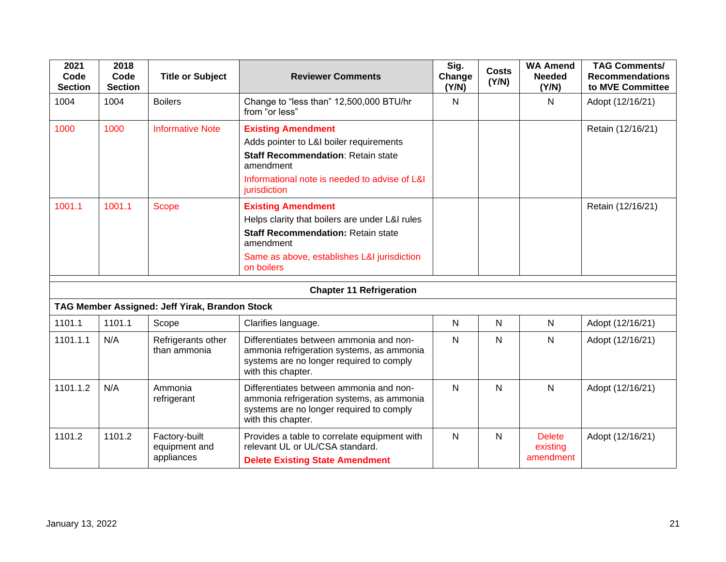| 2021<br>Code<br><b>Section</b> | 2018<br>Code<br><b>Section</b> | <b>Title or Subject</b>                        | <b>Reviewer Comments</b>                                                                                                                                                                           | Sig.<br>Change<br>(Y/N) | <b>Costs</b><br>(Y/N) | <b>WA Amend</b><br><b>Needed</b><br>(Y/N) | <b>TAG Comments/</b><br><b>Recommendations</b><br>to MVE Committee |
|--------------------------------|--------------------------------|------------------------------------------------|----------------------------------------------------------------------------------------------------------------------------------------------------------------------------------------------------|-------------------------|-----------------------|-------------------------------------------|--------------------------------------------------------------------|
| 1004                           | 1004                           | <b>Boilers</b>                                 | Change to "less than" 12,500,000 BTU/hr<br>from "or less"                                                                                                                                          | $\mathsf{N}$            |                       | N                                         | Adopt (12/16/21)                                                   |
| 1000                           | 1000                           | <b>Informative Note</b>                        | <b>Existing Amendment</b><br>Adds pointer to L&I boiler requirements<br><b>Staff Recommendation: Retain state</b><br>amendment<br>Informational note is needed to advise of L&I<br>jurisdiction    |                         |                       |                                           | Retain (12/16/21)                                                  |
| 1001.1                         | 1001.1                         | <b>Scope</b>                                   | <b>Existing Amendment</b><br>Helps clarity that boilers are under L&I rules<br><b>Staff Recommendation: Retain state</b><br>amendment<br>Same as above, establishes L&I jurisdiction<br>on boilers |                         |                       |                                           | Retain (12/16/21)                                                  |
|                                |                                |                                                | <b>Chapter 11 Refrigeration</b>                                                                                                                                                                    |                         |                       |                                           |                                                                    |
|                                |                                | TAG Member Assigned: Jeff Yirak, Brandon Stock |                                                                                                                                                                                                    |                         |                       |                                           |                                                                    |
| 1101.1                         | 1101.1                         | Scope                                          | Clarifies language.                                                                                                                                                                                | N                       | $\mathsf{N}$          | N                                         | Adopt (12/16/21)                                                   |
| 1101.1.1                       | N/A                            | Refrigerants other<br>than ammonia             | Differentiates between ammonia and non-<br>ammonia refrigeration systems, as ammonia<br>systems are no longer required to comply<br>with this chapter.                                             | N                       | N                     | $\mathsf{N}$                              | Adopt (12/16/21)                                                   |
| 1101.1.2                       | N/A                            | Ammonia<br>refrigerant                         | Differentiates between ammonia and non-<br>ammonia refrigeration systems, as ammonia<br>systems are no longer required to comply<br>with this chapter.                                             | N                       | N                     | N                                         | Adopt (12/16/21)                                                   |
| 1101.2                         | 1101.2                         | Factory-built<br>equipment and<br>appliances   | Provides a table to correlate equipment with<br>relevant UL or UL/CSA standard.<br><b>Delete Existing State Amendment</b>                                                                          | $\mathsf{N}$            | N                     | <b>Delete</b><br>existing<br>amendment    | Adopt (12/16/21)                                                   |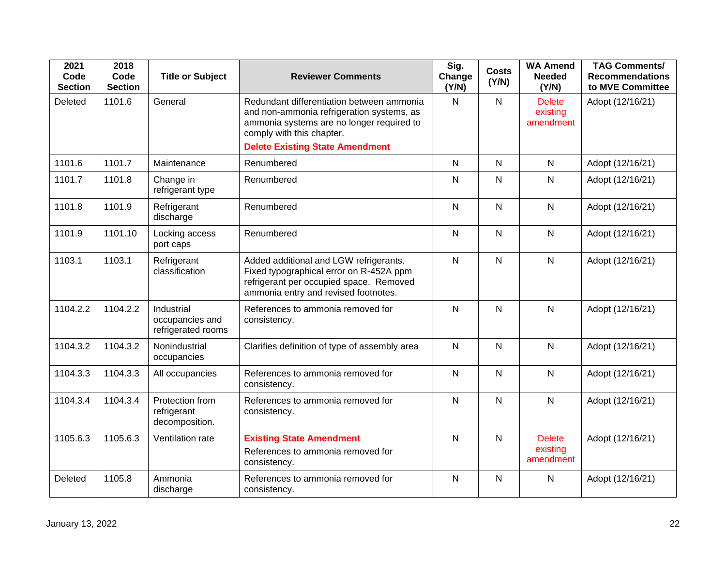| 2021<br>Code<br><b>Section</b> | 2018<br>Code<br><b>Section</b> | <b>Title or Subject</b>                             | <b>Reviewer Comments</b>                                                                                                                                                                                   | Sig.<br>Change<br>(Y/N) | <b>Costs</b><br>(Y/N) | <b>WA Amend</b><br><b>Needed</b><br>(Y/N) | <b>TAG Comments/</b><br><b>Recommendations</b><br>to MVE Committee |
|--------------------------------|--------------------------------|-----------------------------------------------------|------------------------------------------------------------------------------------------------------------------------------------------------------------------------------------------------------------|-------------------------|-----------------------|-------------------------------------------|--------------------------------------------------------------------|
| Deleted                        | 1101.6                         | General                                             | Redundant differentiation between ammonia<br>and non-ammonia refrigeration systems, as<br>ammonia systems are no longer required to<br>comply with this chapter.<br><b>Delete Existing State Amendment</b> | $\mathsf{N}$            | $\mathsf{N}$          | <b>Delete</b><br>existing<br>amendment    | Adopt (12/16/21)                                                   |
| 1101.6                         | 1101.7                         | Maintenance                                         | Renumbered                                                                                                                                                                                                 | $\mathsf{N}$            | $\mathsf{N}$          | $\mathsf{N}$                              | Adopt (12/16/21)                                                   |
| 1101.7                         | 1101.8                         | Change in<br>refrigerant type                       | Renumbered                                                                                                                                                                                                 | N                       | $\mathsf{N}$          | $\mathsf{N}$                              | Adopt (12/16/21)                                                   |
| 1101.8                         | 1101.9                         | Refrigerant<br>discharge                            | Renumbered                                                                                                                                                                                                 | $\mathsf{N}$            | $\mathsf{N}$          | $\mathsf{N}$                              | Adopt (12/16/21)                                                   |
| 1101.9                         | 1101.10                        | Locking access<br>port caps                         | Renumbered                                                                                                                                                                                                 | $\mathsf{N}$            | $\mathsf{N}$          | $\mathsf{N}$                              | Adopt (12/16/21)                                                   |
| 1103.1                         | 1103.1                         | Refrigerant<br>classification                       | Added additional and LGW refrigerants.<br>Fixed typographical error on R-452A ppm<br>refrigerant per occupied space. Removed<br>ammonia entry and revised footnotes.                                       | $\mathsf{N}$            | $\mathsf{N}$          | N                                         | Adopt (12/16/21)                                                   |
| 1104.2.2                       | 1104.2.2                       | Industrial<br>occupancies and<br>refrigerated rooms | References to ammonia removed for<br>consistency.                                                                                                                                                          | $\mathsf{N}$            | $\mathsf{N}$          | $\mathsf{N}$                              | Adopt (12/16/21)                                                   |
| 1104.3.2                       | 1104.3.2                       | Nonindustrial<br>occupancies                        | Clarifies definition of type of assembly area                                                                                                                                                              | $\mathsf{N}$            | $\mathsf{N}$          | N                                         | Adopt (12/16/21)                                                   |
| 1104.3.3                       | 1104.3.3                       | All occupancies                                     | References to ammonia removed for<br>consistency.                                                                                                                                                          | ${\sf N}$               | $\mathsf{N}$          | $\mathsf{N}$                              | Adopt (12/16/21)                                                   |
| 1104.3.4                       | 1104.3.4                       | Protection from<br>refrigerant<br>decomposition.    | References to ammonia removed for<br>consistency.                                                                                                                                                          | $\mathsf{N}$            | $\mathsf{N}$          | $\mathsf{N}$                              | Adopt (12/16/21)                                                   |
| 1105.6.3                       | 1105.6.3                       | Ventilation rate                                    | <b>Existing State Amendment</b><br>References to ammonia removed for<br>consistency.                                                                                                                       | N                       | $\mathsf{N}$          | <b>Delete</b><br>existing<br>amendment    | Adopt (12/16/21)                                                   |
| Deleted                        | 1105.8                         | Ammonia<br>discharge                                | References to ammonia removed for<br>consistency.                                                                                                                                                          | $\mathsf{N}$            | $\mathsf{N}$          | $\mathsf{N}$                              | Adopt (12/16/21)                                                   |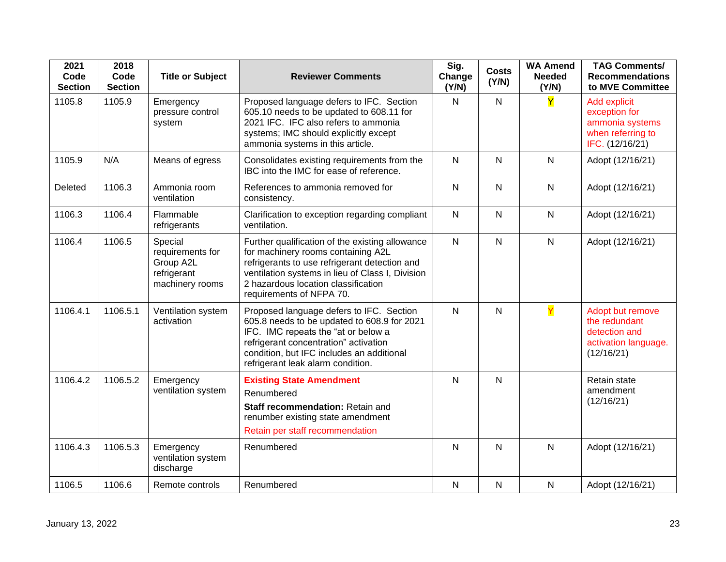| 2021<br>Code<br><b>Section</b> | 2018<br>Code<br><b>Section</b> | <b>Title or Subject</b>                                                    | <b>Reviewer Comments</b>                                                                                                                                                                                                                                      | Sig.<br>Change<br>(Y/N) | <b>Costs</b><br>(Y/N) | <b>WA Amend</b><br><b>Needed</b><br>(Y/N) | <b>TAG Comments/</b><br><b>Recommendations</b><br>to MVE Committee                       |
|--------------------------------|--------------------------------|----------------------------------------------------------------------------|---------------------------------------------------------------------------------------------------------------------------------------------------------------------------------------------------------------------------------------------------------------|-------------------------|-----------------------|-------------------------------------------|------------------------------------------------------------------------------------------|
| 1105.8                         | 1105.9                         | Emergency<br>pressure control<br>system                                    | Proposed language defers to IFC. Section<br>605.10 needs to be updated to 608.11 for<br>2021 IFC. IFC also refers to ammonia<br>systems; IMC should explicitly except<br>ammonia systems in this article.                                                     | $\mathsf{N}$            | $\mathsf{N}$          | Y                                         | Add explicit<br>exception for<br>ammonia systems<br>when referring to<br>IFC. (12/16/21) |
| 1105.9                         | N/A                            | Means of egress                                                            | Consolidates existing requirements from the<br>IBC into the IMC for ease of reference.                                                                                                                                                                        | $\mathsf{N}$            | $\mathsf{N}$          | Ν                                         | Adopt (12/16/21)                                                                         |
| Deleted                        | 1106.3                         | Ammonia room<br>ventilation                                                | References to ammonia removed for<br>consistency.                                                                                                                                                                                                             | $\mathsf{N}$            | $\mathsf{N}$          | $\mathsf{N}$                              | Adopt (12/16/21)                                                                         |
| 1106.3                         | 1106.4                         | Flammable<br>refrigerants                                                  | Clarification to exception regarding compliant<br>ventilation.                                                                                                                                                                                                | $\mathsf{N}$            | N                     | $\mathsf{N}$                              | Adopt (12/16/21)                                                                         |
| 1106.4                         | 1106.5                         | Special<br>requirements for<br>Group A2L<br>refrigerant<br>machinery rooms | Further qualification of the existing allowance<br>for machinery rooms containing A2L<br>refrigerants to use refrigerant detection and<br>ventilation systems in lieu of Class I, Division<br>2 hazardous location classification<br>requirements of NFPA 70. | $\mathsf{N}$            | $\mathsf{N}$          | N                                         | Adopt (12/16/21)                                                                         |
| 1106.4.1                       | 1106.5.1                       | Ventilation system<br>activation                                           | Proposed language defers to IFC. Section<br>605.8 needs to be updated to 608.9 for 2021<br>IFC. IMC repeats the "at or below a<br>refrigerant concentration" activation<br>condition, but IFC includes an additional<br>refrigerant leak alarm condition.     | $\mathsf{N}$            | $\mathsf{N}$          | Y                                         | Adopt but remove<br>the redundant<br>detection and<br>activation language.<br>(12/16/21) |
| 1106.4.2                       | 1106.5.2                       | Emergency<br>ventilation system                                            | <b>Existing State Amendment</b><br>Renumbered<br>Staff recommendation: Retain and<br>renumber existing state amendment<br>Retain per staff recommendation                                                                                                     | $\mathsf{N}$            | $\mathsf{N}$          |                                           | Retain state<br>amendment<br>(12/16/21)                                                  |
| 1106.4.3                       | 1106.5.3                       | Emergency<br>ventilation system<br>discharge                               | Renumbered                                                                                                                                                                                                                                                    | $\mathsf{N}$            | $\mathsf{N}$          | $\mathsf{N}$                              | Adopt (12/16/21)                                                                         |
| 1106.5                         | 1106.6                         | Remote controls                                                            | Renumbered                                                                                                                                                                                                                                                    | $\mathsf{N}$            | N                     | N                                         | Adopt (12/16/21)                                                                         |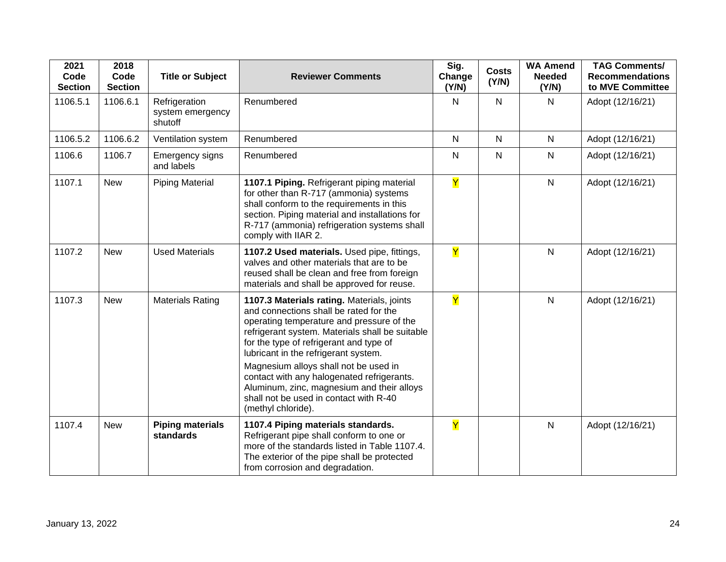| 2021<br>Code<br><b>Section</b> | 2018<br>Code<br><b>Section</b> | <b>Title or Subject</b>                      | <b>Reviewer Comments</b>                                                                                                                                                                                                                                                                                                                                                                                                                                                     | Sig.<br>Change<br>(Y/N) | <b>Costs</b><br>(Y/N) | <b>WA Amend</b><br><b>Needed</b><br>(Y/N) | <b>TAG Comments/</b><br><b>Recommendations</b><br>to MVE Committee |
|--------------------------------|--------------------------------|----------------------------------------------|------------------------------------------------------------------------------------------------------------------------------------------------------------------------------------------------------------------------------------------------------------------------------------------------------------------------------------------------------------------------------------------------------------------------------------------------------------------------------|-------------------------|-----------------------|-------------------------------------------|--------------------------------------------------------------------|
| 1106.5.1                       | 1106.6.1                       | Refrigeration<br>system emergency<br>shutoff | Renumbered                                                                                                                                                                                                                                                                                                                                                                                                                                                                   | $\mathsf{N}$            | $\mathsf{N}$          | N                                         | Adopt (12/16/21)                                                   |
| 1106.5.2                       | 1106.6.2                       | Ventilation system                           | Renumbered                                                                                                                                                                                                                                                                                                                                                                                                                                                                   | $\mathsf{N}$            | $\mathsf{N}$          | $\mathsf{N}$                              | Adopt (12/16/21)                                                   |
| 1106.6                         | 1106.7                         | Emergency signs<br>and labels                | Renumbered                                                                                                                                                                                                                                                                                                                                                                                                                                                                   | $\mathsf{N}$            | $\mathsf{N}$          | $\mathsf{N}$                              | Adopt (12/16/21)                                                   |
| 1107.1                         | <b>New</b>                     | <b>Piping Material</b>                       | 1107.1 Piping. Refrigerant piping material<br>for other than R-717 (ammonia) systems<br>shall conform to the requirements in this<br>section. Piping material and installations for<br>R-717 (ammonia) refrigeration systems shall<br>comply with IIAR 2.                                                                                                                                                                                                                    | Y                       |                       | $\mathsf{N}$                              | Adopt (12/16/21)                                                   |
| 1107.2                         | <b>New</b>                     | <b>Used Materials</b>                        | 1107.2 Used materials. Used pipe, fittings,<br>valves and other materials that are to be<br>reused shall be clean and free from foreign<br>materials and shall be approved for reuse.                                                                                                                                                                                                                                                                                        | Y                       |                       | $\mathsf{N}$                              | Adopt (12/16/21)                                                   |
| 1107.3                         | <b>New</b>                     | <b>Materials Rating</b>                      | 1107.3 Materials rating. Materials, joints<br>and connections shall be rated for the<br>operating temperature and pressure of the<br>refrigerant system. Materials shall be suitable<br>for the type of refrigerant and type of<br>lubricant in the refrigerant system.<br>Magnesium alloys shall not be used in<br>contact with any halogenated refrigerants.<br>Aluminum, zinc, magnesium and their alloys<br>shall not be used in contact with R-40<br>(methyl chloride). | Y                       |                       | $\mathsf{N}$                              | Adopt (12/16/21)                                                   |
| 1107.4                         | <b>New</b>                     | <b>Piping materials</b><br>standards         | 1107.4 Piping materials standards.<br>Refrigerant pipe shall conform to one or<br>more of the standards listed in Table 1107.4.<br>The exterior of the pipe shall be protected<br>from corrosion and degradation.                                                                                                                                                                                                                                                            | Y                       |                       | $\mathsf{N}$                              | Adopt (12/16/21)                                                   |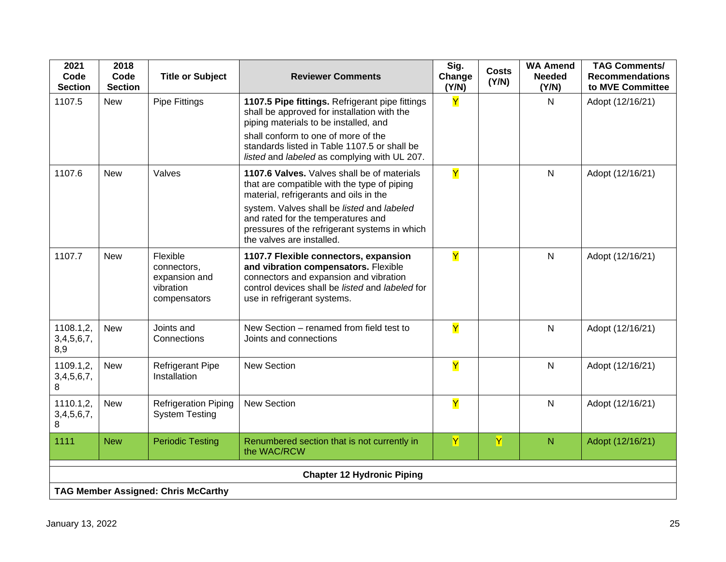| 2021<br>Code<br><b>Section</b>    | 2018<br>Code<br><b>Section</b> | <b>Title or Subject</b>                                               | <b>Reviewer Comments</b>                                                                                                                                                                                                                                                                               | Sig.<br>Change<br>(Y/N) | <b>Costs</b><br>(Y/N) | <b>WA Amend</b><br><b>Needed</b><br>(Y/N) | <b>TAG Comments/</b><br><b>Recommendations</b><br>to MVE Committee |  |
|-----------------------------------|--------------------------------|-----------------------------------------------------------------------|--------------------------------------------------------------------------------------------------------------------------------------------------------------------------------------------------------------------------------------------------------------------------------------------------------|-------------------------|-----------------------|-------------------------------------------|--------------------------------------------------------------------|--|
| 1107.5                            | <b>New</b>                     | Pipe Fittings                                                         | 1107.5 Pipe fittings. Refrigerant pipe fittings<br>shall be approved for installation with the<br>piping materials to be installed, and<br>shall conform to one of more of the<br>standards listed in Table 1107.5 or shall be<br>listed and labeled as complying with UL 207.                         | $\overline{\mathsf{Y}}$ |                       | N.                                        | Adopt (12/16/21)                                                   |  |
| 1107.6                            | <b>New</b>                     | Valves                                                                | 1107.6 Valves. Valves shall be of materials<br>that are compatible with the type of piping<br>material, refrigerants and oils in the<br>system. Valves shall be listed and labeled<br>and rated for the temperatures and<br>pressures of the refrigerant systems in which<br>the valves are installed. | Y                       |                       | N                                         | Adopt (12/16/21)                                                   |  |
| 1107.7                            | <b>New</b>                     | Flexible<br>connectors,<br>expansion and<br>vibration<br>compensators | 1107.7 Flexible connectors, expansion<br>and vibration compensators. Flexible<br>connectors and expansion and vibration<br>control devices shall be listed and labeled for<br>use in refrigerant systems.                                                                                              | $\mathbf Y$             |                       | N                                         | Adopt (12/16/21)                                                   |  |
| 1108.1,2,<br>3,4,5,6,7,<br>8,9    | <b>New</b>                     | Joints and<br>Connections                                             | New Section - renamed from field test to<br>Joints and connections                                                                                                                                                                                                                                     | Y                       |                       | N                                         | Adopt (12/16/21)                                                   |  |
| 1109.1,2,<br>3,4,5,6,7,<br>8      | <b>New</b>                     | <b>Refrigerant Pipe</b><br>Installation                               | <b>New Section</b>                                                                                                                                                                                                                                                                                     | $\overline{Y}$          |                       | N                                         | Adopt (12/16/21)                                                   |  |
| 1110.1,2,<br>3,4,5,6,7,<br>8      | <b>New</b>                     | <b>Refrigeration Piping</b><br><b>System Testing</b>                  | <b>New Section</b>                                                                                                                                                                                                                                                                                     | Y                       |                       | $\mathsf{N}$                              | Adopt (12/16/21)                                                   |  |
| 1111                              | <b>New</b>                     | <b>Periodic Testing</b>                                               | Renumbered section that is not currently in<br>the WAC/RCW                                                                                                                                                                                                                                             | $\overline{\mathsf{Y}}$ | $\overline{Y}$        | N                                         | Adopt (12/16/21)                                                   |  |
| <b>Chapter 12 Hydronic Piping</b> |                                |                                                                       |                                                                                                                                                                                                                                                                                                        |                         |                       |                                           |                                                                    |  |
|                                   |                                | <b>TAG Member Assigned: Chris McCarthy</b>                            |                                                                                                                                                                                                                                                                                                        |                         |                       |                                           |                                                                    |  |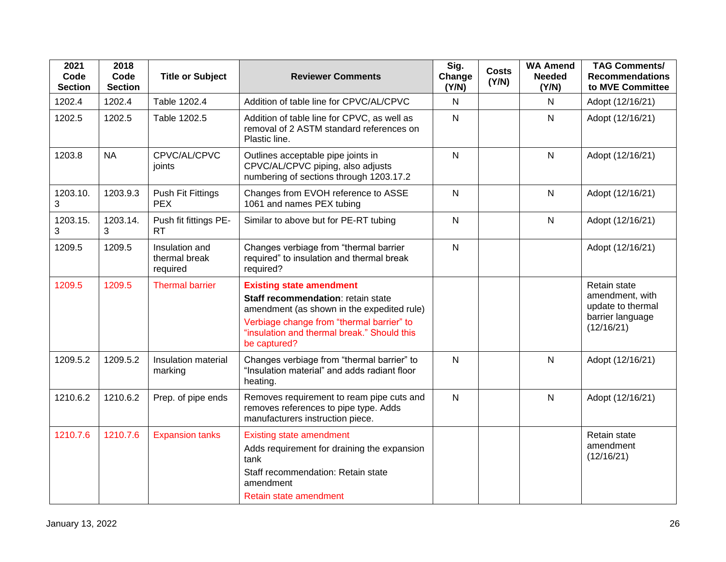| 2021<br>Code<br><b>Section</b> | 2018<br>Code<br><b>Section</b> | <b>Title or Subject</b>                     | <b>Reviewer Comments</b>                                                                                                                                                                                                        | Sig.<br>Change<br>(Y/N) | <b>Costs</b><br>(Y/N) | <b>WA Amend</b><br><b>Needed</b><br>(Y/N) | <b>TAG Comments/</b><br><b>Recommendations</b><br>to MVE Committee                     |
|--------------------------------|--------------------------------|---------------------------------------------|---------------------------------------------------------------------------------------------------------------------------------------------------------------------------------------------------------------------------------|-------------------------|-----------------------|-------------------------------------------|----------------------------------------------------------------------------------------|
| 1202.4                         | 1202.4                         | Table 1202.4                                | Addition of table line for CPVC/AL/CPVC                                                                                                                                                                                         | $\mathsf{N}$            |                       | N                                         | Adopt (12/16/21)                                                                       |
| 1202.5                         | 1202.5                         | Table 1202.5                                | Addition of table line for CPVC, as well as<br>removal of 2 ASTM standard references on<br>Plastic line.                                                                                                                        | $\mathsf{N}$            |                       | N                                         | Adopt (12/16/21)                                                                       |
| 1203.8                         | <b>NA</b>                      | CPVC/AL/CPVC<br>joints                      | Outlines acceptable pipe joints in<br>CPVC/AL/CPVC piping, also adjusts<br>numbering of sections through 1203.17.2                                                                                                              | ${\sf N}$               |                       | ${\sf N}$                                 | Adopt (12/16/21)                                                                       |
| 1203.10.<br>3                  | 1203.9.3                       | <b>Push Fit Fittings</b><br><b>PEX</b>      | Changes from EVOH reference to ASSE<br>1061 and names PEX tubing                                                                                                                                                                | ${\sf N}$               |                       | $\mathsf{N}$                              | Adopt (12/16/21)                                                                       |
| 1203.15.<br>3                  | 1203.14.                       | Push fit fittings PE-<br><b>RT</b>          | Similar to above but for PE-RT tubing                                                                                                                                                                                           | $\mathsf{N}$            |                       | $\mathsf{N}$                              | Adopt (12/16/21)                                                                       |
| 1209.5                         | 1209.5                         | Insulation and<br>thermal break<br>required | Changes verbiage from "thermal barrier<br>required" to insulation and thermal break<br>required?                                                                                                                                | $\mathsf{N}$            |                       |                                           | Adopt (12/16/21)                                                                       |
| 1209.5                         | 1209.5                         | <b>Thermal barrier</b>                      | <b>Existing state amendment</b><br>Staff recommendation: retain state<br>amendment (as shown in the expedited rule)<br>Verbiage change from "thermal barrier" to<br>"insulation and thermal break." Should this<br>be captured? |                         |                       |                                           | Retain state<br>amendment, with<br>update to thermal<br>barrier language<br>(12/16/21) |
| 1209.5.2                       | 1209.5.2                       | Insulation material<br>marking              | Changes verbiage from "thermal barrier" to<br>"Insulation material" and adds radiant floor<br>heating.                                                                                                                          | $\mathsf{N}$            |                       | $\mathsf{N}$                              | Adopt (12/16/21)                                                                       |
| 1210.6.2                       | 1210.6.2                       | Prep. of pipe ends                          | Removes requirement to ream pipe cuts and<br>removes references to pipe type. Adds<br>manufacturers instruction piece.                                                                                                          | $\mathsf{N}$            |                       | N                                         | Adopt (12/16/21)                                                                       |
| 1210.7.6                       | 1210.7.6                       | <b>Expansion tanks</b>                      | <b>Existing state amendment</b><br>Adds requirement for draining the expansion<br>tank<br>Staff recommendation: Retain state<br>amendment<br>Retain state amendment                                                             |                         |                       |                                           | Retain state<br>amendment<br>(12/16/21)                                                |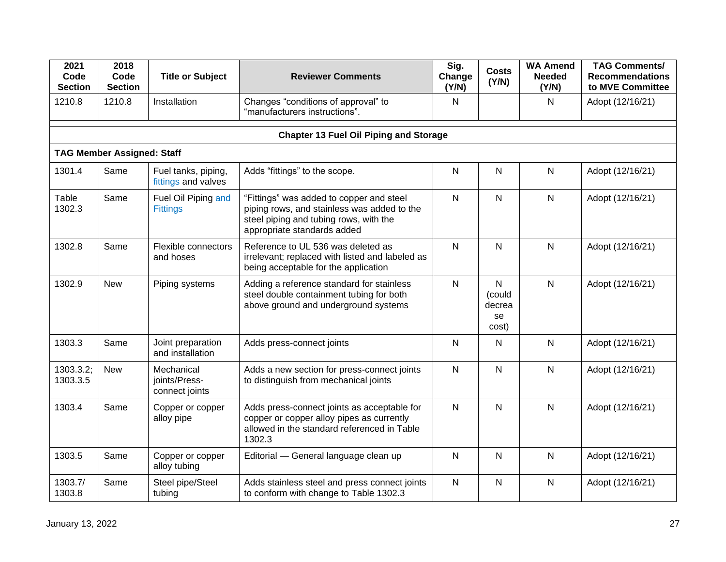| 2021<br>Code<br><b>Section</b> | 2018<br>Code<br><b>Section</b>    | <b>Title or Subject</b>                       | <b>Reviewer Comments</b>                                                                                                                                         | Sig.<br>Change<br>(Y/N) | <b>Costs</b><br>(Y/N)                           | <b>WA Amend</b><br><b>Needed</b><br>(Y/N) | <b>TAG Comments/</b><br><b>Recommendations</b><br>to MVE Committee |
|--------------------------------|-----------------------------------|-----------------------------------------------|------------------------------------------------------------------------------------------------------------------------------------------------------------------|-------------------------|-------------------------------------------------|-------------------------------------------|--------------------------------------------------------------------|
| 1210.8                         | 1210.8                            | Installation                                  | Changes "conditions of approval" to<br>"manufacturers instructions".                                                                                             | N                       |                                                 | N                                         | Adopt (12/16/21)                                                   |
|                                |                                   |                                               | <b>Chapter 13 Fuel Oil Piping and Storage</b>                                                                                                                    |                         |                                                 |                                           |                                                                    |
|                                | <b>TAG Member Assigned: Staff</b> |                                               |                                                                                                                                                                  |                         |                                                 |                                           |                                                                    |
| 1301.4                         | Same                              | Fuel tanks, piping,<br>fittings and valves    | Adds "fittings" to the scope.                                                                                                                                    | N                       | N                                               | N                                         | Adopt (12/16/21)                                                   |
| Table<br>1302.3                | Same                              | Fuel Oil Piping and<br><b>Fittings</b>        | "Fittings" was added to copper and steel<br>piping rows, and stainless was added to the<br>steel piping and tubing rows, with the<br>appropriate standards added | $\mathsf{N}$            | $\mathsf{N}$                                    | N                                         | Adopt (12/16/21)                                                   |
| 1302.8                         | Same                              | Flexible connectors<br>and hoses              | Reference to UL 536 was deleted as<br>irrelevant; replaced with listed and labeled as<br>being acceptable for the application                                    | $\mathsf{N}$            | N                                               | $\mathsf{N}$                              | Adopt (12/16/21)                                                   |
| 1302.9                         | <b>New</b>                        | Piping systems                                | Adding a reference standard for stainless<br>steel double containment tubing for both<br>above ground and underground systems                                    | ${\sf N}$               | $\mathsf{N}$<br>(could<br>decrea<br>se<br>cost) | N                                         | Adopt (12/16/21)                                                   |
| 1303.3                         | Same                              | Joint preparation<br>and installation         | Adds press-connect joints                                                                                                                                        | $\mathsf{N}$            | N                                               | N                                         | Adopt (12/16/21)                                                   |
| 1303.3.2;<br>1303.3.5          | <b>New</b>                        | Mechanical<br>joints/Press-<br>connect joints | Adds a new section for press-connect joints<br>to distinguish from mechanical joints                                                                             | $\mathsf{N}$            | N                                               | N                                         | Adopt (12/16/21)                                                   |
| 1303.4                         | Same                              | Copper or copper<br>alloy pipe                | Adds press-connect joints as acceptable for<br>copper or copper alloy pipes as currently<br>allowed in the standard referenced in Table<br>1302.3                | $\mathsf{N}$            | N                                               | N                                         | Adopt (12/16/21)                                                   |
| 1303.5                         | Same                              | Copper or copper<br>alloy tubing              | Editorial - General language clean up                                                                                                                            | $\mathsf{N}$            | N                                               | $\mathsf{N}$                              | Adopt (12/16/21)                                                   |
| 1303.7/<br>1303.8              | Same                              | Steel pipe/Steel<br>tubing                    | Adds stainless steel and press connect joints<br>to conform with change to Table 1302.3                                                                          | $\mathsf{N}$            | N                                               | N                                         | Adopt (12/16/21)                                                   |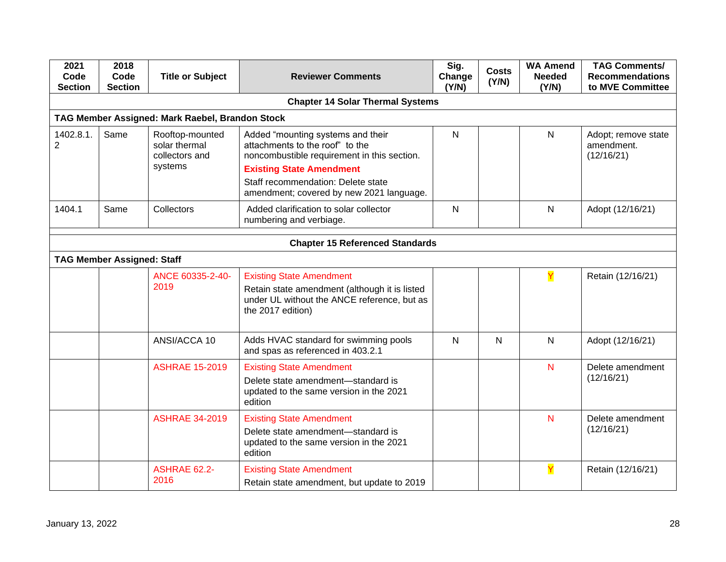| 2021<br>Code<br><b>Section</b>         | 2018<br>Code<br><b>Section</b>    | <b>Title or Subject</b>                                       | <b>Reviewer Comments</b>                                                                                                                                                                                                                 | Sig.<br>Change<br>(Y/N) | <b>Costs</b><br>(Y/N) | <b>WA Amend</b><br><b>Needed</b><br>(Y/N) | <b>TAG Comments/</b><br><b>Recommendations</b><br>to MVE Committee |  |  |
|----------------------------------------|-----------------------------------|---------------------------------------------------------------|------------------------------------------------------------------------------------------------------------------------------------------------------------------------------------------------------------------------------------------|-------------------------|-----------------------|-------------------------------------------|--------------------------------------------------------------------|--|--|
|                                        |                                   |                                                               | <b>Chapter 14 Solar Thermal Systems</b>                                                                                                                                                                                                  |                         |                       |                                           |                                                                    |  |  |
|                                        |                                   | TAG Member Assigned: Mark Raebel, Brandon Stock               |                                                                                                                                                                                                                                          |                         |                       |                                           |                                                                    |  |  |
| 1402.8.1.<br>$\overline{2}$            | Same                              | Rooftop-mounted<br>solar thermal<br>collectors and<br>systems | Added "mounting systems and their<br>attachments to the roof" to the<br>noncombustible requirement in this section.<br><b>Existing State Amendment</b><br>Staff recommendation: Delete state<br>amendment; covered by new 2021 language. | $\mathsf{N}$            |                       | N                                         | Adopt; remove state<br>amendment.<br>(12/16/21)                    |  |  |
| 1404.1                                 | Same                              | Collectors                                                    | Added clarification to solar collector<br>numbering and verbiage.                                                                                                                                                                        | $\mathsf{N}$            |                       | N                                         | Adopt (12/16/21)                                                   |  |  |
| <b>Chapter 15 Referenced Standards</b> |                                   |                                                               |                                                                                                                                                                                                                                          |                         |                       |                                           |                                                                    |  |  |
|                                        | <b>TAG Member Assigned: Staff</b> |                                                               |                                                                                                                                                                                                                                          |                         |                       |                                           |                                                                    |  |  |
|                                        |                                   | ANCE 60335-2-40-<br>2019                                      | <b>Existing State Amendment</b><br>Retain state amendment (although it is listed<br>under UL without the ANCE reference, but as<br>the 2017 edition)                                                                                     |                         |                       | Y                                         | Retain (12/16/21)                                                  |  |  |
|                                        |                                   | ANSI/ACCA 10                                                  | Adds HVAC standard for swimming pools<br>and spas as referenced in 403.2.1                                                                                                                                                               | $\overline{N}$          | $\overline{N}$        | N                                         | Adopt (12/16/21)                                                   |  |  |
|                                        |                                   | <b>ASHRAE 15-2019</b>                                         | <b>Existing State Amendment</b><br>Delete state amendment-standard is<br>updated to the same version in the 2021<br>edition                                                                                                              |                         |                       | N                                         | Delete amendment<br>(12/16/21)                                     |  |  |
|                                        |                                   | <b>ASHRAE 34-2019</b>                                         | <b>Existing State Amendment</b><br>Delete state amendment-standard is<br>updated to the same version in the 2021<br>edition                                                                                                              |                         |                       | N                                         | Delete amendment<br>(12/16/21)                                     |  |  |
|                                        |                                   | <b>ASHRAE 62.2-</b><br>2016                                   | <b>Existing State Amendment</b><br>Retain state amendment, but update to 2019                                                                                                                                                            |                         |                       | Ÿ                                         | Retain (12/16/21)                                                  |  |  |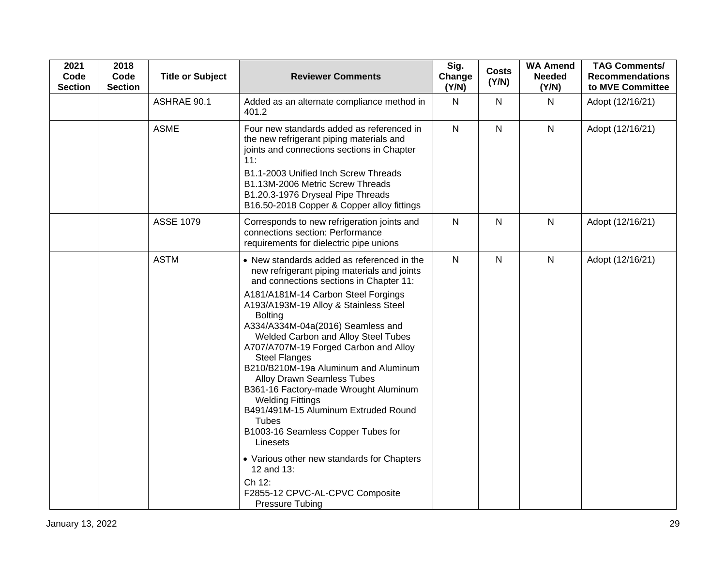| 2021<br>Code<br><b>Section</b> | 2018<br>Code<br><b>Section</b> | <b>Title or Subject</b> | <b>Reviewer Comments</b>                                                                                                                                                                                                                                                                                                                                                                                                                                                                                                                                                                                                                                                                                                                                                          | Sig.<br>Change<br>(Y/N) | <b>Costs</b><br>(Y/N) | <b>WA Amend</b><br><b>Needed</b><br>(Y/N) | <b>TAG Comments/</b><br><b>Recommendations</b><br>to MVE Committee |
|--------------------------------|--------------------------------|-------------------------|-----------------------------------------------------------------------------------------------------------------------------------------------------------------------------------------------------------------------------------------------------------------------------------------------------------------------------------------------------------------------------------------------------------------------------------------------------------------------------------------------------------------------------------------------------------------------------------------------------------------------------------------------------------------------------------------------------------------------------------------------------------------------------------|-------------------------|-----------------------|-------------------------------------------|--------------------------------------------------------------------|
|                                |                                | ASHRAE 90.1             | Added as an alternate compliance method in<br>401.2                                                                                                                                                                                                                                                                                                                                                                                                                                                                                                                                                                                                                                                                                                                               | $\mathsf{N}$            | $\mathsf{N}$          | N                                         | Adopt (12/16/21)                                                   |
|                                |                                | <b>ASME</b>             | Four new standards added as referenced in<br>the new refrigerant piping materials and<br>joints and connections sections in Chapter<br>11:<br>B1.1-2003 Unified Inch Screw Threads<br>B1.13M-2006 Metric Screw Threads<br>B1.20.3-1976 Dryseal Pipe Threads<br>B16.50-2018 Copper & Copper alloy fittings                                                                                                                                                                                                                                                                                                                                                                                                                                                                         | $\mathsf{N}$            | $\mathsf{N}$          | $\mathsf{N}$                              | Adopt (12/16/21)                                                   |
|                                |                                | <b>ASSE 1079</b>        | Corresponds to new refrigeration joints and<br>connections section: Performance<br>requirements for dielectric pipe unions                                                                                                                                                                                                                                                                                                                                                                                                                                                                                                                                                                                                                                                        | $\mathsf{N}$            | $\mathsf{N}$          | $\mathsf{N}$                              | Adopt (12/16/21)                                                   |
|                                |                                | <b>ASTM</b>             | • New standards added as referenced in the<br>new refrigerant piping materials and joints<br>and connections sections in Chapter 11:<br>A181/A181M-14 Carbon Steel Forgings<br>A193/A193M-19 Alloy & Stainless Steel<br><b>Bolting</b><br>A334/A334M-04a(2016) Seamless and<br>Welded Carbon and Alloy Steel Tubes<br>A707/A707M-19 Forged Carbon and Alloy<br><b>Steel Flanges</b><br>B210/B210M-19a Aluminum and Aluminum<br><b>Alloy Drawn Seamless Tubes</b><br>B361-16 Factory-made Wrought Aluminum<br><b>Welding Fittings</b><br>B491/491M-15 Aluminum Extruded Round<br><b>Tubes</b><br>B1003-16 Seamless Copper Tubes for<br>Linesets<br>• Various other new standards for Chapters<br>12 and 13:<br>Ch 12:<br>F2855-12 CPVC-AL-CPVC Composite<br><b>Pressure Tubing</b> | $\mathsf{N}$            | $\mathsf{N}$          | $\mathsf{N}$                              | Adopt (12/16/21)                                                   |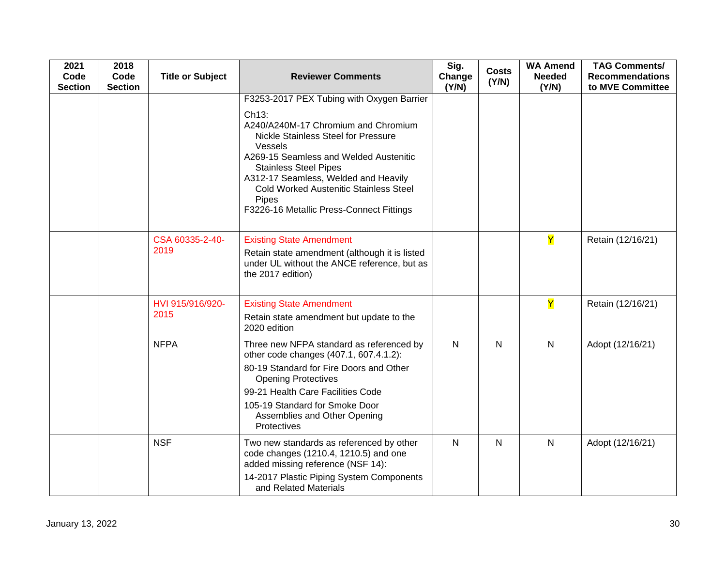| 2021<br>Code<br><b>Section</b> | 2018<br>Code<br><b>Section</b> | <b>Title or Subject</b>  | <b>Reviewer Comments</b>                                                                                                                                                                                                                                                                                                                                                         | Sig.<br>Change<br>(Y/N) | <b>Costs</b><br>(Y/N) | <b>WA Amend</b><br><b>Needed</b><br>(Y/N) | <b>TAG Comments/</b><br><b>Recommendations</b><br>to MVE Committee |
|--------------------------------|--------------------------------|--------------------------|----------------------------------------------------------------------------------------------------------------------------------------------------------------------------------------------------------------------------------------------------------------------------------------------------------------------------------------------------------------------------------|-------------------------|-----------------------|-------------------------------------------|--------------------------------------------------------------------|
|                                |                                |                          | F3253-2017 PEX Tubing with Oxygen Barrier<br>Ch <sub>13</sub> :<br>A240/A240M-17 Chromium and Chromium<br>Nickle Stainless Steel for Pressure<br>Vessels<br>A269-15 Seamless and Welded Austenitic<br><b>Stainless Steel Pipes</b><br>A312-17 Seamless, Welded and Heavily<br><b>Cold Worked Austenitic Stainless Steel</b><br>Pipes<br>F3226-16 Metallic Press-Connect Fittings |                         |                       |                                           |                                                                    |
|                                |                                | CSA 60335-2-40-<br>2019  | <b>Existing State Amendment</b><br>Retain state amendment (although it is listed<br>under UL without the ANCE reference, but as<br>the 2017 edition)                                                                                                                                                                                                                             |                         |                       | $\overline{\mathsf{Y}}$                   | Retain (12/16/21)                                                  |
|                                |                                | HVI 915/916/920-<br>2015 | <b>Existing State Amendment</b><br>Retain state amendment but update to the<br>2020 edition                                                                                                                                                                                                                                                                                      |                         |                       | Y                                         | Retain (12/16/21)                                                  |
|                                |                                | <b>NFPA</b>              | Three new NFPA standard as referenced by<br>other code changes (407.1, 607.4.1.2):<br>80-19 Standard for Fire Doors and Other<br><b>Opening Protectives</b><br>99-21 Health Care Facilities Code<br>105-19 Standard for Smoke Door<br>Assemblies and Other Opening<br>Protectives                                                                                                | $\mathsf{N}$            | $\mathsf{N}$          | $\mathsf{N}$                              | Adopt (12/16/21)                                                   |
|                                |                                | <b>NSF</b>               | Two new standards as referenced by other<br>code changes (1210.4, 1210.5) and one<br>added missing reference (NSF 14):<br>14-2017 Plastic Piping System Components<br>and Related Materials                                                                                                                                                                                      | N                       | $\mathsf{N}$          | $\mathsf{N}$                              | Adopt (12/16/21)                                                   |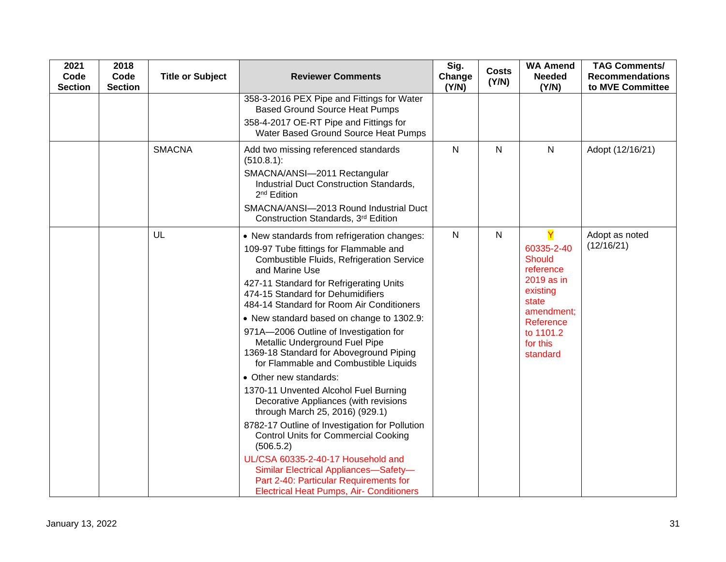| 2021<br>Code<br><b>Section</b> | 2018<br>Code<br><b>Section</b> | <b>Title or Subject</b> | <b>Reviewer Comments</b>                                                                                                                                                                                                                                                                                                                                                                                                                                                                       | Sig.<br>Change<br>(Y/N) | <b>Costs</b><br>(Y/N) | <b>WA Amend</b><br><b>Needed</b><br>(Y/N)                                                                                                   | <b>TAG Comments/</b><br><b>Recommendations</b><br>to MVE Committee |
|--------------------------------|--------------------------------|-------------------------|------------------------------------------------------------------------------------------------------------------------------------------------------------------------------------------------------------------------------------------------------------------------------------------------------------------------------------------------------------------------------------------------------------------------------------------------------------------------------------------------|-------------------------|-----------------------|---------------------------------------------------------------------------------------------------------------------------------------------|--------------------------------------------------------------------|
|                                |                                |                         | 358-3-2016 PEX Pipe and Fittings for Water<br><b>Based Ground Source Heat Pumps</b>                                                                                                                                                                                                                                                                                                                                                                                                            |                         |                       |                                                                                                                                             |                                                                    |
|                                |                                |                         | 358-4-2017 OE-RT Pipe and Fittings for<br>Water Based Ground Source Heat Pumps                                                                                                                                                                                                                                                                                                                                                                                                                 |                         |                       |                                                                                                                                             |                                                                    |
|                                |                                | <b>SMACNA</b>           | Add two missing referenced standards<br>(510.8.1):                                                                                                                                                                                                                                                                                                                                                                                                                                             | $\mathsf{N}$            | ${\sf N}$             | ${\sf N}$                                                                                                                                   | Adopt (12/16/21)                                                   |
|                                |                                |                         | SMACNA/ANSI-2011 Rectangular<br>Industrial Duct Construction Standards,<br>2 <sup>nd</sup> Edition                                                                                                                                                                                                                                                                                                                                                                                             |                         |                       |                                                                                                                                             |                                                                    |
|                                |                                |                         | SMACNA/ANSI-2013 Round Industrial Duct<br>Construction Standards, 3rd Edition                                                                                                                                                                                                                                                                                                                                                                                                                  |                         |                       |                                                                                                                                             |                                                                    |
|                                |                                | UL                      | • New standards from refrigeration changes:<br>109-97 Tube fittings for Flammable and<br>Combustible Fluids, Refrigeration Service<br>and Marine Use<br>427-11 Standard for Refrigerating Units<br>474-15 Standard for Dehumidifiers<br>484-14 Standard for Room Air Conditioners<br>• New standard based on change to 1302.9:<br>971A-2006 Outline of Investigation for<br>Metallic Underground Fuel Pipe<br>1369-18 Standard for Aboveground Piping<br>for Flammable and Combustible Liquids | $\mathsf{N}$            | $\mathsf{N}$          | 60335-2-40<br><b>Should</b><br>reference<br>2019 as in<br>existing<br>state<br>amendment;<br>Reference<br>to 1101.2<br>for this<br>standard | Adopt as noted<br>(12/16/21)                                       |
|                                |                                |                         | • Other new standards:<br>1370-11 Unvented Alcohol Fuel Burning<br>Decorative Appliances (with revisions<br>through March 25, 2016) (929.1)<br>8782-17 Outline of Investigation for Pollution<br><b>Control Units for Commercial Cooking</b><br>(506.5.2)<br>UL/CSA 60335-2-40-17 Household and<br>Similar Electrical Appliances-Safety-                                                                                                                                                       |                         |                       |                                                                                                                                             |                                                                    |
|                                |                                |                         | Part 2-40: Particular Requirements for<br><b>Electrical Heat Pumps, Air- Conditioners</b>                                                                                                                                                                                                                                                                                                                                                                                                      |                         |                       |                                                                                                                                             |                                                                    |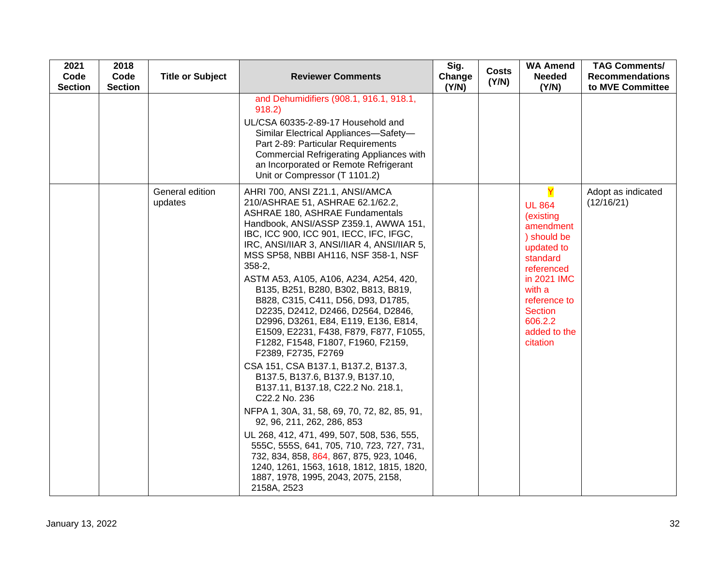| 2021<br>Code<br><b>Section</b> | 2018<br>Code<br><b>Section</b> | <b>Title or Subject</b>    | <b>Reviewer Comments</b>                                                                                                                                                                                                                                                                                                                                                                                                                                                                                                                                                                                                                                                                                                                                                                                                                                                                                                                                                                                                                                                       | Sig.<br>Change<br>(Y/N) | <b>Costs</b><br>(Y/N) | <b>WA Amend</b><br><b>Needed</b><br>(Y/N)                                                                                                                                                             | <b>TAG Comments/</b><br><b>Recommendations</b><br>to MVE Committee |
|--------------------------------|--------------------------------|----------------------------|--------------------------------------------------------------------------------------------------------------------------------------------------------------------------------------------------------------------------------------------------------------------------------------------------------------------------------------------------------------------------------------------------------------------------------------------------------------------------------------------------------------------------------------------------------------------------------------------------------------------------------------------------------------------------------------------------------------------------------------------------------------------------------------------------------------------------------------------------------------------------------------------------------------------------------------------------------------------------------------------------------------------------------------------------------------------------------|-------------------------|-----------------------|-------------------------------------------------------------------------------------------------------------------------------------------------------------------------------------------------------|--------------------------------------------------------------------|
|                                |                                |                            | and Dehumidifiers (908.1, 916.1, 918.1,<br>918.2)<br>UL/CSA 60335-2-89-17 Household and<br>Similar Electrical Appliances-Safety-<br>Part 2-89: Particular Requirements<br><b>Commercial Refrigerating Appliances with</b><br>an Incorporated or Remote Refrigerant<br>Unit or Compressor (T 1101.2)                                                                                                                                                                                                                                                                                                                                                                                                                                                                                                                                                                                                                                                                                                                                                                            |                         |                       |                                                                                                                                                                                                       |                                                                    |
|                                |                                | General edition<br>updates | AHRI 700, ANSI Z21.1, ANSI/AMCA<br>210/ASHRAE 51, ASHRAE 62.1/62.2,<br><b>ASHRAE 180, ASHRAE Fundamentals</b><br>Handbook, ANSI/ASSP Z359.1, AWWA 151,<br>IBC, ICC 900, ICC 901, IECC, IFC, IFGC,<br>IRC, ANSI/IIAR 3, ANSI/IIAR 4, ANSI/IIAR 5,<br>MSS SP58, NBBI AH116, NSF 358-1, NSF<br>$358 - 2$ ,<br>ASTM A53, A105, A106, A234, A254, 420,<br>B135, B251, B280, B302, B813, B819,<br>B828, C315, C411, D56, D93, D1785,<br>D2235, D2412, D2466, D2564, D2846,<br>D2996, D3261, E84, E119, E136, E814,<br>E1509, E2231, F438, F879, F877, F1055,<br>F1282, F1548, F1807, F1960, F2159,<br>F2389, F2735, F2769<br>CSA 151, CSA B137.1, B137.2, B137.3,<br>B137.5, B137.6, B137.9, B137.10,<br>B137.11, B137.18, C22.2 No. 218.1,<br>C22.2 No. 236<br>NFPA 1, 30A, 31, 58, 69, 70, 72, 82, 85, 91,<br>92, 96, 211, 262, 286, 853<br>UL 268, 412, 471, 499, 507, 508, 536, 555,<br>555C, 555S, 641, 705, 710, 723, 727, 731,<br>732, 834, 858, 864, 867, 875, 923, 1046,<br>1240, 1261, 1563, 1618, 1812, 1815, 1820,<br>1887, 1978, 1995, 2043, 2075, 2158,<br>2158A, 2523 |                         |                       | Y<br><b>UL 864</b><br>(existing<br>amendment<br>) should be<br>updated to<br>standard<br>referenced<br>in 2021 IMC<br>with a<br>reference to<br><b>Section</b><br>606.2.2<br>added to the<br>citation | Adopt as indicated<br>(12/16/21)                                   |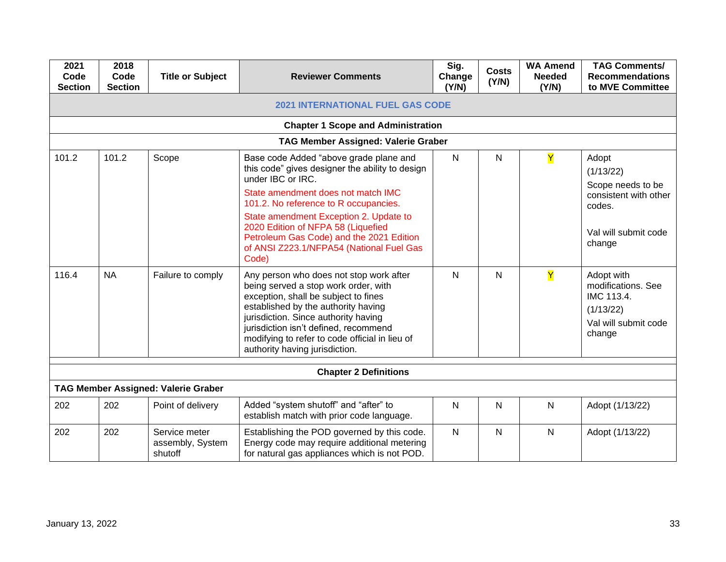| 2021<br>Code<br><b>Section</b>            | 2018<br>Code<br><b>Section</b> | <b>Title or Subject</b>                      | <b>Reviewer Comments</b>                                                                                                                                                                                                                                                                                                                                                       | Sig.<br>Change<br>(Y/N) | <b>Costs</b><br>(Y/N) | <b>WA Amend</b><br><b>Needed</b><br>(Y/N) | <b>TAG Comments/</b><br><b>Recommendations</b><br>to MVE Committee                                           |  |  |  |  |
|-------------------------------------------|--------------------------------|----------------------------------------------|--------------------------------------------------------------------------------------------------------------------------------------------------------------------------------------------------------------------------------------------------------------------------------------------------------------------------------------------------------------------------------|-------------------------|-----------------------|-------------------------------------------|--------------------------------------------------------------------------------------------------------------|--|--|--|--|
| <b>2021 INTERNATIONAL FUEL GAS CODE</b>   |                                |                                              |                                                                                                                                                                                                                                                                                                                                                                                |                         |                       |                                           |                                                                                                              |  |  |  |  |
| <b>Chapter 1 Scope and Administration</b> |                                |                                              |                                                                                                                                                                                                                                                                                                                                                                                |                         |                       |                                           |                                                                                                              |  |  |  |  |
|                                           |                                |                                              | <b>TAG Member Assigned: Valerie Graber</b>                                                                                                                                                                                                                                                                                                                                     |                         |                       |                                           |                                                                                                              |  |  |  |  |
| 101.2                                     | 101.2                          | Scope                                        | Base code Added "above grade plane and<br>this code" gives designer the ability to design<br>under IBC or IRC.<br>State amendment does not match IMC<br>101.2. No reference to R occupancies.<br>State amendment Exception 2. Update to<br>2020 Edition of NFPA 58 (Liquefied<br>Petroleum Gas Code) and the 2021 Edition<br>of ANSI Z223.1/NFPA54 (National Fuel Gas<br>Code) | N                       | N                     | Y                                         | Adopt<br>(1/13/22)<br>Scope needs to be<br>consistent with other<br>codes.<br>Val will submit code<br>change |  |  |  |  |
| 116.4                                     | <b>NA</b>                      | Failure to comply                            | Any person who does not stop work after<br>being served a stop work order, with<br>exception, shall be subject to fines<br>established by the authority having<br>jurisdiction. Since authority having<br>jurisdiction isn't defined, recommend<br>modifying to refer to code official in lieu of<br>authority having jurisdiction.                                            | N                       | $\mathsf{N}$          | Y                                         | Adopt with<br>modifications. See<br>IMC 113.4.<br>(1/13/22)<br>Val will submit code<br>change                |  |  |  |  |
|                                           |                                |                                              | <b>Chapter 2 Definitions</b>                                                                                                                                                                                                                                                                                                                                                   |                         |                       |                                           |                                                                                                              |  |  |  |  |
|                                           |                                | <b>TAG Member Assigned: Valerie Graber</b>   |                                                                                                                                                                                                                                                                                                                                                                                |                         |                       |                                           |                                                                                                              |  |  |  |  |
| 202                                       | 202                            | Point of delivery                            | Added "system shutoff" and "after" to<br>establish match with prior code language.                                                                                                                                                                                                                                                                                             | N                       | N                     | N                                         | Adopt (1/13/22)                                                                                              |  |  |  |  |
| 202                                       | 202                            | Service meter<br>assembly, System<br>shutoff | Establishing the POD governed by this code.<br>Energy code may require additional metering<br>for natural gas appliances which is not POD.                                                                                                                                                                                                                                     | N                       | N                     | $\mathsf{N}$                              | Adopt (1/13/22)                                                                                              |  |  |  |  |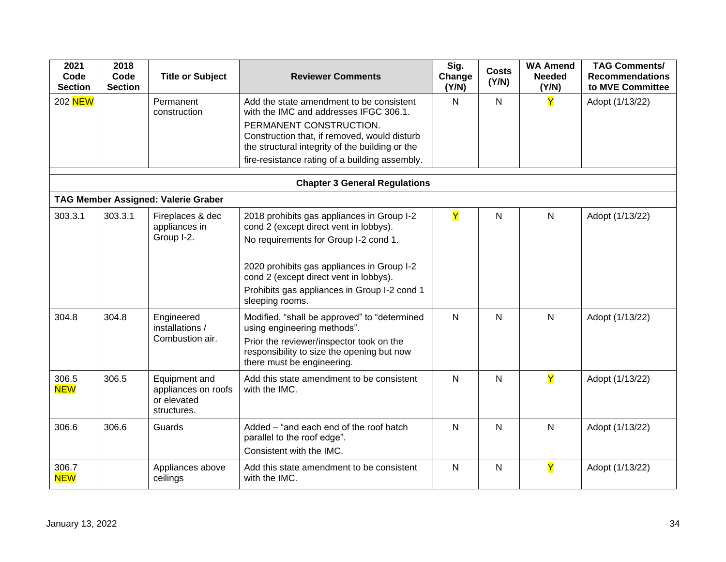| 2021<br>Code<br><b>Section</b> | 2018<br>Code<br><b>Section</b>       | <b>Title or Subject</b>                                                          | <b>Reviewer Comments</b>                                                                                                                                                                                                                                                                                                                                                | Sig.<br>Change<br>(Y/N) | <b>Costs</b><br>(Y/N) | <b>WA Amend</b><br>Needed<br>(Y/N) | <b>TAG Comments/</b><br><b>Recommendations</b><br>to MVE Committee |  |  |  |
|--------------------------------|--------------------------------------|----------------------------------------------------------------------------------|-------------------------------------------------------------------------------------------------------------------------------------------------------------------------------------------------------------------------------------------------------------------------------------------------------------------------------------------------------------------------|-------------------------|-----------------------|------------------------------------|--------------------------------------------------------------------|--|--|--|
| 202 NEW                        |                                      | Permanent<br>construction                                                        | Add the state amendment to be consistent<br>with the IMC and addresses IFGC 306.1.<br>PERMANENT CONSTRUCTION.<br>Construction that, if removed, would disturb<br>the structural integrity of the building or the<br>fire-resistance rating of a building assembly.                                                                                                      | N                       | $\mathsf{N}$          | Y                                  | Adopt (1/13/22)                                                    |  |  |  |
|                                | <b>Chapter 3 General Regulations</b> |                                                                                  |                                                                                                                                                                                                                                                                                                                                                                         |                         |                       |                                    |                                                                    |  |  |  |
|                                |                                      | <b>TAG Member Assigned: Valerie Graber</b>                                       |                                                                                                                                                                                                                                                                                                                                                                         |                         |                       |                                    |                                                                    |  |  |  |
| 303.3.1<br>304.8               | 303.3.1<br>304.8                     | Fireplaces & dec<br>appliances in<br>Group I-2.<br>Engineered<br>installations / | 2018 prohibits gas appliances in Group I-2<br>cond 2 (except direct vent in lobbys).<br>No requirements for Group I-2 cond 1.<br>2020 prohibits gas appliances in Group I-2<br>cond 2 (except direct vent in lobbys).<br>Prohibits gas appliances in Group I-2 cond 1<br>sleeping rooms.<br>Modified, "shall be approved" to "determined<br>using engineering methods". | Y<br>$\mathsf{N}$       | $\mathsf{N}$<br>N     | $\mathsf{N}$<br>N                  | Adopt (1/13/22)<br>Adopt (1/13/22)                                 |  |  |  |
|                                |                                      | Combustion air.                                                                  | Prior the reviewer/inspector took on the<br>responsibility to size the opening but now<br>there must be engineering.                                                                                                                                                                                                                                                    |                         |                       |                                    |                                                                    |  |  |  |
| 306.5<br><b>NEW</b>            | 306.5                                | Equipment and<br>appliances on roofs<br>or elevated<br>structures.               | Add this state amendment to be consistent<br>with the IMC.                                                                                                                                                                                                                                                                                                              | $\mathsf{N}$            | $\mathsf{N}$          | Ÿ                                  | Adopt (1/13/22)                                                    |  |  |  |
| 306.6                          | 306.6                                | Guards                                                                           | Added - "and each end of the roof hatch<br>parallel to the roof edge".<br>Consistent with the IMC.                                                                                                                                                                                                                                                                      | N                       | $\mathsf{N}$          | N                                  | Adopt (1/13/22)                                                    |  |  |  |
| 306.7<br><b>NEW</b>            |                                      | Appliances above<br>ceilings                                                     | Add this state amendment to be consistent<br>with the IMC.                                                                                                                                                                                                                                                                                                              | $\mathsf{N}$            | $\mathsf{N}$          | Y                                  | Adopt (1/13/22)                                                    |  |  |  |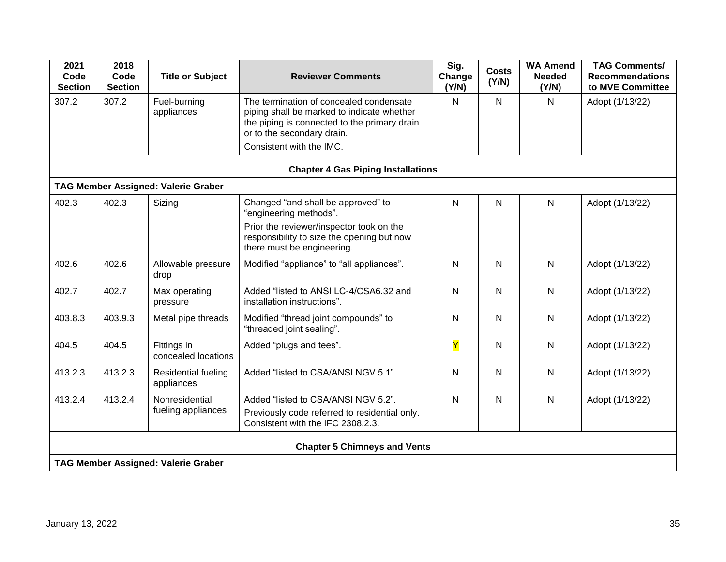| 2021<br>Code<br><b>Section</b>            | 2018<br>Code<br><b>Section</b> | <b>Title or Subject</b>                    | <b>Reviewer Comments</b>                                                                                                                                                                        | Sig.<br>Change<br>(Y/N) | <b>Costs</b><br>(Y/N) | <b>WA Amend</b><br><b>Needed</b><br>(Y/N) | <b>TAG Comments/</b><br><b>Recommendations</b><br>to MVE Committee |  |  |  |
|-------------------------------------------|--------------------------------|--------------------------------------------|-------------------------------------------------------------------------------------------------------------------------------------------------------------------------------------------------|-------------------------|-----------------------|-------------------------------------------|--------------------------------------------------------------------|--|--|--|
| 307.2                                     | 307.2                          | Fuel-burning<br>appliances                 | The termination of concealed condensate<br>piping shall be marked to indicate whether<br>the piping is connected to the primary drain<br>or to the secondary drain.<br>Consistent with the IMC. | $\mathsf{N}$            | $\mathsf{N}$          | N                                         | Adopt (1/13/22)                                                    |  |  |  |
| <b>Chapter 4 Gas Piping Installations</b> |                                |                                            |                                                                                                                                                                                                 |                         |                       |                                           |                                                                    |  |  |  |
|                                           |                                | <b>TAG Member Assigned: Valerie Graber</b> |                                                                                                                                                                                                 |                         |                       |                                           |                                                                    |  |  |  |
| 402.3                                     | 402.3                          | Sizing                                     | Changed "and shall be approved" to<br>"engineering methods".<br>Prior the reviewer/inspector took on the<br>responsibility to size the opening but now<br>there must be engineering.            | $\mathsf{N}$            | N                     | N                                         | Adopt (1/13/22)                                                    |  |  |  |
| 402.6                                     | 402.6                          | Allowable pressure<br>drop                 | Modified "appliance" to "all appliances".                                                                                                                                                       | $\mathsf{N}$            | $\mathsf{N}$          | N                                         | Adopt (1/13/22)                                                    |  |  |  |
| 402.7                                     | 402.7                          | Max operating<br>pressure                  | Added "listed to ANSI LC-4/CSA6.32 and<br>installation instructions".                                                                                                                           | $\mathsf{N}$            | $\mathsf{N}$          | N                                         | Adopt (1/13/22)                                                    |  |  |  |
| 403.8.3                                   | 403.9.3                        | Metal pipe threads                         | Modified "thread joint compounds" to<br>"threaded joint sealing".                                                                                                                               | $\mathsf{N}$            | N                     | N                                         | Adopt (1/13/22)                                                    |  |  |  |
| 404.5                                     | 404.5                          | Fittings in<br>concealed locations         | Added "plugs and tees".                                                                                                                                                                         | Y                       | N                     | N                                         | Adopt (1/13/22)                                                    |  |  |  |
| 413.2.3                                   | 413.2.3                        | <b>Residential fueling</b><br>appliances   | Added "listed to CSA/ANSI NGV 5.1".                                                                                                                                                             | $\mathsf{N}$            | N                     | N                                         | Adopt (1/13/22)                                                    |  |  |  |
| 413.2.4                                   | 413.2.4                        | Nonresidential<br>fueling appliances       | Added "listed to CSA/ANSI NGV 5.2".<br>Previously code referred to residential only.<br>Consistent with the IFC 2308.2.3.                                                                       | $\mathsf{N}$            | $\overline{N}$        | N                                         | Adopt (1/13/22)                                                    |  |  |  |
| <b>Chapter 5 Chimneys and Vents</b>       |                                |                                            |                                                                                                                                                                                                 |                         |                       |                                           |                                                                    |  |  |  |
|                                           |                                | <b>TAG Member Assigned: Valerie Graber</b> |                                                                                                                                                                                                 |                         |                       |                                           |                                                                    |  |  |  |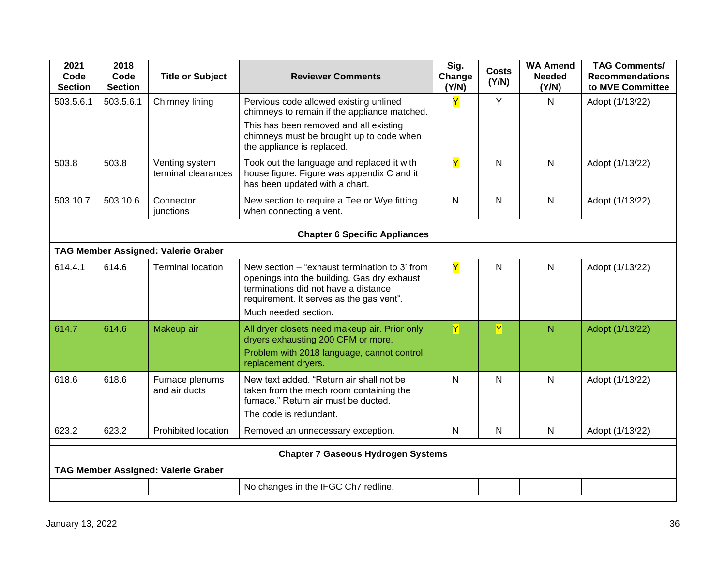| 2021<br>Code<br><b>Section</b>            | 2018<br>Code<br><b>Section</b>             | <b>Title or Subject</b>                    | <b>Reviewer Comments</b>                                                                                                                                                                                   | Sig.<br>Change<br>(Y/N) | <b>Costs</b><br>(Y/N) | <b>WA Amend</b><br><b>Needed</b><br>(Y/N) | <b>TAG Comments/</b><br><b>Recommendations</b><br>to MVE Committee |  |
|-------------------------------------------|--------------------------------------------|--------------------------------------------|------------------------------------------------------------------------------------------------------------------------------------------------------------------------------------------------------------|-------------------------|-----------------------|-------------------------------------------|--------------------------------------------------------------------|--|
| 503.5.6.1                                 | 503.5.6.1                                  | Chimney lining                             | Pervious code allowed existing unlined<br>chimneys to remain if the appliance matched.<br>This has been removed and all existing<br>chimneys must be brought up to code when<br>the appliance is replaced. | Y                       | Y                     | N                                         | Adopt (1/13/22)                                                    |  |
| 503.8                                     | 503.8                                      | Venting system<br>terminal clearances      | Took out the language and replaced it with<br>house figure. Figure was appendix C and it<br>has been updated with a chart.                                                                                 | Y                       | $\mathsf{N}$          | $\mathsf{N}$                              | Adopt (1/13/22)                                                    |  |
| 503.10.7                                  | 503.10.6                                   | Connector<br>junctions                     | New section to require a Tee or Wye fitting<br>when connecting a vent.                                                                                                                                     | $\mathsf{N}$            | $\mathsf{N}$          | N                                         | Adopt (1/13/22)                                                    |  |
|                                           |                                            |                                            | <b>Chapter 6 Specific Appliances</b>                                                                                                                                                                       |                         |                       |                                           |                                                                    |  |
|                                           |                                            | <b>TAG Member Assigned: Valerie Graber</b> |                                                                                                                                                                                                            |                         |                       |                                           |                                                                    |  |
| 614.4.1                                   | 614.6                                      | <b>Terminal location</b>                   | New section - "exhaust termination to 3' from<br>openings into the building. Gas dry exhaust<br>terminations did not have a distance<br>requirement. It serves as the gas vent".<br>Much needed section.   | Y                       | ${\sf N}$             | $\mathsf{N}$                              | Adopt (1/13/22)                                                    |  |
| 614.7                                     | 614.6                                      | Makeup air                                 | All dryer closets need makeup air. Prior only<br>dryers exhausting 200 CFM or more.<br>Problem with 2018 language, cannot control<br>replacement dryers.                                                   | $\overline{\mathsf{Y}}$ | Y                     | N                                         | Adopt (1/13/22)                                                    |  |
| 618.6                                     | 618.6                                      | Furnace plenums<br>and air ducts           | New text added. "Return air shall not be<br>taken from the mech room containing the<br>furnace." Return air must be ducted.<br>The code is redundant.                                                      | $\mathsf{N}$            | $\mathsf{N}$          | N                                         | Adopt (1/13/22)                                                    |  |
| 623.2                                     | 623.2                                      | Prohibited location                        | Removed an unnecessary exception.                                                                                                                                                                          | $\mathsf{N}$            | ${\sf N}$             | $\mathsf{N}$                              | Adopt (1/13/22)                                                    |  |
| <b>Chapter 7 Gaseous Hydrogen Systems</b> |                                            |                                            |                                                                                                                                                                                                            |                         |                       |                                           |                                                                    |  |
|                                           | <b>TAG Member Assigned: Valerie Graber</b> |                                            |                                                                                                                                                                                                            |                         |                       |                                           |                                                                    |  |
|                                           |                                            |                                            | No changes in the IFGC Ch7 redline.                                                                                                                                                                        |                         |                       |                                           |                                                                    |  |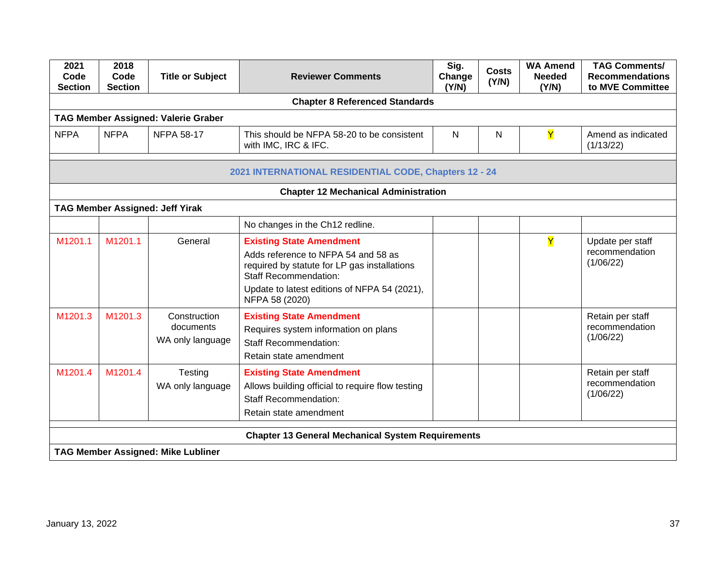| 2021<br>Code<br><b>Section</b>                        | 2018<br>Code<br><b>Section</b> | <b>Title or Subject</b>                       | <b>Reviewer Comments</b>                                                                                                                                                                                                 | Sig.<br>Change<br>(Y/N) | <b>Costs</b><br>(Y/N) | <b>WA Amend</b><br><b>Needed</b><br>(Y/N) | <b>TAG Comments/</b><br><b>Recommendations</b><br>to MVE Committee |  |
|-------------------------------------------------------|--------------------------------|-----------------------------------------------|--------------------------------------------------------------------------------------------------------------------------------------------------------------------------------------------------------------------------|-------------------------|-----------------------|-------------------------------------------|--------------------------------------------------------------------|--|
|                                                       |                                |                                               | <b>Chapter 8 Referenced Standards</b>                                                                                                                                                                                    |                         |                       |                                           |                                                                    |  |
|                                                       |                                | <b>TAG Member Assigned: Valerie Graber</b>    |                                                                                                                                                                                                                          |                         |                       |                                           |                                                                    |  |
| <b>NFPA</b>                                           | <b>NFPA</b>                    | <b>NFPA 58-17</b>                             | This should be NFPA 58-20 to be consistent<br>with IMC, IRC & IFC.                                                                                                                                                       | N                       | N                     | Y                                         | Amend as indicated<br>(1/13/22)                                    |  |
| 2021 INTERNATIONAL RESIDENTIAL CODE, Chapters 12 - 24 |                                |                                               |                                                                                                                                                                                                                          |                         |                       |                                           |                                                                    |  |
|                                                       |                                |                                               | <b>Chapter 12 Mechanical Administration</b>                                                                                                                                                                              |                         |                       |                                           |                                                                    |  |
|                                                       |                                | <b>TAG Member Assigned: Jeff Yirak</b>        |                                                                                                                                                                                                                          |                         |                       |                                           |                                                                    |  |
|                                                       |                                |                                               | No changes in the Ch12 redline.                                                                                                                                                                                          |                         |                       |                                           |                                                                    |  |
| M1201.1                                               | M1201.1                        | General                                       | <b>Existing State Amendment</b><br>Adds reference to NFPA 54 and 58 as<br>required by statute for LP gas installations<br><b>Staff Recommendation:</b><br>Update to latest editions of NFPA 54 (2021),<br>NFPA 58 (2020) |                         |                       | Y                                         | Update per staff<br>recommendation<br>(1/06/22)                    |  |
| M1201.3                                               | M1201.3                        | Construction<br>documents<br>WA only language | <b>Existing State Amendment</b><br>Requires system information on plans<br><b>Staff Recommendation:</b><br>Retain state amendment                                                                                        |                         |                       |                                           | Retain per staff<br>recommendation<br>(1/06/22)                    |  |
| M1201.4                                               | M1201.4                        | Testing<br>WA only language                   | <b>Existing State Amendment</b><br>Allows building official to require flow testing<br><b>Staff Recommendation:</b><br>Retain state amendment                                                                            |                         |                       |                                           | Retain per staff<br>recommendation<br>(1/06/22)                    |  |
|                                                       |                                |                                               | <b>Chapter 13 General Mechanical System Requirements</b>                                                                                                                                                                 |                         |                       |                                           |                                                                    |  |
|                                                       |                                | <b>TAG Member Assigned: Mike Lubliner</b>     |                                                                                                                                                                                                                          |                         |                       |                                           |                                                                    |  |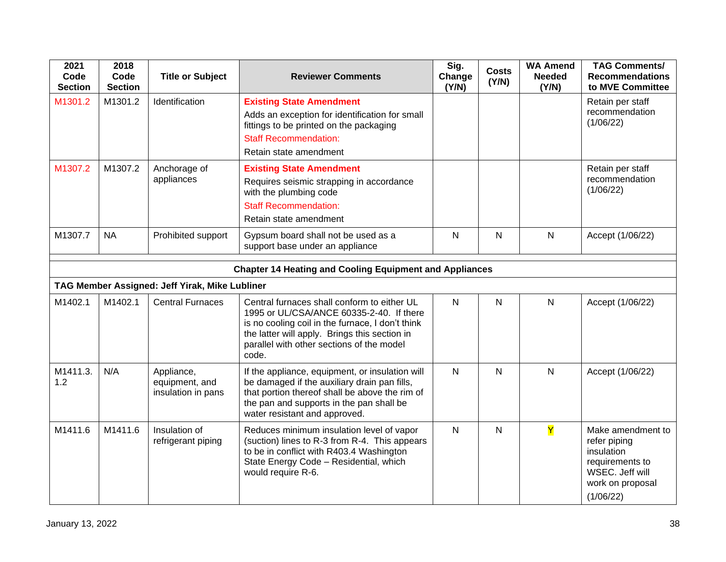| 2021<br>Code<br><b>Section</b>                                 | 2018<br>Code<br><b>Section</b> | <b>Title or Subject</b>                            | <b>Reviewer Comments</b>                                                                                                                                                                                                                           | Sig.<br>Change<br>(Y/N) | <b>Costs</b><br>(Y/N) | <b>WA Amend</b><br><b>Needed</b><br>(Y/N) | <b>TAG Comments/</b><br><b>Recommendations</b><br>to MVE Committee                                                     |  |
|----------------------------------------------------------------|--------------------------------|----------------------------------------------------|----------------------------------------------------------------------------------------------------------------------------------------------------------------------------------------------------------------------------------------------------|-------------------------|-----------------------|-------------------------------------------|------------------------------------------------------------------------------------------------------------------------|--|
| M1301.2                                                        | M1301.2                        | Identification                                     | <b>Existing State Amendment</b><br>Adds an exception for identification for small<br>fittings to be printed on the packaging<br><b>Staff Recommendation:</b><br>Retain state amendment                                                             |                         |                       |                                           | Retain per staff<br>recommendation<br>(1/06/22)                                                                        |  |
| M1307.2                                                        | M1307.2                        | Anchorage of<br>appliances                         | <b>Existing State Amendment</b><br>Requires seismic strapping in accordance<br>with the plumbing code<br><b>Staff Recommendation:</b><br>Retain state amendment                                                                                    |                         |                       |                                           | Retain per staff<br>recommendation<br>(1/06/22)                                                                        |  |
| M1307.7                                                        | <b>NA</b>                      | Prohibited support                                 | Gypsum board shall not be used as a<br>support base under an appliance                                                                                                                                                                             | N                       | $\mathsf{N}$          | N                                         | Accept (1/06/22)                                                                                                       |  |
| <b>Chapter 14 Heating and Cooling Equipment and Appliances</b> |                                |                                                    |                                                                                                                                                                                                                                                    |                         |                       |                                           |                                                                                                                        |  |
|                                                                |                                | TAG Member Assigned: Jeff Yirak, Mike Lubliner     |                                                                                                                                                                                                                                                    |                         |                       |                                           |                                                                                                                        |  |
| M1402.1                                                        | M1402.1                        | <b>Central Furnaces</b>                            | Central furnaces shall conform to either UL<br>1995 or UL/CSA/ANCE 60335-2-40. If there<br>is no cooling coil in the furnace, I don't think<br>the latter will apply. Brings this section in<br>parallel with other sections of the model<br>code. | $\mathsf{N}$            | $\mathsf{N}$          | $\mathsf{N}$                              | Accept (1/06/22)                                                                                                       |  |
| M1411.3.<br>1.2                                                | N/A                            | Appliance,<br>equipment, and<br>insulation in pans | If the appliance, equipment, or insulation will<br>be damaged if the auxiliary drain pan fills,<br>that portion thereof shall be above the rim of<br>the pan and supports in the pan shall be<br>water resistant and approved.                     | N                       | $\mathsf{N}$          | N                                         | Accept (1/06/22)                                                                                                       |  |
| M1411.6                                                        | M1411.6                        | Insulation of<br>refrigerant piping                | Reduces minimum insulation level of vapor<br>(suction) lines to R-3 from R-4. This appears<br>to be in conflict with R403.4 Washington<br>State Energy Code - Residential, which<br>would require R-6.                                             | $\mathsf{N}$            | $\mathsf{N}$          | $\overline{\mathsf{Y}}$                   | Make amendment to<br>refer piping<br>insulation<br>requirements to<br>WSEC. Jeff will<br>work on proposal<br>(1/06/22) |  |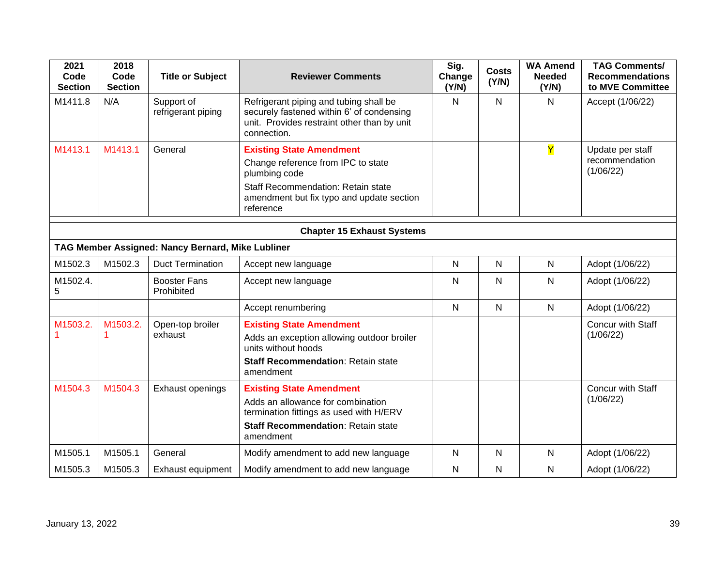| 2021<br>Code<br><b>Section</b>    | 2018<br>Code<br><b>Section</b> | <b>Title or Subject</b>                           | <b>Reviewer Comments</b>                                                                                                                                                                      | Sig.<br>Change<br>(Y/N) | <b>Costs</b><br>(Y/N) | <b>WA Amend</b><br><b>Needed</b><br>(Y/N) | <b>TAG Comments/</b><br><b>Recommendations</b><br>to MVE Committee |  |
|-----------------------------------|--------------------------------|---------------------------------------------------|-----------------------------------------------------------------------------------------------------------------------------------------------------------------------------------------------|-------------------------|-----------------------|-------------------------------------------|--------------------------------------------------------------------|--|
| M1411.8                           | N/A                            | Support of<br>refrigerant piping                  | Refrigerant piping and tubing shall be<br>securely fastened within 6' of condensing<br>unit. Provides restraint other than by unit<br>connection.                                             | $\mathsf{N}$            | $\mathsf{N}$          | N                                         | Accept (1/06/22)                                                   |  |
| M1413.1                           | M1413.1                        | General                                           | <b>Existing State Amendment</b><br>Change reference from IPC to state<br>plumbing code<br><b>Staff Recommendation: Retain state</b><br>amendment but fix typo and update section<br>reference |                         |                       | $\overline{\mathsf{Y}}$                   | Update per staff<br>recommendation<br>(1/06/22)                    |  |
| <b>Chapter 15 Exhaust Systems</b> |                                |                                                   |                                                                                                                                                                                               |                         |                       |                                           |                                                                    |  |
|                                   |                                | TAG Member Assigned: Nancy Bernard, Mike Lubliner |                                                                                                                                                                                               |                         |                       |                                           |                                                                    |  |
| M1502.3                           | M1502.3                        | <b>Duct Termination</b>                           | Accept new language                                                                                                                                                                           | $\mathsf{N}$            | $\mathsf{N}$          | $\mathsf{N}$                              | Adopt (1/06/22)                                                    |  |
| M1502.4.<br>5                     |                                | <b>Booster Fans</b><br>Prohibited                 | Accept new language                                                                                                                                                                           | $\mathsf{N}$            | $\mathsf{N}$          | N                                         | Adopt (1/06/22)                                                    |  |
|                                   |                                |                                                   | Accept renumbering                                                                                                                                                                            | $\mathsf{N}$            | $\mathsf{N}$          | N                                         | Adopt (1/06/22)                                                    |  |
| M1503.2.                          | M1503.2.                       | Open-top broiler<br>exhaust                       | <b>Existing State Amendment</b><br>Adds an exception allowing outdoor broiler<br>units without hoods<br><b>Staff Recommendation: Retain state</b><br>amendment                                |                         |                       |                                           | Concur with Staff<br>(1/06/22)                                     |  |
| M1504.3                           | M1504.3                        | Exhaust openings                                  | <b>Existing State Amendment</b><br>Adds an allowance for combination<br>termination fittings as used with H/ERV<br><b>Staff Recommendation: Retain state</b><br>amendment                     |                         |                       |                                           | Concur with Staff<br>(1/06/22)                                     |  |
| M1505.1                           | M1505.1                        | General                                           | Modify amendment to add new language                                                                                                                                                          | $\mathsf{N}$            | N                     | N                                         | Adopt (1/06/22)                                                    |  |
| M1505.3                           | M1505.3                        | <b>Exhaust equipment</b>                          | Modify amendment to add new language                                                                                                                                                          | $\mathsf{N}$            | $\mathsf{N}$          | Ν                                         | Adopt (1/06/22)                                                    |  |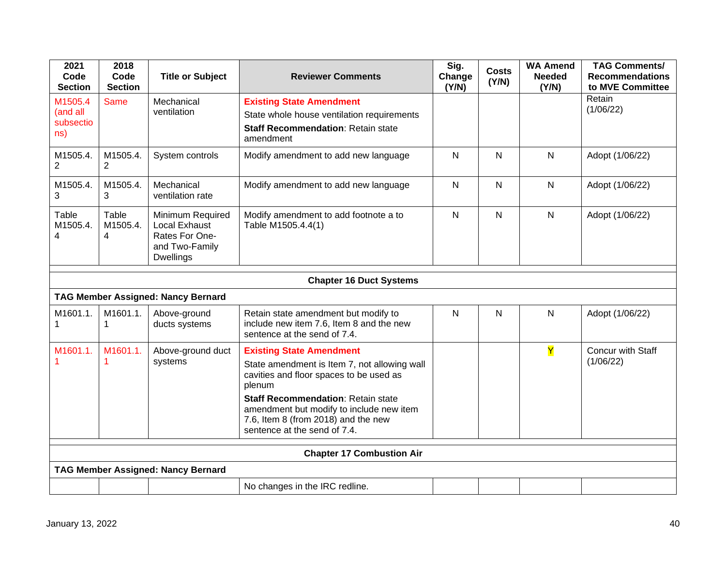| 2021<br>Code<br><b>Section</b>          | 2018<br>Code<br><b>Section</b> | <b>Title or Subject</b>                                                                   | <b>Reviewer Comments</b>                                                                                                                                                                                                                                                                             | Sig.<br>Change<br>(Y/N) | <b>Costs</b><br>(Y/N) | <b>WA Amend</b><br><b>Needed</b><br>(Y/N) | <b>TAG Comments/</b><br><b>Recommendations</b><br>to MVE Committee |  |
|-----------------------------------------|--------------------------------|-------------------------------------------------------------------------------------------|------------------------------------------------------------------------------------------------------------------------------------------------------------------------------------------------------------------------------------------------------------------------------------------------------|-------------------------|-----------------------|-------------------------------------------|--------------------------------------------------------------------|--|
| M1505.4<br>(and all<br>subsectio<br>ns) | <b>Same</b>                    | Mechanical<br>ventilation                                                                 | <b>Existing State Amendment</b><br>State whole house ventilation requirements<br><b>Staff Recommendation: Retain state</b><br>amendment                                                                                                                                                              |                         |                       |                                           | Retain<br>(1/06/22)                                                |  |
| M1505.4.<br>$\overline{c}$              | M1505.4.<br>2                  | System controls                                                                           | Modify amendment to add new language                                                                                                                                                                                                                                                                 | $\mathsf{N}$            | N                     | N                                         | Adopt (1/06/22)                                                    |  |
| M1505.4.<br>3                           | M1505.4.<br>3                  | Mechanical<br>ventilation rate                                                            | Modify amendment to add new language                                                                                                                                                                                                                                                                 | $\mathsf{N}$            | $\mathsf{N}$          | N                                         | Adopt (1/06/22)                                                    |  |
| Table<br>M1505.4.<br>4                  | Table<br>M1505.4.<br>4         | Minimum Required<br>Local Exhaust<br>Rates For One-<br>and Two-Family<br><b>Dwellings</b> | Modify amendment to add footnote a to<br>Table M1505.4.4(1)                                                                                                                                                                                                                                          | $\mathsf{N}$            | $\mathsf{N}$          | N                                         | Adopt (1/06/22)                                                    |  |
|                                         |                                |                                                                                           | <b>Chapter 16 Duct Systems</b>                                                                                                                                                                                                                                                                       |                         |                       |                                           |                                                                    |  |
|                                         |                                | <b>TAG Member Assigned: Nancy Bernard</b>                                                 |                                                                                                                                                                                                                                                                                                      |                         |                       |                                           |                                                                    |  |
| M1601.1.                                | M1601.1.<br>1                  | Above-ground<br>ducts systems                                                             | Retain state amendment but modify to<br>include new item 7.6, Item 8 and the new<br>sentence at the send of 7.4.                                                                                                                                                                                     | N                       | $\mathsf{N}$          | N                                         | Adopt (1/06/22)                                                    |  |
| M1601.1.                                | M1601.1.                       | Above-ground duct<br>systems                                                              | <b>Existing State Amendment</b><br>State amendment is Item 7, not allowing wall<br>cavities and floor spaces to be used as<br>plenum<br><b>Staff Recommendation: Retain state</b><br>amendment but modify to include new item<br>7.6, Item 8 (from 2018) and the new<br>sentence at the send of 7.4. |                         |                       | Y                                         | Concur with Staff<br>(1/06/22)                                     |  |
| <b>Chapter 17 Combustion Air</b>        |                                |                                                                                           |                                                                                                                                                                                                                                                                                                      |                         |                       |                                           |                                                                    |  |
|                                         |                                | <b>TAG Member Assigned: Nancy Bernard</b>                                                 |                                                                                                                                                                                                                                                                                                      |                         |                       |                                           |                                                                    |  |
|                                         |                                |                                                                                           | No changes in the IRC redline.                                                                                                                                                                                                                                                                       |                         |                       |                                           |                                                                    |  |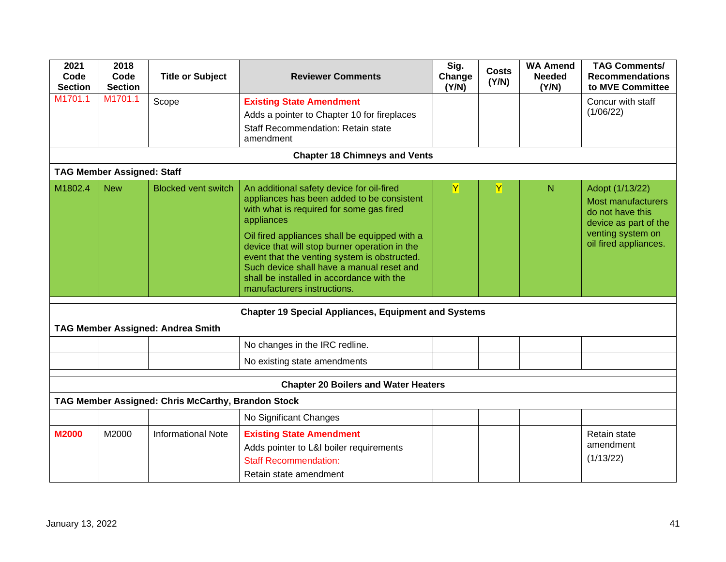| 2021<br>Code<br><b>Section</b>              | 2018<br>Code<br><b>Section</b>    | <b>Title or Subject</b>                            | <b>Reviewer Comments</b>                                                                                                                                                                                                                                                                                                                                                                                                     | Sig.<br>Change<br>(Y/N) | <b>Costs</b><br>(Y/N) | <b>WA Amend</b><br><b>Needed</b><br>(Y/N) | <b>TAG Comments/</b><br><b>Recommendations</b><br>to MVE Committee                                                                      |  |  |
|---------------------------------------------|-----------------------------------|----------------------------------------------------|------------------------------------------------------------------------------------------------------------------------------------------------------------------------------------------------------------------------------------------------------------------------------------------------------------------------------------------------------------------------------------------------------------------------------|-------------------------|-----------------------|-------------------------------------------|-----------------------------------------------------------------------------------------------------------------------------------------|--|--|
| M1701.1                                     | M1701.1                           | Scope                                              | <b>Existing State Amendment</b><br>Adds a pointer to Chapter 10 for fireplaces<br><b>Staff Recommendation: Retain state</b><br>amendment                                                                                                                                                                                                                                                                                     |                         |                       |                                           | Concur with staff<br>(1/06/22)                                                                                                          |  |  |
| <b>Chapter 18 Chimneys and Vents</b>        |                                   |                                                    |                                                                                                                                                                                                                                                                                                                                                                                                                              |                         |                       |                                           |                                                                                                                                         |  |  |
|                                             | <b>TAG Member Assigned: Staff</b> |                                                    |                                                                                                                                                                                                                                                                                                                                                                                                                              |                         |                       |                                           |                                                                                                                                         |  |  |
| M1802.4                                     | <b>New</b>                        | <b>Blocked vent switch</b>                         | An additional safety device for oil-fired<br>appliances has been added to be consistent<br>with what is required for some gas fired<br>appliances<br>Oil fired appliances shall be equipped with a<br>device that will stop burner operation in the<br>event that the venting system is obstructed.<br>Such device shall have a manual reset and<br>shall be installed in accordance with the<br>manufacturers instructions. | $\mathbf Y$             | Y                     | N                                         | Adopt (1/13/22)<br><b>Most manufacturers</b><br>do not have this<br>device as part of the<br>venting system on<br>oil fired appliances. |  |  |
|                                             |                                   |                                                    | <b>Chapter 19 Special Appliances, Equipment and Systems</b>                                                                                                                                                                                                                                                                                                                                                                  |                         |                       |                                           |                                                                                                                                         |  |  |
|                                             |                                   | <b>TAG Member Assigned: Andrea Smith</b>           |                                                                                                                                                                                                                                                                                                                                                                                                                              |                         |                       |                                           |                                                                                                                                         |  |  |
|                                             |                                   |                                                    | No changes in the IRC redline.                                                                                                                                                                                                                                                                                                                                                                                               |                         |                       |                                           |                                                                                                                                         |  |  |
|                                             |                                   |                                                    | No existing state amendments                                                                                                                                                                                                                                                                                                                                                                                                 |                         |                       |                                           |                                                                                                                                         |  |  |
| <b>Chapter 20 Boilers and Water Heaters</b> |                                   |                                                    |                                                                                                                                                                                                                                                                                                                                                                                                                              |                         |                       |                                           |                                                                                                                                         |  |  |
|                                             |                                   | TAG Member Assigned: Chris McCarthy, Brandon Stock |                                                                                                                                                                                                                                                                                                                                                                                                                              |                         |                       |                                           |                                                                                                                                         |  |  |
|                                             |                                   |                                                    | No Significant Changes                                                                                                                                                                                                                                                                                                                                                                                                       |                         |                       |                                           |                                                                                                                                         |  |  |
| <b>M2000</b>                                | M2000                             | <b>Informational Note</b>                          | <b>Existing State Amendment</b><br>Adds pointer to L&I boiler requirements<br><b>Staff Recommendation:</b><br>Retain state amendment                                                                                                                                                                                                                                                                                         |                         |                       |                                           | <b>Retain state</b><br>amendment<br>(1/13/22)                                                                                           |  |  |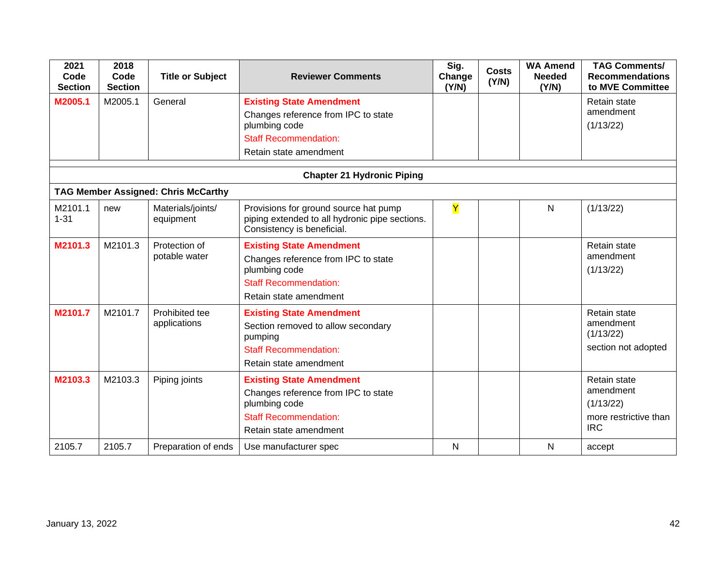| 2021<br>Code<br><b>Section</b>    | 2018<br>Code<br><b>Section</b> | <b>Title or Subject</b>                    | <b>Reviewer Comments</b>                                                                                                                          | Sig.<br>Change<br>(Y/N) | <b>Costs</b><br>(Y/N) | <b>WA Amend</b><br><b>Needed</b><br>(Y/N) | <b>TAG Comments/</b><br><b>Recommendations</b><br>to MVE Committee            |  |
|-----------------------------------|--------------------------------|--------------------------------------------|---------------------------------------------------------------------------------------------------------------------------------------------------|-------------------------|-----------------------|-------------------------------------------|-------------------------------------------------------------------------------|--|
| M2005.1                           | M2005.1                        | General                                    | <b>Existing State Amendment</b><br>Changes reference from IPC to state<br>plumbing code<br><b>Staff Recommendation:</b><br>Retain state amendment |                         |                       |                                           | Retain state<br>amendment<br>(1/13/22)                                        |  |
| <b>Chapter 21 Hydronic Piping</b> |                                |                                            |                                                                                                                                                   |                         |                       |                                           |                                                                               |  |
|                                   |                                | <b>TAG Member Assigned: Chris McCarthy</b> |                                                                                                                                                   |                         |                       |                                           |                                                                               |  |
| M2101.1<br>$1 - 31$               | new                            | Materials/joints/<br>equipment             | Provisions for ground source hat pump<br>piping extended to all hydronic pipe sections.<br>Consistency is beneficial.                             | Y                       |                       | N                                         | (1/13/22)                                                                     |  |
| M2101.3                           | M2101.3                        | Protection of<br>potable water             | <b>Existing State Amendment</b><br>Changes reference from IPC to state<br>plumbing code<br><b>Staff Recommendation:</b><br>Retain state amendment |                         |                       |                                           | Retain state<br>amendment<br>(1/13/22)                                        |  |
| M2101.7                           | M2101.7                        | Prohibited tee<br>applications             | <b>Existing State Amendment</b><br>Section removed to allow secondary<br>pumping<br><b>Staff Recommendation:</b><br>Retain state amendment        |                         |                       |                                           | Retain state<br>amendment<br>(1/13/22)<br>section not adopted                 |  |
| M2103.3                           | M2103.3                        | Piping joints                              | <b>Existing State Amendment</b><br>Changes reference from IPC to state<br>plumbing code<br><b>Staff Recommendation:</b><br>Retain state amendment |                         |                       |                                           | Retain state<br>amendment<br>(1/13/22)<br>more restrictive than<br><b>IRC</b> |  |
| 2105.7                            | 2105.7                         | Preparation of ends                        | Use manufacturer spec                                                                                                                             | N                       |                       | N                                         | accept                                                                        |  |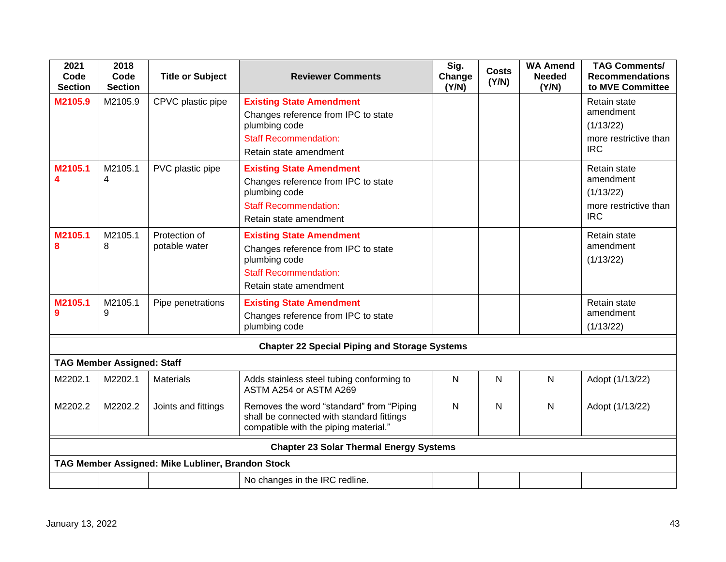| 2021<br>Code<br><b>Section</b>                       | 2018<br>Code<br><b>Section</b>    | <b>Title or Subject</b>                           | <b>Reviewer Comments</b>                                                                                                                          | Sig.<br>Change<br>(Y/N) | <b>Costs</b><br>(Y/N) | <b>WA Amend</b><br><b>Needed</b><br>(Y/N) | <b>TAG Comments/</b><br><b>Recommendations</b><br>to MVE Committee            |  |
|------------------------------------------------------|-----------------------------------|---------------------------------------------------|---------------------------------------------------------------------------------------------------------------------------------------------------|-------------------------|-----------------------|-------------------------------------------|-------------------------------------------------------------------------------|--|
| M2105.9                                              | M2105.9                           | CPVC plastic pipe                                 | <b>Existing State Amendment</b><br>Changes reference from IPC to state<br>plumbing code<br><b>Staff Recommendation:</b><br>Retain state amendment |                         |                       |                                           | Retain state<br>amendment<br>(1/13/22)<br>more restrictive than<br><b>IRC</b> |  |
| M2105.1<br>4                                         | M2105.1<br>4                      | PVC plastic pipe                                  | <b>Existing State Amendment</b><br>Changes reference from IPC to state<br>plumbing code<br><b>Staff Recommendation:</b><br>Retain state amendment |                         |                       |                                           | Retain state<br>amendment<br>(1/13/22)<br>more restrictive than<br><b>IRC</b> |  |
| M2105.1<br>8                                         | M2105.1<br>8                      | Protection of<br>potable water                    | <b>Existing State Amendment</b><br>Changes reference from IPC to state<br>plumbing code<br><b>Staff Recommendation:</b><br>Retain state amendment |                         |                       |                                           | Retain state<br>amendment<br>(1/13/22)                                        |  |
| M2105.1<br>9                                         | M2105.1<br>9                      | Pipe penetrations                                 | <b>Existing State Amendment</b><br>Changes reference from IPC to state<br>plumbing code                                                           |                         |                       |                                           | Retain state<br>amendment<br>(1/13/22)                                        |  |
| <b>Chapter 22 Special Piping and Storage Systems</b> |                                   |                                                   |                                                                                                                                                   |                         |                       |                                           |                                                                               |  |
|                                                      | <b>TAG Member Assigned: Staff</b> |                                                   |                                                                                                                                                   |                         |                       |                                           |                                                                               |  |
| M2202.1                                              | M2202.1                           | <b>Materials</b>                                  | Adds stainless steel tubing conforming to<br>ASTM A254 or ASTM A269                                                                               | $\mathsf{N}$            | N                     | $\mathsf{N}$                              | Adopt (1/13/22)                                                               |  |
| M2202.2                                              | M2202.2                           | Joints and fittings                               | Removes the word "standard" from "Piping<br>shall be connected with standard fittings<br>compatible with the piping material."                    | N                       | N                     | $\mathsf{N}$                              | Adopt (1/13/22)                                                               |  |
| <b>Chapter 23 Solar Thermal Energy Systems</b>       |                                   |                                                   |                                                                                                                                                   |                         |                       |                                           |                                                                               |  |
|                                                      |                                   | TAG Member Assigned: Mike Lubliner, Brandon Stock |                                                                                                                                                   |                         |                       |                                           |                                                                               |  |
|                                                      |                                   |                                                   | No changes in the IRC redline.                                                                                                                    |                         |                       |                                           |                                                                               |  |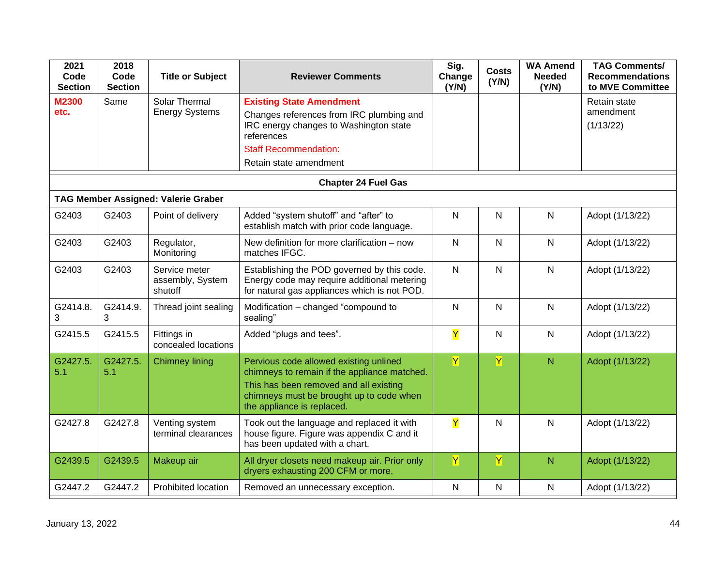| 2021<br>Code<br><b>Section</b> | 2018<br>Code<br><b>Section</b> | <b>Title or Subject</b>                      | <b>Reviewer Comments</b>                                                                                                                                                                                   | Sig.<br>Change<br>(Y/N) | <b>Costs</b><br>(Y/N)   | <b>WA Amend</b><br><b>Needed</b><br>(Y/N) | <b>TAG Comments/</b><br><b>Recommendations</b><br>to MVE Committee |
|--------------------------------|--------------------------------|----------------------------------------------|------------------------------------------------------------------------------------------------------------------------------------------------------------------------------------------------------------|-------------------------|-------------------------|-------------------------------------------|--------------------------------------------------------------------|
| <b>M2300</b><br>etc.           | Same                           | Solar Thermal<br><b>Energy Systems</b>       | <b>Existing State Amendment</b><br>Changes references from IRC plumbing and<br>IRC energy changes to Washington state<br>references<br><b>Staff Recommendation:</b><br>Retain state amendment              |                         |                         |                                           | Retain state<br>amendment<br>(1/13/22)                             |
|                                |                                |                                              | <b>Chapter 24 Fuel Gas</b>                                                                                                                                                                                 |                         |                         |                                           |                                                                    |
|                                |                                | <b>TAG Member Assigned: Valerie Graber</b>   |                                                                                                                                                                                                            |                         |                         |                                           |                                                                    |
| G2403                          | G2403                          | Point of delivery                            | Added "system shutoff" and "after" to<br>establish match with prior code language.                                                                                                                         | $\mathsf{N}$            | N                       | $\mathsf{N}$                              | Adopt (1/13/22)                                                    |
| G2403                          | G2403                          | Regulator,<br>Monitoring                     | New definition for more clarification - now<br>matches IFGC.                                                                                                                                               | $\mathsf{N}$            | N                       | N                                         | Adopt (1/13/22)                                                    |
| G2403                          | G2403                          | Service meter<br>assembly, System<br>shutoff | Establishing the POD governed by this code.<br>Energy code may require additional metering<br>for natural gas appliances which is not POD.                                                                 | $\mathsf{N}$            | N                       | $\mathsf{N}$                              | Adopt (1/13/22)                                                    |
| G2414.8.<br>3                  | G2414.9.<br>3                  | Thread joint sealing                         | Modification - changed "compound to<br>sealing"                                                                                                                                                            | $\mathsf{N}$            | N                       | $\mathsf{N}$                              | Adopt (1/13/22)                                                    |
| G2415.5                        | G2415.5                        | Fittings in<br>concealed locations           | Added "plugs and tees".                                                                                                                                                                                    | Y                       | N                       | $\mathsf{N}$                              | Adopt (1/13/22)                                                    |
| G2427.5.<br>5.1                | G2427.5.<br>5.1                | <b>Chimney lining</b>                        | Pervious code allowed existing unlined<br>chimneys to remain if the appliance matched.<br>This has been removed and all existing<br>chimneys must be brought up to code when<br>the appliance is replaced. | Y                       | $\overline{\mathsf{Y}}$ | $\mathsf{N}$                              | Adopt (1/13/22)                                                    |
| G2427.8                        | G2427.8                        | Venting system<br>terminal clearances        | Took out the language and replaced it with<br>house figure. Figure was appendix C and it<br>has been updated with a chart.                                                                                 | Ÿ                       | N                       | N                                         | Adopt (1/13/22)                                                    |
| G2439.5                        | G2439.5                        | Makeup air                                   | All dryer closets need makeup air. Prior only<br>dryers exhausting 200 CFM or more.                                                                                                                        | $\mathbf Y$             | Y                       | N                                         | Adopt (1/13/22)                                                    |
| G2447.2                        | G2447.2                        | Prohibited location                          | Removed an unnecessary exception.                                                                                                                                                                          | $\mathsf{N}$            | N                       | $\mathsf{N}$                              | Adopt (1/13/22)                                                    |